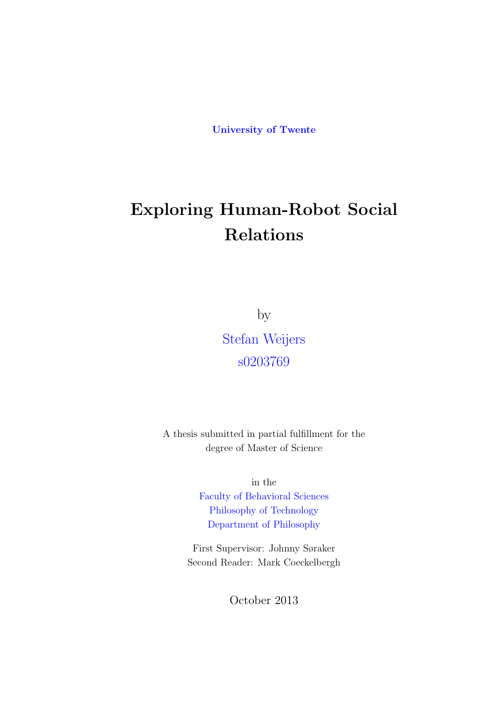**University of Twente**

# **Exploring Human-Robot Social Relations**

by

Stefan Weijers s0203769

A thesis submitted in partial fulfillment for the degree of Master of Science

> in the Faculty of Behavioral Sciences Philosophy of Technology Department of Philosophy

Fir[st Supervisor: Johnny Søra](Faculty Web Site URL Here (include http://))ker Seco[nd Reader: Mark Coeckelb](Department or School Web Site URL Here (include http://))ergh

October 2013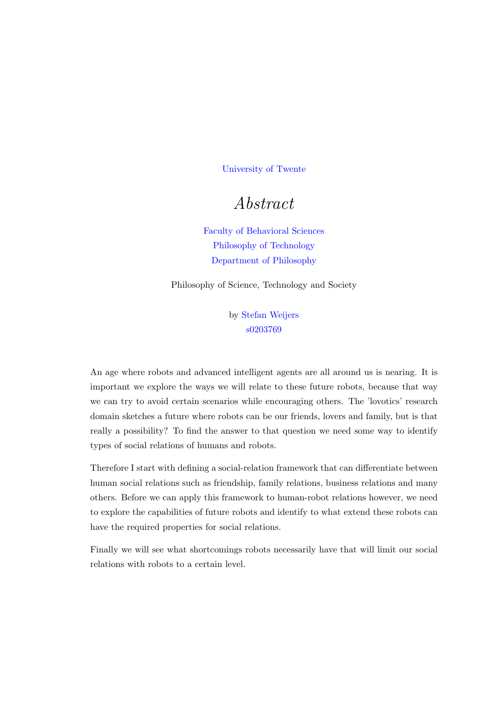University of Twente

## *[Abstract](University Web Site URL Here (include http://))*

Faculty of Behavioral Sciences Philosophy of Technology Department of Philosophy

Philosoph[y of Science, Technology an](Faculty Web Site URL Here (include http://))d Society

by Stefan Weijers s0203769

An age where robots and advanced int[elligent ag](s.weijers@outlook.com)ents are all around us is nearing. It is important we explore the ways we will relate to these future robots, because that way we can try to avoid certain scenarios while encouraging others. The 'lovotics' research domain sketches a future where robots can be our friends, lovers and family, but is that really a possibility? To find the answer to that question we need some way to identify types of social relations of humans and robots.

Therefore I start with defining a social-relation framework that can differentiate between human social relations such as friendship, family relations, business relations and many others. Before we can apply this framework to human-robot relations however, we need to explore the capabilities of future robots and identify to what extend these robots can have the required properties for social relations.

Finally we will see what shortcomings robots necessarily have that will limit our social relations with robots to a certain level.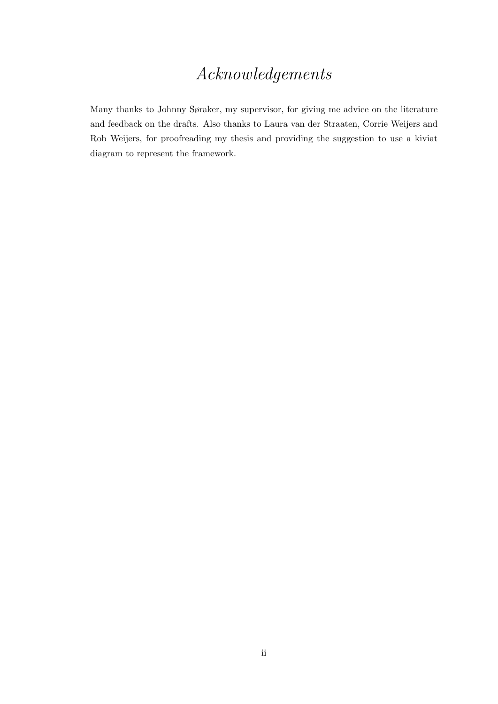## *Acknowledgements*

<span id="page-2-0"></span>Many thanks to Johnny Søraker, my supervisor, for giving me advice on the literature and feedback on the drafts. Also thanks to Laura van der Straaten, Corrie Weijers and Rob Weijers, for proofreading my thesis and providing the suggestion to use a kiviat diagram to represent the framework.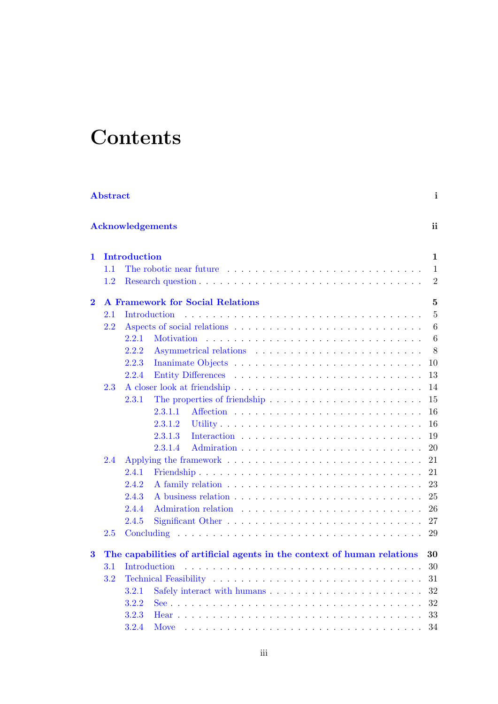# **Contents**

|          | $\mathbf{i}$<br>Abstract                            |                     |                                                                                                                                                                                                                                |                 |  |  |  |  |  |  |  |  |
|----------|-----------------------------------------------------|---------------------|--------------------------------------------------------------------------------------------------------------------------------------------------------------------------------------------------------------------------------|-----------------|--|--|--|--|--|--|--|--|
|          |                                                     |                     | <b>Acknowledgements</b>                                                                                                                                                                                                        | ii              |  |  |  |  |  |  |  |  |
| 1.       |                                                     | <b>Introduction</b> |                                                                                                                                                                                                                                | $\mathbf{1}$    |  |  |  |  |  |  |  |  |
|          | 1.1                                                 |                     | The robotic near future entering in the set of the result of the result of the result of the result of the result of the result of the result of the result of the result of the result of the result of the result of the res | 1               |  |  |  |  |  |  |  |  |
|          | $1.2\,$                                             |                     |                                                                                                                                                                                                                                | $\overline{2}$  |  |  |  |  |  |  |  |  |
| $\bf{2}$ | <b>A Framework for Social Relations</b><br>$\bf{5}$ |                     |                                                                                                                                                                                                                                |                 |  |  |  |  |  |  |  |  |
|          | 2.1                                                 |                     | Introduction                                                                                                                                                                                                                   | 5               |  |  |  |  |  |  |  |  |
|          | 2.2                                                 |                     |                                                                                                                                                                                                                                | 6               |  |  |  |  |  |  |  |  |
|          |                                                     | 2.2.1               | Motivation                                                                                                                                                                                                                     | $6\phantom{.}6$ |  |  |  |  |  |  |  |  |
|          |                                                     | 2.2.2               |                                                                                                                                                                                                                                | 8               |  |  |  |  |  |  |  |  |
|          |                                                     | 2.2.3               |                                                                                                                                                                                                                                | 10              |  |  |  |  |  |  |  |  |
|          |                                                     | 2.2.4               |                                                                                                                                                                                                                                | 13              |  |  |  |  |  |  |  |  |
|          | 2.3                                                 |                     |                                                                                                                                                                                                                                | 14              |  |  |  |  |  |  |  |  |
|          |                                                     | 2.3.1               | The properties of friendship $\ldots \ldots \ldots \ldots \ldots \ldots \ldots$                                                                                                                                                | 15              |  |  |  |  |  |  |  |  |
|          |                                                     |                     | 2.3.1.1                                                                                                                                                                                                                        | 16              |  |  |  |  |  |  |  |  |
|          |                                                     |                     | 2.3.1.2                                                                                                                                                                                                                        | 16              |  |  |  |  |  |  |  |  |
|          |                                                     |                     | 2.3.1.3                                                                                                                                                                                                                        | 19              |  |  |  |  |  |  |  |  |
|          |                                                     |                     | 2.3.1.4                                                                                                                                                                                                                        | 20              |  |  |  |  |  |  |  |  |
|          | 2.4                                                 |                     |                                                                                                                                                                                                                                | 21              |  |  |  |  |  |  |  |  |
|          |                                                     | 2.4.1               |                                                                                                                                                                                                                                | 21              |  |  |  |  |  |  |  |  |
|          |                                                     | 2.4.2               |                                                                                                                                                                                                                                | 23              |  |  |  |  |  |  |  |  |
|          |                                                     | 2.4.3               |                                                                                                                                                                                                                                | 25              |  |  |  |  |  |  |  |  |
|          |                                                     | 2.4.4               |                                                                                                                                                                                                                                | 26              |  |  |  |  |  |  |  |  |
|          |                                                     | 2.4.5               |                                                                                                                                                                                                                                | 27              |  |  |  |  |  |  |  |  |
|          | 2.5                                                 |                     |                                                                                                                                                                                                                                | 29              |  |  |  |  |  |  |  |  |
| $\bf{3}$ |                                                     |                     | The capabilities of artificial agents in the context of human relations                                                                                                                                                        | 30              |  |  |  |  |  |  |  |  |
|          |                                                     | 3.1 Introduction    |                                                                                                                                                                                                                                |                 |  |  |  |  |  |  |  |  |
|          | 3.2                                                 |                     |                                                                                                                                                                                                                                |                 |  |  |  |  |  |  |  |  |
|          |                                                     | 3.2.1               |                                                                                                                                                                                                                                | 32              |  |  |  |  |  |  |  |  |
|          |                                                     | 3.2.2               |                                                                                                                                                                                                                                | 32              |  |  |  |  |  |  |  |  |
|          |                                                     | 3.2.3               |                                                                                                                                                                                                                                | 33              |  |  |  |  |  |  |  |  |
|          |                                                     | 3.2.4               |                                                                                                                                                                                                                                | 34              |  |  |  |  |  |  |  |  |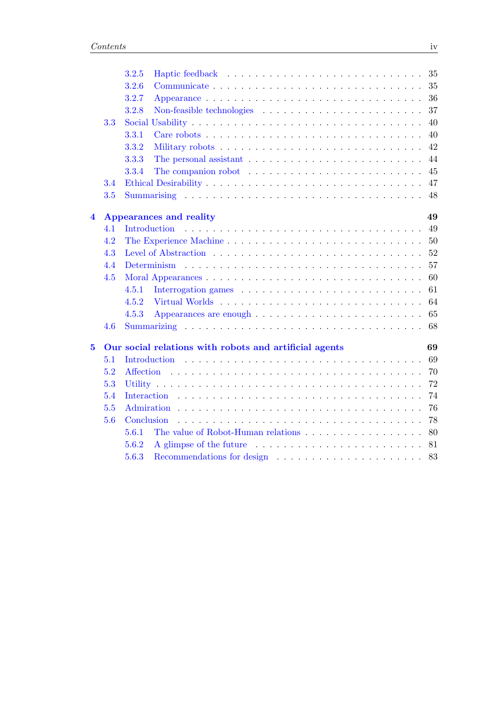|                         |     | 3.2.5        |                                                                                       | 35 |
|-------------------------|-----|--------------|---------------------------------------------------------------------------------------|----|
|                         |     | 3.2.6        |                                                                                       | 35 |
|                         |     | 3.2.7        |                                                                                       | 36 |
|                         |     | 3.2.8        |                                                                                       | 37 |
|                         | 3.3 |              |                                                                                       | 40 |
|                         |     | 3.3.1        | Care robots $\dots \dots \dots \dots \dots \dots \dots \dots \dots \dots \dots \dots$ | 40 |
|                         |     | 3.3.2        |                                                                                       | 42 |
|                         |     | 3.3.3        |                                                                                       | 44 |
|                         |     | 3.3.4        | The companion robot $\ldots \ldots \ldots \ldots \ldots \ldots \ldots \ldots$         | 45 |
|                         | 3.4 |              |                                                                                       | 47 |
|                         | 3.5 |              |                                                                                       | 48 |
| $\overline{\mathbf{4}}$ |     |              | <b>Appearances and reality</b>                                                        | 49 |
|                         | 4.1 | Introduction |                                                                                       | 49 |
|                         | 4.2 |              |                                                                                       | 50 |
|                         | 4.3 |              |                                                                                       | 52 |
|                         | 4.4 |              |                                                                                       | 57 |
|                         | 4.5 |              |                                                                                       | 60 |
|                         |     | 4.5.1        |                                                                                       | 61 |
|                         |     | 4.5.2        |                                                                                       | 64 |
|                         |     | 4.5.3        |                                                                                       | 65 |
|                         | 4.6 |              |                                                                                       | 68 |
| $\overline{\mathbf{5}}$ |     |              | Our social relations with robots and artificial agents                                | 69 |
|                         | 5.1 |              |                                                                                       | 69 |
|                         | 5.2 | Affection    |                                                                                       | 70 |
|                         | 5.3 |              |                                                                                       | 72 |
|                         | 5.4 |              |                                                                                       | 74 |
| 5.5                     |     |              |                                                                                       | 76 |
|                         | 5.6 | Conclusion   |                                                                                       | 78 |
|                         |     | 5.6.1        |                                                                                       | 80 |
|                         |     | 5.6.2        |                                                                                       | 81 |
|                         |     | 5.6.3        |                                                                                       |    |
|                         |     |              |                                                                                       |    |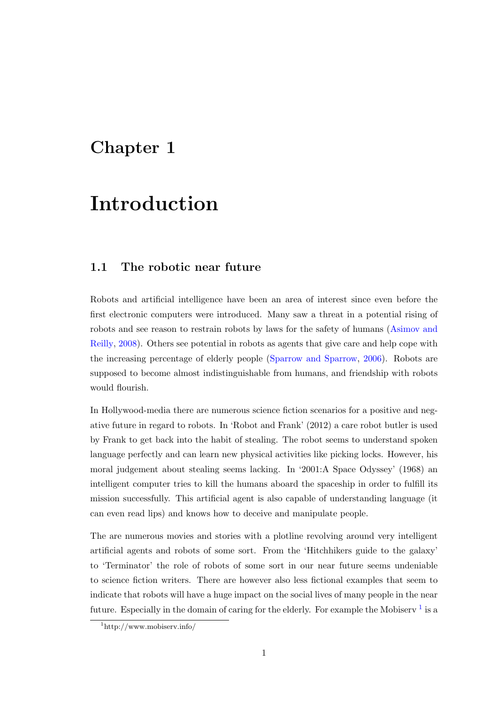## <span id="page-5-0"></span>**Chapter 1**

## **Introduction**

### **1.1 The robotic near future**

<span id="page-5-1"></span>Robots and artificial intelligence have been an area of interest since even before the first electronic computers were introduced. Many saw a threat in a potential rising of robots and see reason to restrain robots by laws for the safety of humans (Asimov and Reilly, 2008). Others see potential in robots as agents that give care and help cope with the increasing percentage of elderly people (Sparrow and Sparrow, 2006). Robots are supposed to become almost indistinguishable from humans, and friendship [with robots](#page-89-0) [would](#page-89-0) [flouri](#page-89-0)sh.

In Hollywood-media there are numerous science fiction scenarios for a positive and negative future in regard to robots. In 'Robot and Frank' (2012) a care robot butler is used by Frank to get back into the habit of stealing. The robot seems to understand spoken language perfectly and can learn new physical activities like picking locks. However, his moral judgement about stealing seems lacking. In '2001:A Space Odyssey' (1968) an intelligent computer tries to kill the humans aboard the spaceship in order to fulfill its mission successfully. This artificial agent is also capable of understanding language (it can even read lips) and knows how to deceive and manipulate people.

The are numerous movies and stories with a plotline revolving around very intelligent artificial agents and robots of some sort. From the 'Hitchhikers guide to the galaxy' to 'Terminator' the role of robots of some sort in our near future seems undeniable to science fiction writers. There are however also less fictional examples that seem to indicate that robots will have a huge impact on the social lives of many people in the near future. Especially in the domain of caring for the elderly. For example the Mobiserv  $^1$  is a

<sup>1</sup>http://www.mobiserv.info/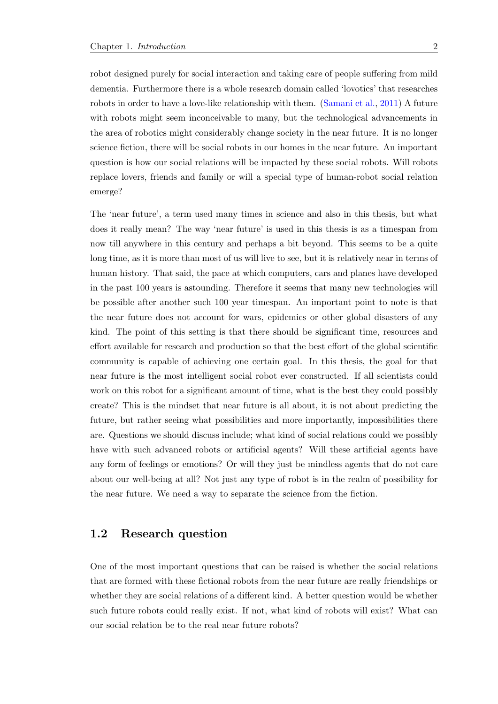robot designed purely for social interaction and taking care of people suffering from mild dementia. Furthermore there is a whole research domain called 'lovotics' that researches robots in order to have a love-like relationship with them. (Samani et al., 2011) A future with robots might seem inconceivable to many, but the technological advancements in the area of robotics might considerably change society in the near future. It is no longer science fiction, there will be social robots in our homes in t[he near future](#page-92-0). [An i](#page-92-0)mportant question is how our social relations will be impacted by these social robots. Will robots replace lovers, friends and family or will a special type of human-robot social relation emerge?

The 'near future', a term used many times in science and also in this thesis, but what does it really mean? The way 'near future' is used in this thesis is as a timespan from now till anywhere in this century and perhaps a bit beyond. This seems to be a quite long time, as it is more than most of us will live to see, but it is relatively near in terms of human history. That said, the pace at which computers, cars and planes have developed in the past 100 years is astounding. Therefore it seems that many new technologies will be possible after another such 100 year timespan. An important point to note is that the near future does not account for wars, epidemics or other global disasters of any kind. The point of this setting is that there should be significant time, resources and effort available for research and production so that the best effort of the global scientific community is capable of achieving one certain goal. In this thesis, the goal for that near future is the most intelligent social robot ever constructed. If all scientists could work on this robot for a significant amount of time, what is the best they could possibly create? This is the mindset that near future is all about, it is not about predicting the future, but rather seeing what possibilities and more importantly, impossibilities there are. Questions we should discuss include; what kind of social relations could we possibly have with such advanced robots or artificial agents? Will these artificial agents have any form of feelings or emotions? Or will they just be mindless agents that do not care about our well-being at all? Not just any type of robot is in the realm of possibility for the near future. We need a way to separate the science from the fiction.

### **1.2 Research question**

<span id="page-6-0"></span>One of the most important questions that can be raised is whether the social relations that are formed with these fictional robots from the near future are really friendships or whether they are social relations of a different kind. A better question would be whether such future robots could really exist. If not, what kind of robots will exist? What can our social relation be to the real near future robots?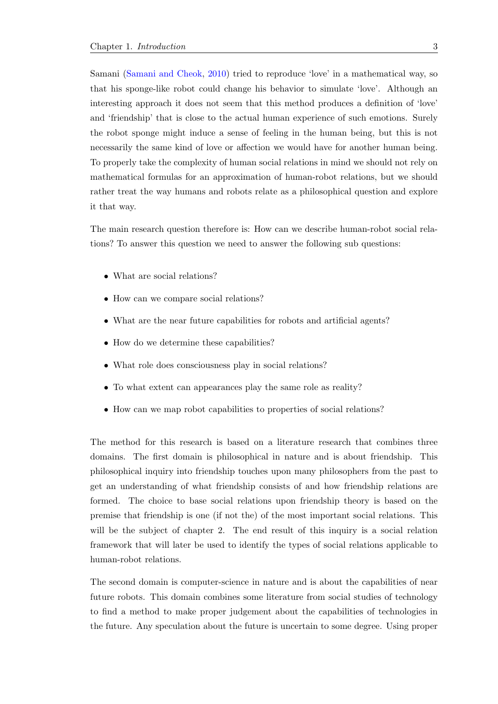Samani (Samani and Cheok, 2010) tried to reproduce 'love' in a mathematical way, so that his sponge-like robot could change his behavior to simulate 'love'. Although an interesting approach it does not seem that this method produces a definition of 'love' and 'frie[ndship' that is close to th](#page-92-1)e actual human experience of such emotions. Surely the robot sponge might induce a sense of feeling in the human being, but this is not necessarily the same kind of love or affection we would have for another human being. To properly take the complexity of human social relations in mind we should not rely on mathematical formulas for an approximation of human-robot relations, but we should rather treat the way humans and robots relate as a philosophical question and explore it that way.

The main research question therefore is: How can we describe human-robot social relations? To answer this question we need to answer the following sub questions:

- *•* What are social relations?
- How can we compare social relations?
- What are the near future capabilities for robots and artificial agents?
- How do we determine these capabilities?
- What role does consciousness play in social relations?
- *•* To what extent can appearances play the same role as reality?
- How can we map robot capabilities to properties of social relations?

The method for this research is based on a literature research that combines three domains. The first domain is philosophical in nature and is about friendship. This philosophical inquiry into friendship touches upon many philosophers from the past to get an understanding of what friendship consists of and how friendship relations are formed. The choice to base social relations upon friendship theory is based on the premise that friendship is one (if not the) of the most important social relations. This will be the subject of chapter 2. The end result of this inquiry is a social relation framework that will later be used to identify the types of social relations applicable to human-robot relations.

The second domain is computer-science in nature and is about the capabilities of near future robots. This domain combines some literature from social studies of technology to find a method to make proper judgement about the capabilities of technologies in the future. Any speculation about the future is uncertain to some degree. Using proper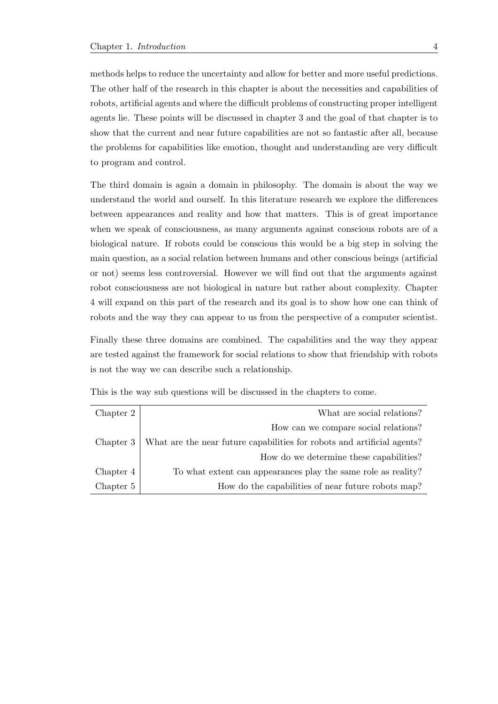methods helps to reduce the uncertainty and allow for better and more useful predictions. The other half of the research in this chapter is about the necessities and capabilities of robots, artificial agents and where the difficult problems of constructing proper intelligent agents lie. These points will be discussed in chapter 3 and the goal of that chapter is to show that the current and near future capabilities are not so fantastic after all, because the problems for capabilities like emotion, thought and understanding are very difficult to program and control.

The third domain is again a domain in philosophy. The domain is about the way we understand the world and ourself. In this literature research we explore the differences between appearances and reality and how that matters. This is of great importance when we speak of consciousness, as many arguments against conscious robots are of a biological nature. If robots could be conscious this would be a big step in solving the main question, as a social relation between humans and other conscious beings (artificial or not) seems less controversial. However we will find out that the arguments against robot consciousness are not biological in nature but rather about complexity. Chapter 4 will expand on this part of the research and its goal is to show how one can think of robots and the way they can appear to us from the perspective of a computer scientist.

Finally these three domains are combined. The capabilities and the way they appear are tested against the framework for social relations to show that friendship with robots is not the way we can describe such a relationship.

| Chapter 2 | What are social relations?                                              |
|-----------|-------------------------------------------------------------------------|
|           | How can we compare social relations?                                    |
| Chapter 3 | What are the near future capabilities for robots and artificial agents? |
|           | How do we determine these capabilities?                                 |
| Chapter 4 | To what extent can appearance play the same role as reality?            |
| Chapter 5 | How do the capabilities of near future robots map?                      |

This is the way sub questions will be discussed in the chapters to come.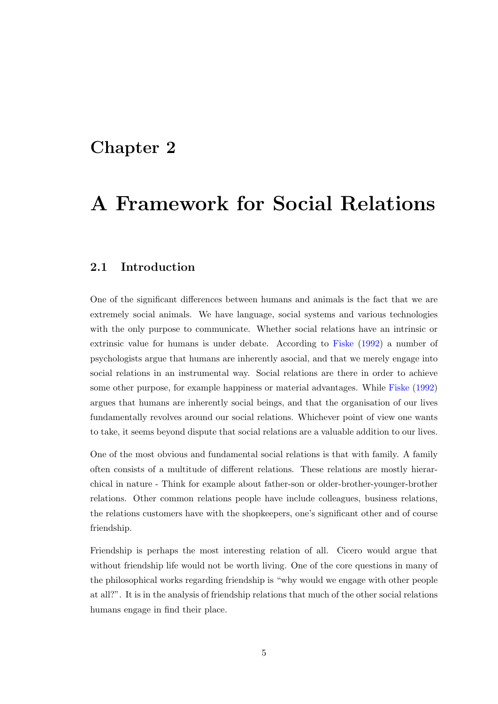## <span id="page-9-0"></span>**Chapter 2**

# **A Framework for Social Relations**

### **2.1 Introduction**

<span id="page-9-1"></span>One of the significant differences between humans and animals is the fact that we are extremely social animals. We have language, social systems and various technologies with the only purpose to communicate. Whether social relations have an intrinsic or extrinsic value for humans is under debate. According to Fiske (1992) a number of psychologists argue that humans are inherently asocial, and that we merely engage into social relations in an instrumental way. Social relations are there in order to achieve some other purpose, for example happiness or material adva[ntages](#page-90-0). [Whil](#page-90-0)e Fiske (1992) argues that humans are inherently social beings, and that the organisation of our lives fundamentally revolves around our social relations. Whichever point of view one wants to take, it seems beyond dispute that social relations are a valuable additio[n to ou](#page-90-0)r [lives](#page-90-0).

One of the most obvious and fundamental social relations is that with family. A family often consists of a multitude of different relations. These relations are mostly hierarchical in nature - Think for example about father-son or older-brother-younger-brother relations. Other common relations people have include colleagues, business relations, the relations customers have with the shopkeepers, one's significant other and of course friendship.

Friendship is perhaps the most interesting relation of all. Cicero would argue that without friendship life would not be worth living. One of the core questions in many of the philosophical works regarding friendship is "why would we engage with other people at all?". It is in the analysis of friendship relations that much of the other social relations humans engage in find their place.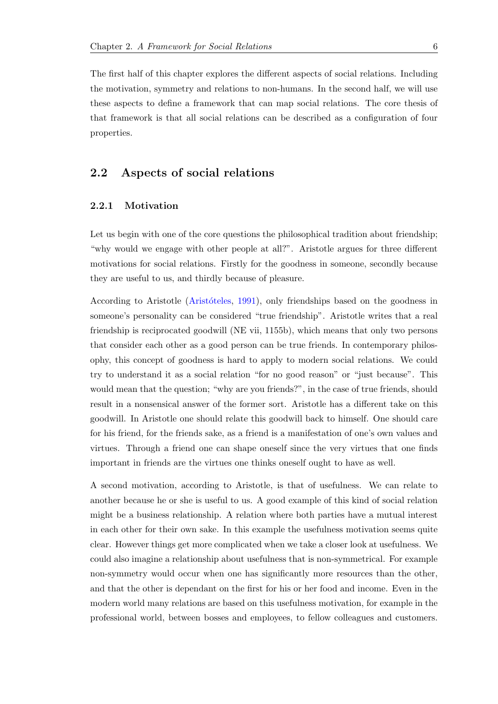The first half of this chapter explores the different aspects of social relations. Including the motivation, symmetry and relations to non-humans. In the second half, we will use these aspects to define a framework that can map social relations. The core thesis of that framework is that all social relations can be described as a configuration of four properties.

## **2.2 Aspects of social relations**

#### <span id="page-10-0"></span>**2.2.1 Motivation**

<span id="page-10-1"></span>Let us begin with one of the core questions the philosophical tradition about friendship; "why would we engage with other people at all?". Aristotle argues for three different motivations for social relations. Firstly for the goodness in someone, secondly because they are useful to us, and thirdly because of pleasure.

According to Aristotle (Aristóteles, 1991), only friendships based on the goodness in someone's personality can be considered "true friendship". Aristotle writes that a real friendship is reciprocated goodwill (NE vii, 1155b), which means that only two persons that consider each other [as a good person](#page-89-1) can be true friends. In contemporary philosophy, this concept of goodness is hard to apply to modern social relations. We could try to understand it as a social relation "for no good reason" or "just because". This would mean that the question; "why are you friends?", in the case of true friends, should result in a nonsensical answer of the former sort. Aristotle has a different take on this goodwill. In Aristotle one should relate this goodwill back to himself. One should care for his friend, for the friends sake, as a friend is a manifestation of one's own values and virtues. Through a friend one can shape oneself since the very virtues that one finds important in friends are the virtues one thinks oneself ought to have as well.

A second motivation, according to Aristotle, is that of usefulness. We can relate to another because he or she is useful to us. A good example of this kind of social relation might be a business relationship. A relation where both parties have a mutual interest in each other for their own sake. In this example the usefulness motivation seems quite clear. However things get more complicated when we take a closer look at usefulness. We could also imagine a relationship about usefulness that is non-symmetrical. For example non-symmetry would occur when one has significantly more resources than the other, and that the other is dependant on the first for his or her food and income. Even in the modern world many relations are based on this usefulness motivation, for example in the professional world, between bosses and employees, to fellow colleagues and customers.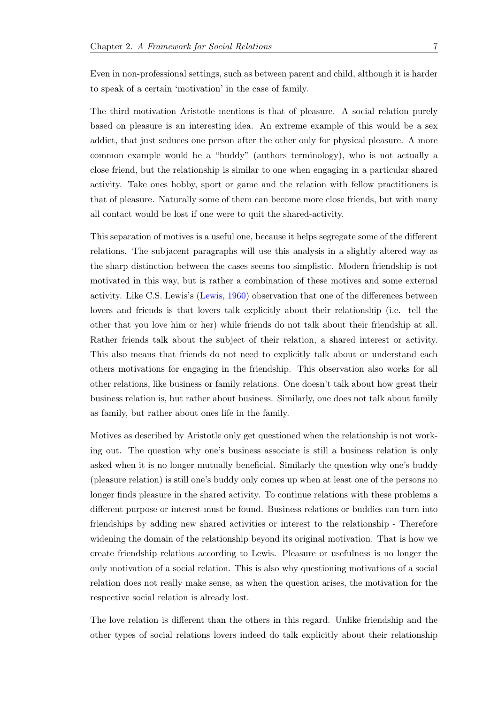Even in non-professional settings, such as between parent and child, although it is harder to speak of a certain 'motivation' in the case of family.

The third motivation Aristotle mentions is that of pleasure. A social relation purely based on pleasure is an interesting idea. An extreme example of this would be a sex addict, that just seduces one person after the other only for physical pleasure. A more common example would be a "buddy" (authors terminology), who is not actually a close friend, but the relationship is similar to one when engaging in a particular shared activity. Take ones hobby, sport or game and the relation with fellow practitioners is that of pleasure. Naturally some of them can become more close friends, but with many all contact would be lost if one were to quit the shared-activity.

This separation of motives is a useful one, because it helps segregate some of the different relations. The subjacent paragraphs will use this analysis in a slightly altered way as the sharp distinction between the cases seems too simplistic. Modern friendship is not motivated in this way, but is rather a combination of these motives and some external activity. Like C.S. Lewis's (Lewis, 1960) observation that one of the differences between lovers and friends is that lovers talk explicitly about their relationship (i.e. tell the other that you love him or her) while friends do not talk about their friendship at all. Rather friends talk about [the subject](#page-91-0) of their relation, a shared interest or activity. This also means that friends do not need to explicitly talk about or understand each others motivations for engaging in the friendship. This observation also works for all other relations, like business or family relations. One doesn't talk about how great their business relation is, but rather about business. Similarly, one does not talk about family as family, but rather about ones life in the family.

Motives as described by Aristotle only get questioned when the relationship is not working out. The question why one's business associate is still a business relation is only asked when it is no longer mutually beneficial. Similarly the question why one's buddy (pleasure relation) is still one's buddy only comes up when at least one of the persons no longer finds pleasure in the shared activity. To continue relations with these problems a different purpose or interest must be found. Business relations or buddies can turn into friendships by adding new shared activities or interest to the relationship - Therefore widening the domain of the relationship beyond its original motivation. That is how we create friendship relations according to Lewis. Pleasure or usefulness is no longer the only motivation of a social relation. This is also why questioning motivations of a social relation does not really make sense, as when the question arises, the motivation for the respective social relation is already lost.

The love relation is different than the others in this regard. Unlike friendship and the other types of social relations lovers indeed do talk explicitly about their relationship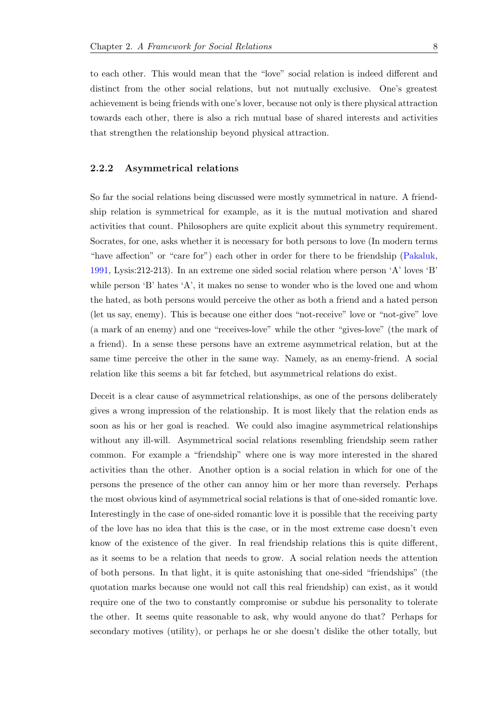to each other. This would mean that the "love" social relation is indeed different and distinct from the other social relations, but not mutually exclusive. One's greatest achievement is being friends with one's lover, because not only is there physical attraction towards each other, there is also a rich mutual base of shared interests and activities that strengthen the relationship beyond physical attraction.

#### **2.2.2 Asymmetrical relations**

<span id="page-12-0"></span>So far the social relations being discussed were mostly symmetrical in nature. A friendship relation is symmetrical for example, as it is the mutual motivation and shared activities that count. Philosophers are quite explicit about this symmetry requirement. Socrates, for one, asks whether it is necessary for both persons to love (In modern terms "have affection" or "care for") each other in order for there to be friendship (Pakaluk, 1991, Lysis:212-213). In an extreme one sided social relation where person 'A' loves 'B' while person 'B' hates 'A', it makes no sense to wonder who is the loved one and whom the hated, as both persons would perceive the other as both a friend and a hat[ed person](#page-92-2) [\(let u](#page-92-2)s say, enemy). This is because one either does "not-receive" love or "not-give" love (a mark of an enemy) and one "receives-love" while the other "gives-love" (the mark of a friend). In a sense these persons have an extreme asymmetrical relation, but at the same time perceive the other in the same way. Namely, as an enemy-friend. A social relation like this seems a bit far fetched, but asymmetrical relations do exist.

Deceit is a clear cause of asymmetrical relationships, as one of the persons deliberately gives a wrong impression of the relationship. It is most likely that the relation ends as soon as his or her goal is reached. We could also imagine asymmetrical relationships without any ill-will. Asymmetrical social relations resembling friendship seem rather common. For example a "friendship" where one is way more interested in the shared activities than the other. Another option is a social relation in which for one of the persons the presence of the other can annoy him or her more than reversely. Perhaps the most obvious kind of asymmetrical social relations is that of one-sided romantic love. Interestingly in the case of one-sided romantic love it is possible that the receiving party of the love has no idea that this is the case, or in the most extreme case doesn't even know of the existence of the giver. In real friendship relations this is quite different, as it seems to be a relation that needs to grow. A social relation needs the attention of both persons. In that light, it is quite astonishing that one-sided "friendships" (the quotation marks because one would not call this real friendship) can exist, as it would require one of the two to constantly compromise or subdue his personality to tolerate the other. It seems quite reasonable to ask, why would anyone do that? Perhaps for secondary motives (utility), or perhaps he or she doesn't dislike the other totally, but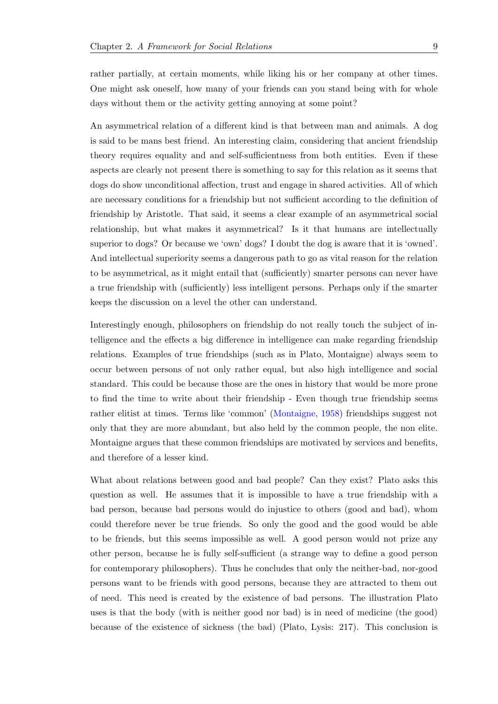rather partially, at certain moments, while liking his or her company at other times. One might ask oneself, how many of your friends can you stand being with for whole days without them or the activity getting annoying at some point?

An asymmetrical relation of a different kind is that between man and animals. A dog is said to be mans best friend. An interesting claim, considering that ancient friendship theory requires equality and and self-sufficientness from both entities. Even if these aspects are clearly not present there is something to say for this relation as it seems that dogs do show unconditional affection, trust and engage in shared activities. All of which are necessary conditions for a friendship but not sufficient according to the definition of friendship by Aristotle. That said, it seems a clear example of an asymmetrical social relationship, but what makes it asymmetrical? Is it that humans are intellectually superior to dogs? Or because we 'own' dogs? I doubt the dog is aware that it is 'owned'. And intellectual superiority seems a dangerous path to go as vital reason for the relation to be asymmetrical, as it might entail that (sufficiently) smarter persons can never have a true friendship with (sufficiently) less intelligent persons. Perhaps only if the smarter keeps the discussion on a level the other can understand.

Interestingly enough, philosophers on friendship do not really touch the subject of intelligence and the effects a big difference in intelligence can make regarding friendship relations. Examples of true friendships (such as in Plato, Montaigne) always seem to occur between persons of not only rather equal, but also high intelligence and social standard. This could be because those are the ones in history that would be more prone to find the time to write about their friendship - Even though true friendship seems rather elitist at times. Terms like 'common' (Montaigne, 1958) friendships suggest not only that they are more abundant, but also held by the common people, the non elite. Montaigne argues that these common friendships are motivated by services and benefits, and therefore of a lesser kind.

What about relations between good and bad people? Can they exist? Plato asks this question as well. He assumes that it is impossible to have a true friendship with a bad person, because bad persons would do injustice to others (good and bad), whom could therefore never be true friends. So only the good and the good would be able to be friends, but this seems impossible as well. A good person would not prize any other person, because he is fully self-sufficient (a strange way to define a good person for contemporary philosophers). Thus he concludes that only the neither-bad, nor-good persons want to be friends with good persons, because they are attracted to them out of need. This need is created by the existence of bad persons. The illustration Plato uses is that the body (with is neither good nor bad) is in need of medicine (the good) because of the existence of sickness (the bad) (Plato, Lysis: 217). This conclusion is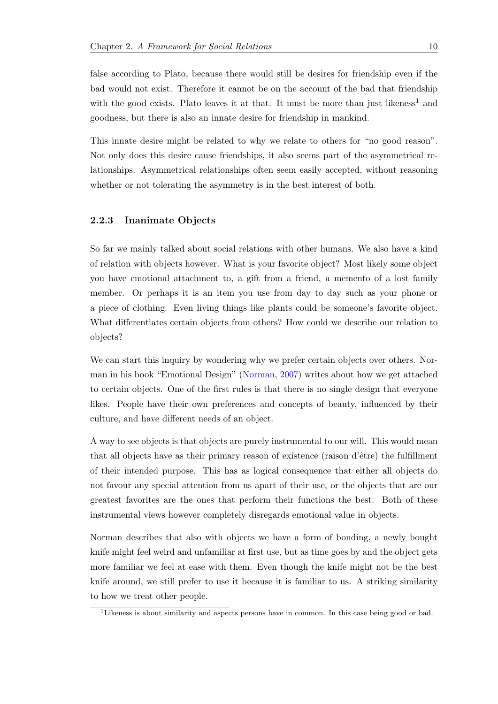false according to Plato, because there would still be desires for friendship even if the bad would not exist. Therefore it cannot be on the account of the bad that friendship with the good exists. Plato leaves it at that. It must be more than just likeness<sup>1</sup> and goodness, but there is also an innate desire for friendship in mankind.

This innate desire might be related to why we relate to others for "no good re[as](#page-14-1)on". Not only does this desire cause friendships, it also seems part of the asymmetrical relationships. Asymmetrical relationships often seem easily accepted, without reasoning whether or not tolerating the asymmetry is in the best interest of both.

#### **2.2.3 Inanimate Objects**

<span id="page-14-0"></span>So far we mainly talked about social relations with other humans. We also have a kind of relation with objects however. What is your favorite object? Most likely some object you have emotional attachment to, a gift from a friend, a memento of a lost family member. Or perhaps it is an item you use from day to day such as your phone or a piece of clothing. Even living things like plants could be someone's favorite object. What differentiates certain objects from others? How could we describe our relation to objects?

We can start this inquiry by wondering why we prefer certain objects over others. Norman in his book "Emotional Design" (Norman, 2007) writes about how we get attached to certain objects. One of the first rules is that there is no single design that everyone likes. People have their own preferences and concepts of beauty, influenced by their culture, and have different needs of a[n object.](#page-92-3)

A way to see objects is that objects are purely instrumental to our will. This would mean that all objects have as their primary reason of existence (raison d'ˆetre) the fulfillment of their intended purpose. This has as logical consequence that either all objects do not favour any special attention from us apart of their use, or the objects that are our greatest favorites are the ones that perform their functions the best. Both of these instrumental views however completely disregards emotional value in objects.

Norman describes that also with objects we have a form of bonding, a newly bought knife might feel weird and unfamiliar at first use, but as time goes by and the object gets more familiar we feel at ease with them. Even though the knife might not be the best knife around, we still prefer to use it because it is familiar to us. A striking similarity to how we treat other people.

<span id="page-14-1"></span><sup>&</sup>lt;sup>1</sup>Likeness is about similarity and aspects persons have in common. In this case being good or bad.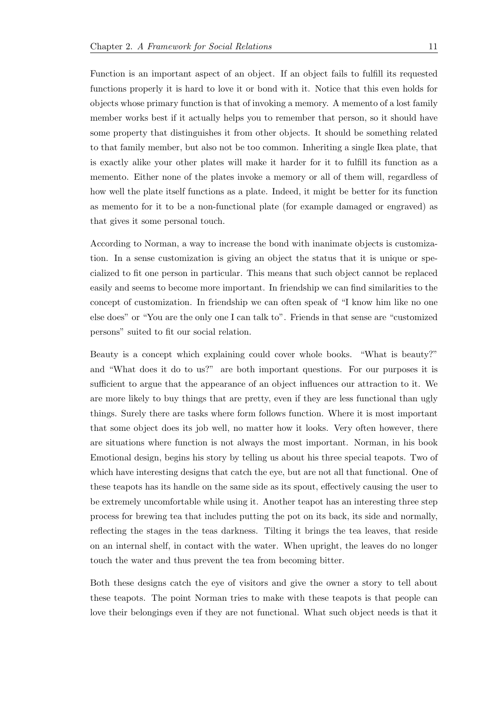Function is an important aspect of an object. If an object fails to fulfill its requested functions properly it is hard to love it or bond with it. Notice that this even holds for objects whose primary function is that of invoking a memory. A memento of a lost family member works best if it actually helps you to remember that person, so it should have some property that distinguishes it from other objects. It should be something related to that family member, but also not be too common. Inheriting a single Ikea plate, that is exactly alike your other plates will make it harder for it to fulfill its function as a memento. Either none of the plates invoke a memory or all of them will, regardless of how well the plate itself functions as a plate. Indeed, it might be better for its function as memento for it to be a non-functional plate (for example damaged or engraved) as that gives it some personal touch.

According to Norman, a way to increase the bond with inanimate objects is customization. In a sense customization is giving an object the status that it is unique or specialized to fit one person in particular. This means that such object cannot be replaced easily and seems to become more important. In friendship we can find similarities to the concept of customization. In friendship we can often speak of "I know him like no one else does" or "You are the only one I can talk to". Friends in that sense are "customized persons" suited to fit our social relation.

Beauty is a concept which explaining could cover whole books. "What is beauty?" and "What does it do to us?" are both important questions. For our purposes it is sufficient to argue that the appearance of an object influences our attraction to it. We are more likely to buy things that are pretty, even if they are less functional than ugly things. Surely there are tasks where form follows function. Where it is most important that some object does its job well, no matter how it looks. Very often however, there are situations where function is not always the most important. Norman, in his book Emotional design, begins his story by telling us about his three special teapots. Two of which have interesting designs that catch the eye, but are not all that functional. One of these teapots has its handle on the same side as its spout, effectively causing the user to be extremely uncomfortable while using it. Another teapot has an interesting three step process for brewing tea that includes putting the pot on its back, its side and normally, reflecting the stages in the teas darkness. Tilting it brings the tea leaves, that reside on an internal shelf, in contact with the water. When upright, the leaves do no longer touch the water and thus prevent the tea from becoming bitter.

Both these designs catch the eye of visitors and give the owner a story to tell about these teapots. The point Norman tries to make with these teapots is that people can love their belongings even if they are not functional. What such object needs is that it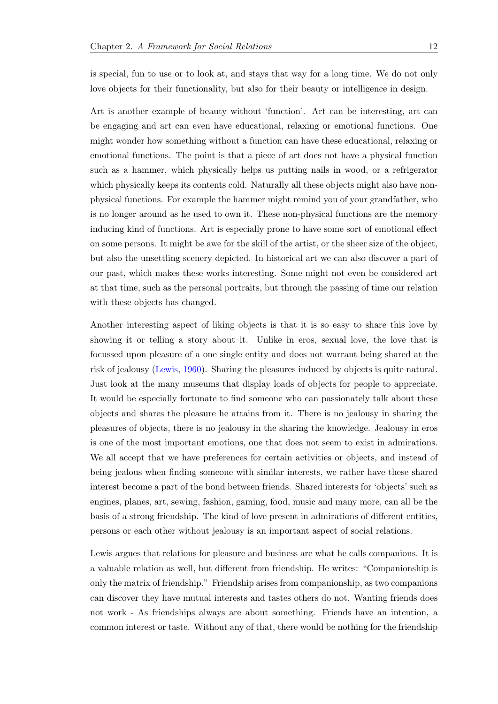is special, fun to use or to look at, and stays that way for a long time. We do not only love objects for their functionality, but also for their beauty or intelligence in design.

Art is another example of beauty without 'function'. Art can be interesting, art can be engaging and art can even have educational, relaxing or emotional functions. One might wonder how something without a function can have these educational, relaxing or emotional functions. The point is that a piece of art does not have a physical function such as a hammer, which physically helps us putting nails in wood, or a refrigerator which physically keeps its contents cold. Naturally all these objects might also have nonphysical functions. For example the hammer might remind you of your grandfather, who is no longer around as he used to own it. These non-physical functions are the memory inducing kind of functions. Art is especially prone to have some sort of emotional effect on some persons. It might be awe for the skill of the artist, or the sheer size of the object, but also the unsettling scenery depicted. In historical art we can also discover a part of our past, which makes these works interesting. Some might not even be considered art at that time, such as the personal portraits, but through the passing of time our relation with these objects has changed.

Another interesting aspect of liking objects is that it is so easy to share this love by showing it or telling a story about it. Unlike in eros, sexual love, the love that is focussed upon pleasure of a one single entity and does not warrant being shared at the risk of jealousy (Lewis, 1960). Sharing the pleasures induced by objects is quite natural. Just look at the many museums that display loads of objects for people to appreciate. It would be especially fortunate to find someone who can passionately talk about these objects and sha[res the pleas](#page-91-0)ure he attains from it. There is no jealousy in sharing the pleasures of objects, there is no jealousy in the sharing the knowledge. Jealousy in eros is one of the most important emotions, one that does not seem to exist in admirations. We all accept that we have preferences for certain activities or objects, and instead of being jealous when finding someone with similar interests, we rather have these shared interest become a part of the bond between friends. Shared interests for 'objects' such as engines, planes, art, sewing, fashion, gaming, food, music and many more, can all be the basis of a strong friendship. The kind of love present in admirations of different entities, persons or each other without jealousy is an important aspect of social relations.

Lewis argues that relations for pleasure and business are what he calls companions. It is a valuable relation as well, but different from friendship. He writes: "Companionship is only the matrix of friendship." Friendship arises from companionship, as two companions can discover they have mutual interests and tastes others do not. Wanting friends does not work - As friendships always are about something. Friends have an intention, a common interest or taste. Without any of that, there would be nothing for the friendship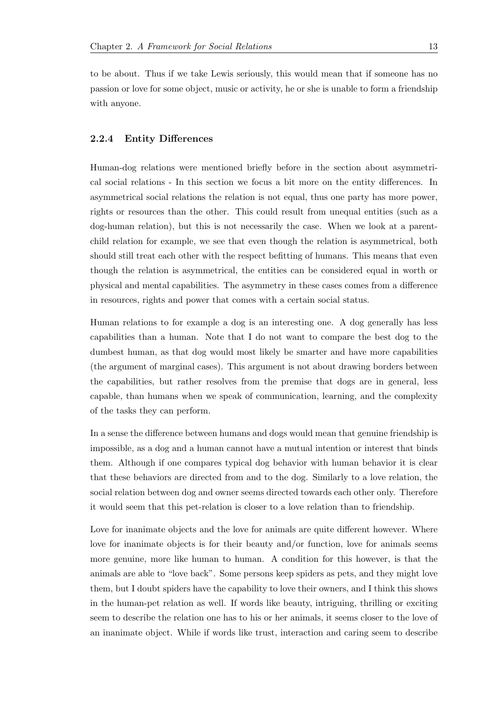to be about. Thus if we take Lewis seriously, this would mean that if someone has no passion or love for some object, music or activity, he or she is unable to form a friendship with anyone.

#### <span id="page-17-0"></span>**2.2.4 Entity Differences**

Human-dog relations were mentioned briefly before in the section about asymmetrical social relations - In this section we focus a bit more on the entity differences. In asymmetrical social relations the relation is not equal, thus one party has more power, rights or resources than the other. This could result from unequal entities (such as a dog-human relation), but this is not necessarily the case. When we look at a parentchild relation for example, we see that even though the relation is asymmetrical, both should still treat each other with the respect befitting of humans. This means that even though the relation is asymmetrical, the entities can be considered equal in worth or physical and mental capabilities. The asymmetry in these cases comes from a difference in resources, rights and power that comes with a certain social status.

Human relations to for example a dog is an interesting one. A dog generally has less capabilities than a human. Note that I do not want to compare the best dog to the dumbest human, as that dog would most likely be smarter and have more capabilities (the argument of marginal cases). This argument is not about drawing borders between the capabilities, but rather resolves from the premise that dogs are in general, less capable, than humans when we speak of communication, learning, and the complexity of the tasks they can perform.

In a sense the difference between humans and dogs would mean that genuine friendship is impossible, as a dog and a human cannot have a mutual intention or interest that binds them. Although if one compares typical dog behavior with human behavior it is clear that these behaviors are directed from and to the dog. Similarly to a love relation, the social relation between dog and owner seems directed towards each other only. Therefore it would seem that this pet-relation is closer to a love relation than to friendship.

Love for inanimate objects and the love for animals are quite different however. Where love for inanimate objects is for their beauty and/or function, love for animals seems more genuine, more like human to human. A condition for this however, is that the animals are able to "love back". Some persons keep spiders as pets, and they might love them, but I doubt spiders have the capability to love their owners, and I think this shows in the human-pet relation as well. If words like beauty, intriguing, thrilling or exciting seem to describe the relation one has to his or her animals, it seems closer to the love of an inanimate object. While if words like trust, interaction and caring seem to describe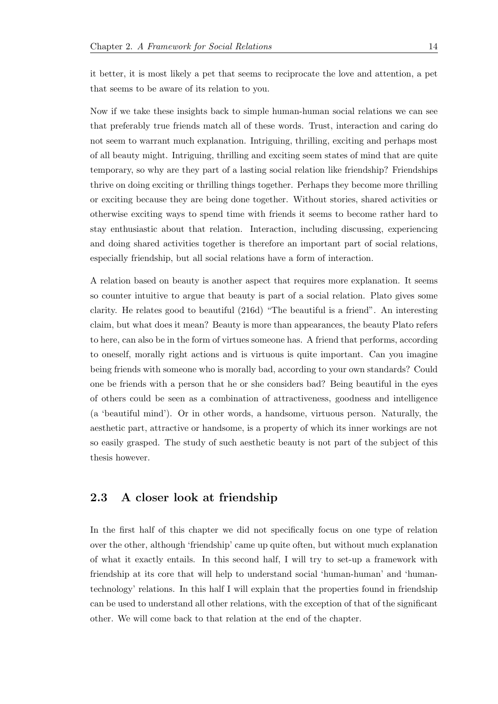it better, it is most likely a pet that seems to reciprocate the love and attention, a pet that seems to be aware of its relation to you.

Now if we take these insights back to simple human-human social relations we can see that preferably true friends match all of these words. Trust, interaction and caring do not seem to warrant much explanation. Intriguing, thrilling, exciting and perhaps most of all beauty might. Intriguing, thrilling and exciting seem states of mind that are quite temporary, so why are they part of a lasting social relation like friendship? Friendships thrive on doing exciting or thrilling things together. Perhaps they become more thrilling or exciting because they are being done together. Without stories, shared activities or otherwise exciting ways to spend time with friends it seems to become rather hard to stay enthusiastic about that relation. Interaction, including discussing, experiencing and doing shared activities together is therefore an important part of social relations, especially friendship, but all social relations have a form of interaction.

A relation based on beauty is another aspect that requires more explanation. It seems so counter intuitive to argue that beauty is part of a social relation. Plato gives some clarity. He relates good to beautiful (216d) "The beautiful is a friend". An interesting claim, but what does it mean? Beauty is more than appearances, the beauty Plato refers to here, can also be in the form of virtues someone has. A friend that performs, according to oneself, morally right actions and is virtuous is quite important. Can you imagine being friends with someone who is morally bad, according to your own standards? Could one be friends with a person that he or she considers bad? Being beautiful in the eyes of others could be seen as a combination of attractiveness, goodness and intelligence (a 'beautiful mind'). Or in other words, a handsome, virtuous person. Naturally, the aesthetic part, attractive or handsome, is a property of which its inner workings are not so easily grasped. The study of such aesthetic beauty is not part of the subject of this thesis however.

### <span id="page-18-0"></span>**2.3 A closer look at friendship**

In the first half of this chapter we did not specifically focus on one type of relation over the other, although 'friendship' came up quite often, but without much explanation of what it exactly entails. In this second half, I will try to set-up a framework with friendship at its core that will help to understand social 'human-human' and 'humantechnology' relations. In this half I will explain that the properties found in friendship can be used to understand all other relations, with the exception of that of the significant other. We will come back to that relation at the end of the chapter.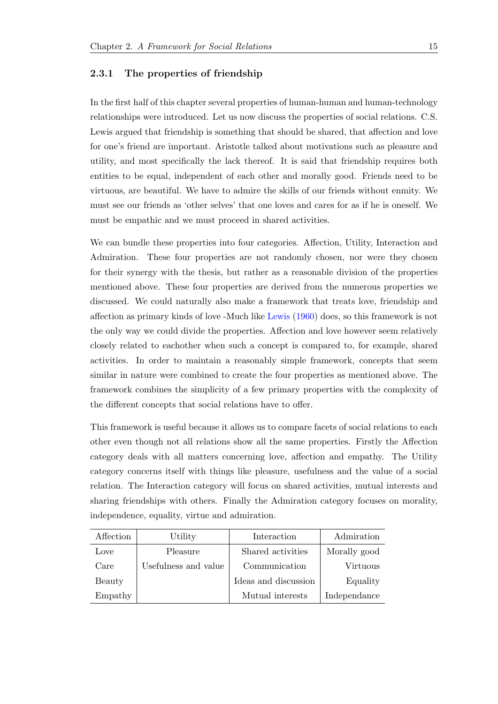#### **2.3.1 The properties of friendship**

<span id="page-19-0"></span>In the first half of this chapter several properties of human-human and human-technology relationships were introduced. Let us now discuss the properties of social relations. C.S. Lewis argued that friendship is something that should be shared, that affection and love for one's friend are important. Aristotle talked about motivations such as pleasure and utility, and most specifically the lack thereof. It is said that friendship requires both entities to be equal, independent of each other and morally good. Friends need to be virtuous, are beautiful. We have to admire the skills of our friends without enmity. We must see our friends as 'other selves' that one loves and cares for as if he is oneself. We must be empathic and we must proceed in shared activities.

We can bundle these properties into four categories. Affection, Utility, Interaction and Admiration. These four properties are not randomly chosen, nor were they chosen for their synergy with the thesis, but rather as a reasonable division of the properties mentioned above. These four properties are derived from the numerous properties we discussed. We could naturally also make a framework that treats love, friendship and affection as primary kinds of love -Much like Lewis (1960) does, so this framework is not the only way we could divide the properties. Affection and love however seem relatively closely related to eachother when such a concept is compared to, for example, shared activities. In order to maintain a reasona[bly simple fr](#page-91-0)amework, concepts that seem similar in nature were combined to create the four properties as mentioned above. The framework combines the simplicity of a few primary properties with the complexity of the different concepts that social relations have to offer.

This framework is useful because it allows us to compare facets of social relations to each other even though not all relations show all the same properties. Firstly the Affection category deals with all matters concerning love, affection and empathy. The Utility category concerns itself with things like pleasure, usefulness and the value of a social relation. The Interaction category will focus on shared activities, mutual interests and sharing friendships with others. Finally the Admiration category focuses on morality, independence, equality, virtue and admiration.

| Affection | Utility              | Interaction          | Admiration   |
|-----------|----------------------|----------------------|--------------|
| Love      | Pleasure             | Shared activities    | Morally good |
| Care      | Usefulness and value | Communication        | Virtuous     |
| Beauty    |                      | Ideas and discussion | Equality     |
| Empathy   |                      | Mutual interests     | Independance |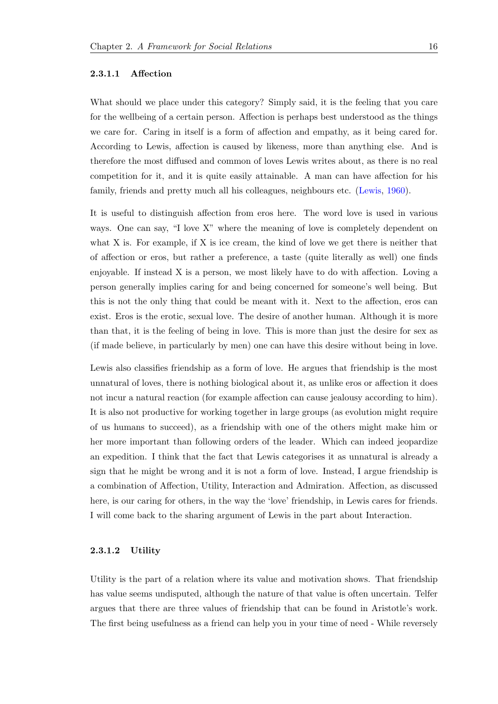#### **2.3.1.1 Affection**

<span id="page-20-0"></span>What should we place under this category? Simply said, it is the feeling that you care for the wellbeing of a certain person. Affection is perhaps best understood as the things we care for. Caring in itself is a form of affection and empathy, as it being cared for. According to Lewis, affection is caused by likeness, more than anything else. And is therefore the most diffused and common of loves Lewis writes about, as there is no real competition for it, and it is quite easily attainable. A man can have affection for his family, friends and pretty much all his colleagues, neighbours etc. (Lewis, 1960).

It is useful to distinguish affection from eros here. The word love is used in various ways. One can say, "I love X" where the meaning of love is comp[letely](#page-91-0) [depen](#page-91-0)dent on what X is. For example, if X is ice cream, the kind of love we get there is neither that of affection or eros, but rather a preference, a taste (quite literally as well) one finds enjoyable. If instead X is a person, we most likely have to do with affection. Loving a person generally implies caring for and being concerned for someone's well being. But this is not the only thing that could be meant with it. Next to the affection, eros can exist. Eros is the erotic, sexual love. The desire of another human. Although it is more than that, it is the feeling of being in love. This is more than just the desire for sex as (if made believe, in particularly by men) one can have this desire without being in love.

Lewis also classifies friendship as a form of love. He argues that friendship is the most unnatural of loves, there is nothing biological about it, as unlike eros or affection it does not incur a natural reaction (for example affection can cause jealousy according to him). It is also not productive for working together in large groups (as evolution might require of us humans to succeed), as a friendship with one of the others might make him or her more important than following orders of the leader. Which can indeed jeopardize an expedition. I think that the fact that Lewis categorises it as unnatural is already a sign that he might be wrong and it is not a form of love. Instead, I argue friendship is a combination of Affection, Utility, Interaction and Admiration. Affection, as discussed here, is our caring for others, in the way the 'love' friendship, in Lewis cares for friends. I will come back to the sharing argument of Lewis in the part about Interaction.

#### **2.3.1.2 Utility**

<span id="page-20-1"></span>Utility is the part of a relation where its value and motivation shows. That friendship has value seems undisputed, although the nature of that value is often uncertain. Telfer argues that there are three values of friendship that can be found in Aristotle's work. The first being usefulness as a friend can help you in your time of need - While reversely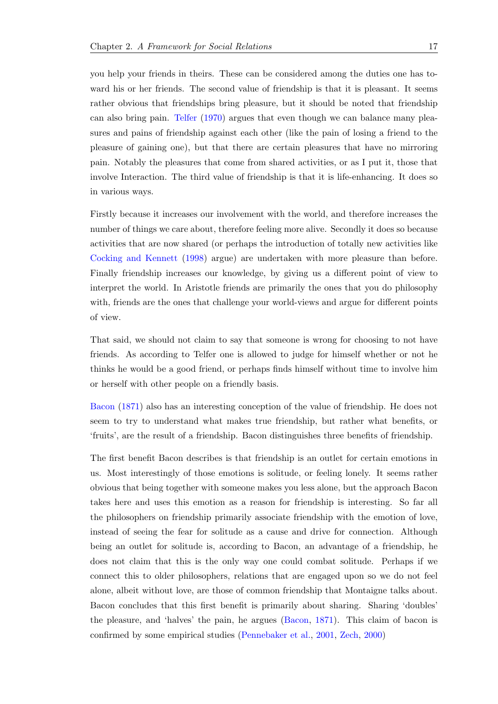you help your friends in theirs. These can be considered among the duties one has toward his or her friends. The second value of friendship is that it is pleasant. It seems rather obvious that friendships bring pleasure, but it should be noted that friendship can also bring pain. Telfer (1970) argues that even though we can balance many pleasures and pains of friendship against each other (like the pain of losing a friend to the pleasure of gaining one), but that there are certain pleasures that have no mirroring pain. Notably the pl[easure](#page-93-0)s [that](#page-93-0) come from shared activities, or as I put it, those that involve Interaction. The third value of friendship is that it is life-enhancing. It does so in various ways.

Firstly because it increases our involvement with the world, and therefore increases the number of things we care about, therefore feeling more alive. Secondly it does so because activities that are now shared (or perhaps the introduction of totally new activities like Cocking and Kennett (1998) argue) are undertaken with more pleasure than before. Finally friendship increases our knowledge, by giving us a different point of view to interpret the world. In Aristotle friends are primarily the ones that you do philosophy [with, friends are the ones tha](#page-90-1)t challenge your world-views and argue for different points of view.

That said, we should not claim to say that someone is wrong for choosing to not have friends. As according to Telfer one is allowed to judge for himself whether or not he thinks he would be a good friend, or perhaps finds himself without time to involve him or herself with other people on a friendly basis.

Bacon (1871) also has an interesting conception of the value of friendship. He does not seem to try to understand what makes true friendship, but rather what benefits, or 'fruits', are the result of a friendship. Bacon distinguishes three benefits of friendship.

The first benefit Bacon describes is that friendship is an outlet for certain emotions in us. Most interestingly of those emotions is solitude, or feeling lonely. It seems rather obvious that being together with someone makes you less alone, but the approach Bacon takes here and uses this emotion as a reason for friendship is interesting. So far all the philosophers on friendship primarily associate friendship with the emotion of love, instead of seeing the fear for solitude as a cause and drive for connection. Although being an outlet for solitude is, according to Bacon, an advantage of a friendship, he does not claim that this is the only way one could combat solitude. Perhaps if we connect this to older philosophers, relations that are engaged upon so we do not feel alone, albeit without love, are those of common friendship that Montaigne talks about. Bacon concludes that this first benefit is primarily about sharing. Sharing 'doubles' the pleasure, and 'halves' the pain, he argues (Bacon, 1871). This claim of bacon is confirmed by some empirical studies (Pennebaker et al., 2001, Zech, 2000)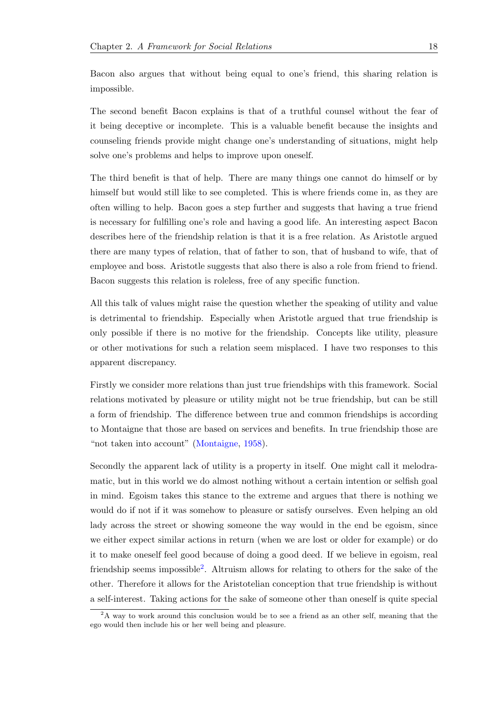Bacon also argues that without being equal to one's friend, this sharing relation is impossible.

The second benefit Bacon explains is that of a truthful counsel without the fear of it being deceptive or incomplete. This is a valuable benefit because the insights and counseling friends provide might change one's understanding of situations, might help solve one's problems and helps to improve upon oneself.

The third benefit is that of help. There are many things one cannot do himself or by himself but would still like to see completed. This is where friends come in, as they are often willing to help. Bacon goes a step further and suggests that having a true friend is necessary for fulfilling one's role and having a good life. An interesting aspect Bacon describes here of the friendship relation is that it is a free relation. As Aristotle argued there are many types of relation, that of father to son, that of husband to wife, that of employee and boss. Aristotle suggests that also there is also a role from friend to friend. Bacon suggests this relation is roleless, free of any specific function.

All this talk of values might raise the question whether the speaking of utility and value is detrimental to friendship. Especially when Aristotle argued that true friendship is only possible if there is no motive for the friendship. Concepts like utility, pleasure or other motivations for such a relation seem misplaced. I have two responses to this apparent discrepancy.

Firstly we consider more relations than just true friendships with this framework. Social relations motivated by pleasure or utility might not be true friendship, but can be still a form of friendship. The difference between true and common friendships is according to Montaigne that those are based on services and benefits. In true friendship those are "not taken into account" (Montaigne, 1958).

Secondly the apparent lack of utility is a property in itself. One might call it melodramatic, but in this world w[e do almost](#page-92-4) [nothi](#page-92-4)ng without a certain intention or selfish goal in mind. Egoism takes this stance to the extreme and argues that there is nothing we would do if not if it was somehow to pleasure or satisfy ourselves. Even helping an old lady across the street or showing someone the way would in the end be egoism, since we either expect similar actions in return (when we are lost or older for example) or do it to make oneself feel good because of doing a good deed. If we believe in egoism, real friendship seems impossible<sup>2</sup>. Altruism allows for relating to others for the sake of the other. Therefore it allows for the Aristotelian conception that true friendship is without a self-interest. Taking actions for the sake of someone other than oneself is quite special

<sup>2</sup>A way to work around this conclusion would be to see a friend as an other self, meaning that the ego would then include his or her well being and pleasure.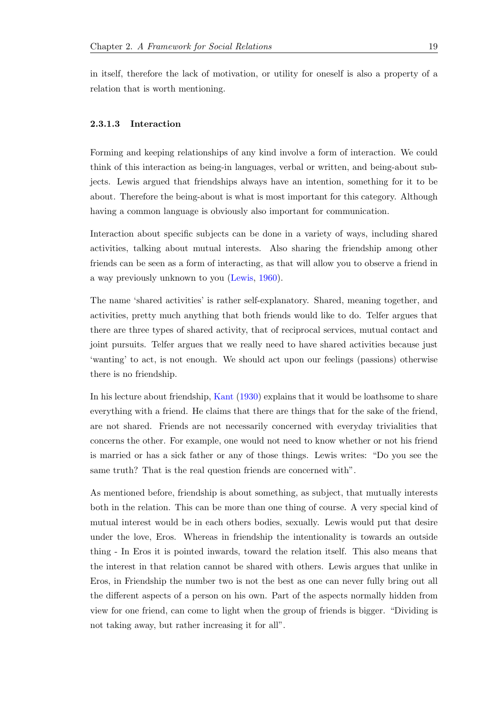in itself, therefore the lack of motivation, or utility for oneself is also a property of a relation that is worth mentioning.

#### **2.3.1.3 Interaction**

<span id="page-23-0"></span>Forming and keeping relationships of any kind involve a form of interaction. We could think of this interaction as being-in languages, verbal or written, and being-about subjects. Lewis argued that friendships always have an intention, something for it to be about. Therefore the being-about is what is most important for this category. Although having a common language is obviously also important for communication.

Interaction about specific subjects can be done in a variety of ways, including shared activities, talking about mutual interests. Also sharing the friendship among other friends can be seen as a form of interacting, as that will allow you to observe a friend in a way previously unknown to you (Lewis, 1960).

The name 'shared activities' is rather self-explanatory. Shared, meaning together, and activities, pretty much anything t[hat both frien](#page-91-0)ds would like to do. Telfer argues that there are three types of shared activity, that of reciprocal services, mutual contact and joint pursuits. Telfer argues that we really need to have shared activities because just 'wanting' to act, is not enough. We should act upon our feelings (passions) otherwise there is no friendship.

In his lecture about friendship, Kant (1930) explains that it would be loathsome to share everything with a friend. He claims that there are things that for the sake of the friend, are not shared. Friends are not necessarily concerned with everyday trivialities that concerns the other. For examp[le, one woul](#page-91-1)d not need to know whether or not his friend is married or has a sick father or any of those things. Lewis writes: "Do you see the same truth? That is the real question friends are concerned with".

As mentioned before, friendship is about something, as subject, that mutually interests both in the relation. This can be more than one thing of course. A very special kind of mutual interest would be in each others bodies, sexually. Lewis would put that desire under the love, Eros. Whereas in friendship the intentionality is towards an outside thing - In Eros it is pointed inwards, toward the relation itself. This also means that the interest in that relation cannot be shared with others. Lewis argues that unlike in Eros, in Friendship the number two is not the best as one can never fully bring out all the different aspects of a person on his own. Part of the aspects normally hidden from view for one friend, can come to light when the group of friends is bigger. "Dividing is not taking away, but rather increasing it for all".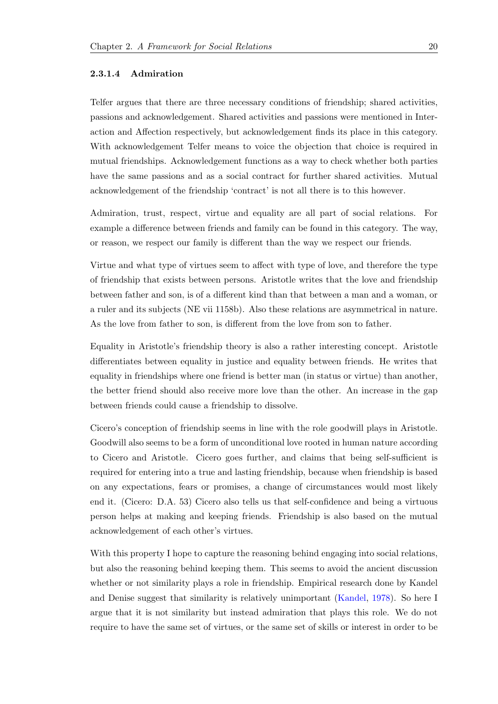#### **2.3.1.4 Admiration**

<span id="page-24-0"></span>Telfer argues that there are three necessary conditions of friendship; shared activities, passions and acknowledgement. Shared activities and passions were mentioned in Interaction and Affection respectively, but acknowledgement finds its place in this category. With acknowledgement Telfer means to voice the objection that choice is required in mutual friendships. Acknowledgement functions as a way to check whether both parties have the same passions and as a social contract for further shared activities. Mutual acknowledgement of the friendship 'contract' is not all there is to this however.

Admiration, trust, respect, virtue and equality are all part of social relations. For example a difference between friends and family can be found in this category. The way, or reason, we respect our family is different than the way we respect our friends.

Virtue and what type of virtues seem to affect with type of love, and therefore the type of friendship that exists between persons. Aristotle writes that the love and friendship between father and son, is of a different kind than that between a man and a woman, or a ruler and its subjects (NE vii 1158b). Also these relations are asymmetrical in nature. As the love from father to son, is different from the love from son to father.

Equality in Aristotle's friendship theory is also a rather interesting concept. Aristotle differentiates between equality in justice and equality between friends. He writes that equality in friendships where one friend is better man (in status or virtue) than another, the better friend should also receive more love than the other. An increase in the gap between friends could cause a friendship to dissolve.

Cicero's conception of friendship seems in line with the role goodwill plays in Aristotle. Goodwill also seems to be a form of unconditional love rooted in human nature according to Cicero and Aristotle. Cicero goes further, and claims that being self-sufficient is required for entering into a true and lasting friendship, because when friendship is based on any expectations, fears or promises, a change of circumstances would most likely end it. (Cicero: D.A. 53) Cicero also tells us that self-confidence and being a virtuous person helps at making and keeping friends. Friendship is also based on the mutual acknowledgement of each other's virtues.

With this property I hope to capture the reasoning behind engaging into social relations, but also the reasoning behind keeping them. This seems to avoid the ancient discussion whether or not similarity plays a role in friendship. Empirical research done by Kandel and Denise suggest that similarity is relatively unimportant (Kandel, 1978). So here I argue that it is not similarity but instead admiration that plays this role. We do not require to have the same set of virtues, or the same set of skills or interest in order to be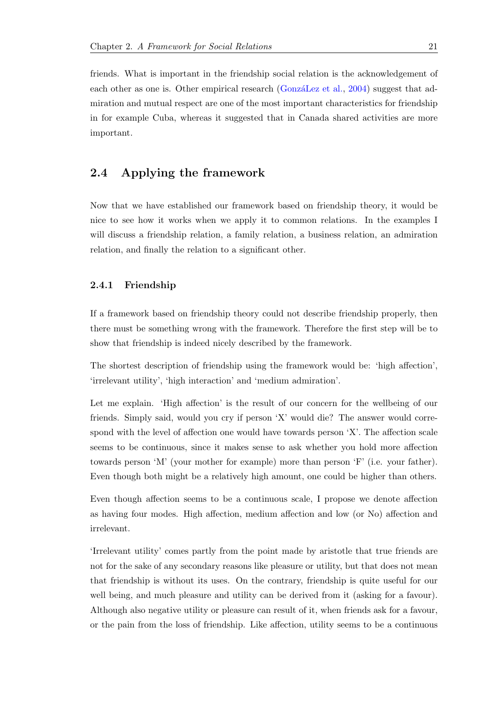friends. What is important in the friendship social relation is the acknowledgement of each other as one is. Other empirical research (GonzáLez et al., 2004) suggest that admiration and mutual respect are one of the most important characteristics for friendship in for example Cuba, whereas it suggested that in Canada shared activities are more important.

## **2.4 Applying the framework**

<span id="page-25-0"></span>Now that we have established our framework based on friendship theory, it would be nice to see how it works when we apply it to common relations. In the examples I will discuss a friendship relation, a family relation, a business relation, an admiration relation, and finally the relation to a significant other.

#### **2.4.1 Friendship**

<span id="page-25-1"></span>If a framework based on friendship theory could not describe friendship properly, then there must be something wrong with the framework. Therefore the first step will be to show that friendship is indeed nicely described by the framework.

The shortest description of friendship using the framework would be: 'high affection', 'irrelevant utility', 'high interaction' and 'medium admiration'.

Let me explain. 'High affection' is the result of our concern for the wellbeing of our friends. Simply said, would you cry if person 'X' would die? The answer would correspond with the level of affection one would have towards person 'X'. The affection scale seems to be continuous, since it makes sense to ask whether you hold more affection towards person 'M' (your mother for example) more than person 'F' (i.e. your father). Even though both might be a relatively high amount, one could be higher than others.

Even though affection seems to be a continuous scale, I propose we denote affection as having four modes. High affection, medium affection and low (or No) affection and irrelevant.

'Irrelevant utility' comes partly from the point made by aristotle that true friends are not for the sake of any secondary reasons like pleasure or utility, but that does not mean that friendship is without its uses. On the contrary, friendship is quite useful for our well being, and much pleasure and utility can be derived from it (asking for a favour). Although also negative utility or pleasure can result of it, when friends ask for a favour, or the pain from the loss of friendship. Like affection, utility seems to be a continuous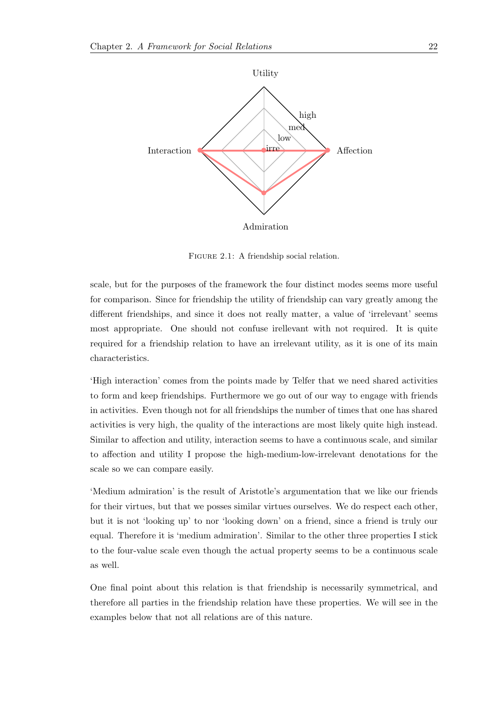

FIGURE 2.1: A friendship social relation.

scale, but for the purposes of the framework the four distinct modes seems more useful for comparison. Since for friendship the utility of friendship can vary greatly among the different friendships, and since it does not really matter, a value of 'irrelevant' seems most appropriate. One should not confuse irellevant with not required. It is quite required for a friendship relation to have an irrelevant utility, as it is one of its main characteristics.

'High interaction' comes from the points made by Telfer that we need shared activities to form and keep friendships. Furthermore we go out of our way to engage with friends in activities. Even though not for all friendships the number of times that one has shared activities is very high, the quality of the interactions are most likely quite high instead. Similar to affection and utility, interaction seems to have a continuous scale, and similar to affection and utility I propose the high-medium-low-irrelevant denotations for the scale so we can compare easily.

'Medium admiration' is the result of Aristotle's argumentation that we like our friends for their virtues, but that we posses similar virtues ourselves. We do respect each other, but it is not 'looking up' to nor 'looking down' on a friend, since a friend is truly our equal. Therefore it is 'medium admiration'. Similar to the other three properties I stick to the four-value scale even though the actual property seems to be a continuous scale as well.

One final point about this relation is that friendship is necessarily symmetrical, and therefore all parties in the friendship relation have these properties. We will see in the examples below that not all relations are of this nature.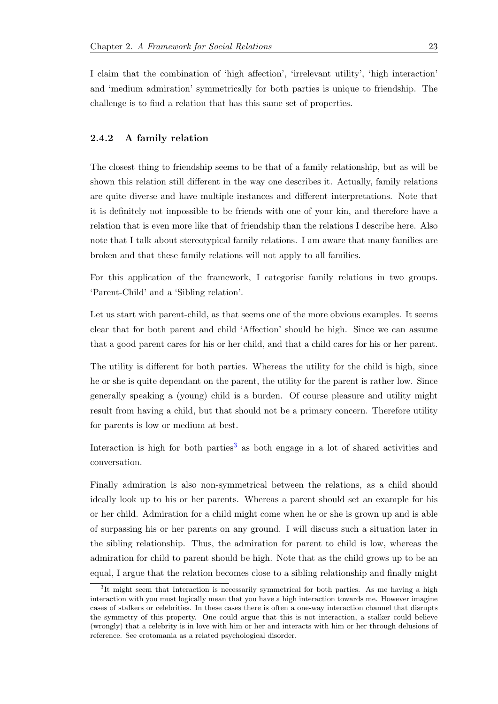I claim that the combination of 'high affection', 'irrelevant utility', 'high interaction' and 'medium admiration' symmetrically for both parties is unique to friendship. The challenge is to find a relation that has this same set of properties.

#### **2.4.2 A family relation**

<span id="page-27-0"></span>The closest thing to friendship seems to be that of a family relationship, but as will be shown this relation still different in the way one describes it. Actually, family relations are quite diverse and have multiple instances and different interpretations. Note that it is definitely not impossible to be friends with one of your kin, and therefore have a relation that is even more like that of friendship than the relations I describe here. Also note that I talk about stereotypical family relations. I am aware that many families are broken and that these family relations will not apply to all families.

For this application of the framework, I categorise family relations in two groups. 'Parent-Child' and a 'Sibling relation'.

Let us start with parent-child, as that seems one of the more obvious examples. It seems clear that for both parent and child 'Affection' should be high. Since we can assume that a good parent cares for his or her child, and that a child cares for his or her parent.

The utility is different for both parties. Whereas the utility for the child is high, since he or she is quite dependant on the parent, the utility for the parent is rather low. Since generally speaking a (young) child is a burden. Of course pleasure and utility might result from having a child, but that should not be a primary concern. Therefore utility for parents is low or medium at best.

Interaction is high for both parties<sup>3</sup> as both engage in a lot of shared activities and conversation.

Finally admiration is also non-sy[mm](#page-27-1)etrical between the relations, as a child should ideally look up to his or her parents. Whereas a parent should set an example for his or her child. Admiration for a child might come when he or she is grown up and is able of surpassing his or her parents on any ground. I will discuss such a situation later in the sibling relationship. Thus, the admiration for parent to child is low, whereas the admiration for child to parent should be high. Note that as the child grows up to be an equal, I argue that the relation becomes close to a sibling relationship and finally might

<span id="page-27-1"></span><sup>&</sup>lt;sup>3</sup>It might seem that Interaction is necessarily symmetrical for both parties. As me having a high interaction with you must logically mean that you have a high interaction towards me. However imagine cases of stalkers or celebrities. In these cases there is often a one-way interaction channel that disrupts the symmetry of this property. One could argue that this is not interaction, a stalker could believe (wrongly) that a celebrity is in love with him or her and interacts with him or her through delusions of reference. See erotomania as a related psychological disorder.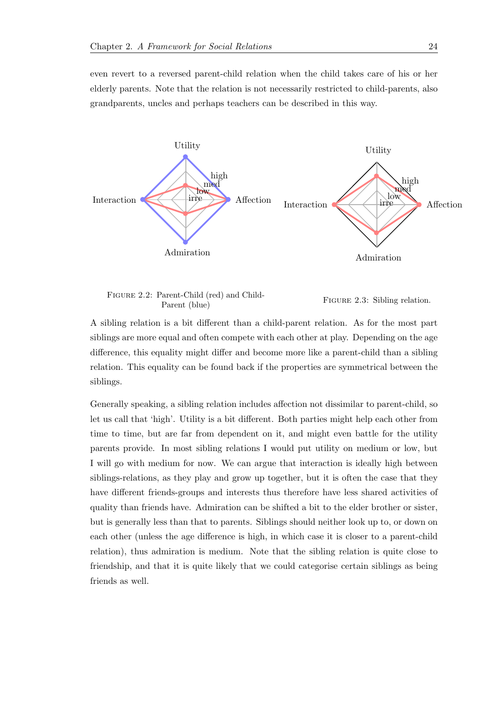even revert to a reversed parent-child relation when the child takes care of his or her elderly parents. Note that the relation is not necessarily restricted to child-parents, also grandparents, uncles and perhaps teachers can be described in this way.



Figure 2.2: Parent-Child (red) and Child-Parent (blue) FIGURE 2.3: Sibling relation.

A sibling relation is a bit different than a child-parent relation. As for the most part siblings are more equal and often compete with each other at play. Depending on the age difference, this equality might differ and become more like a parent-child than a sibling relation. This equality can be found back if the properties are symmetrical between the siblings.

Generally speaking, a sibling relation includes affection not dissimilar to parent-child, so let us call that 'high'. Utility is a bit different. Both parties might help each other from time to time, but are far from dependent on it, and might even battle for the utility parents provide. In most sibling relations I would put utility on medium or low, but I will go with medium for now. We can argue that interaction is ideally high between siblings-relations, as they play and grow up together, but it is often the case that they have different friends-groups and interests thus therefore have less shared activities of quality than friends have. Admiration can be shifted a bit to the elder brother or sister, but is generally less than that to parents. Siblings should neither look up to, or down on each other (unless the age difference is high, in which case it is closer to a parent-child relation), thus admiration is medium. Note that the sibling relation is quite close to friendship, and that it is quite likely that we could categorise certain siblings as being friends as well.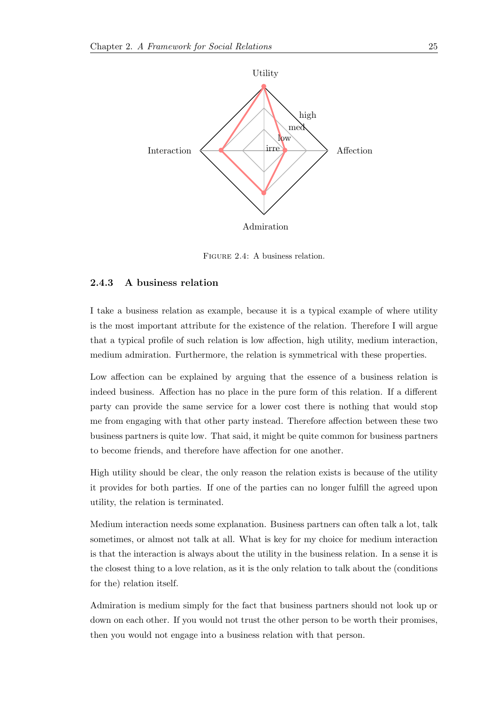

Figure 2.4: A business relation.

#### <span id="page-29-0"></span>**2.4.3 A business relation**

I take a business relation as example, because it is a typical example of where utility is the most important attribute for the existence of the relation. Therefore I will argue that a typical profile of such relation is low affection, high utility, medium interaction, medium admiration. Furthermore, the relation is symmetrical with these properties.

Low affection can be explained by arguing that the essence of a business relation is indeed business. Affection has no place in the pure form of this relation. If a different party can provide the same service for a lower cost there is nothing that would stop me from engaging with that other party instead. Therefore affection between these two business partners is quite low. That said, it might be quite common for business partners to become friends, and therefore have affection for one another.

High utility should be clear, the only reason the relation exists is because of the utility it provides for both parties. If one of the parties can no longer fulfill the agreed upon utility, the relation is terminated.

Medium interaction needs some explanation. Business partners can often talk a lot, talk sometimes, or almost not talk at all. What is key for my choice for medium interaction is that the interaction is always about the utility in the business relation. In a sense it is the closest thing to a love relation, as it is the only relation to talk about the (conditions for the) relation itself.

Admiration is medium simply for the fact that business partners should not look up or down on each other. If you would not trust the other person to be worth their promises, then you would not engage into a business relation with that person.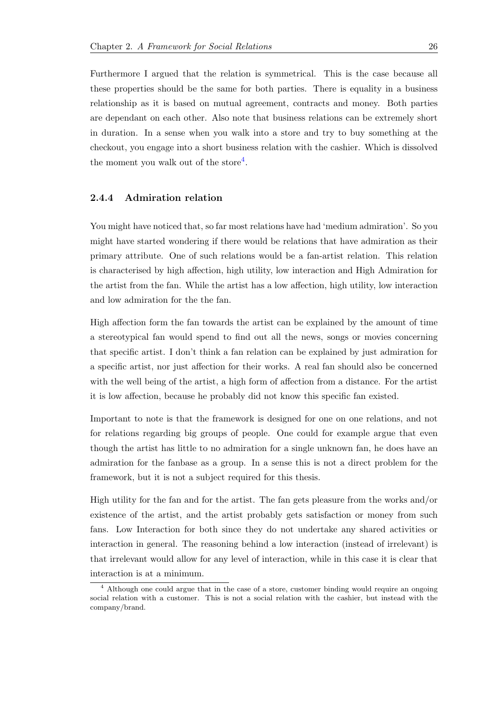Furthermore I argued that the relation is symmetrical. This is the case because all these properties should be the same for both parties. There is equality in a business relationship as it is based on mutual agreement, contracts and money. Both parties are dependant on each other. Also note that business relations can be extremely short in duration. In a sense when you walk into a store and try to buy something at the checkout, you engage into a short business relation with the cashier. Which is dissolved the moment you walk out of the store<sup>4</sup>.

#### **2.4.4 Admiration relation**

<span id="page-30-0"></span>You might have noticed that, so far most relations have had 'medium admiration'. So you might have started wondering if there would be relations that have admiration as their primary attribute. One of such relations would be a fan-artist relation. This relation is characterised by high affection, high utility, low interaction and High Admiration for the artist from the fan. While the artist has a low affection, high utility, low interaction and low admiration for the the fan.

High affection form the fan towards the artist can be explained by the amount of time a stereotypical fan would spend to find out all the news, songs or movies concerning that specific artist. I don't think a fan relation can be explained by just admiration for a specific artist, nor just affection for their works. A real fan should also be concerned with the well being of the artist, a high form of affection from a distance. For the artist it is low affection, because he probably did not know this specific fan existed.

Important to note is that the framework is designed for one on one relations, and not for relations regarding big groups of people. One could for example argue that even though the artist has little to no admiration for a single unknown fan, he does have an admiration for the fanbase as a group. In a sense this is not a direct problem for the framework, but it is not a subject required for this thesis.

High utility for the fan and for the artist. The fan gets pleasure from the works and/or existence of the artist, and the artist probably gets satisfaction or money from such fans. Low Interaction for both since they do not undertake any shared activities or interaction in general. The reasoning behind a low interaction (instead of irrelevant) is that irrelevant would allow for any level of interaction, while in this case it is clear that interaction is at a minimum.

<sup>&</sup>lt;sup>4</sup> Although one could argue that in the case of a store, customer binding would require an ongoing social relation with a customer. This is not a social relation with the cashier, but instead with the company/brand.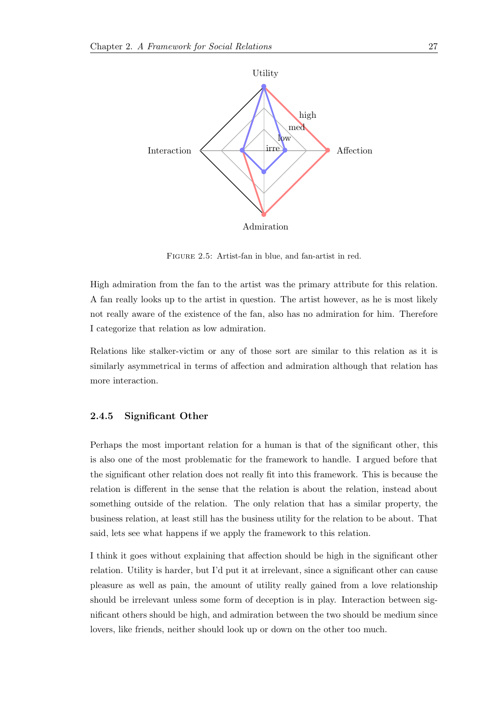

Figure 2.5: Artist-fan in blue, and fan-artist in red.

High admiration from the fan to the artist was the primary attribute for this relation. A fan really looks up to the artist in question. The artist however, as he is most likely not really aware of the existence of the fan, also has no admiration for him. Therefore I categorize that relation as low admiration.

Relations like stalker-victim or any of those sort are similar to this relation as it is similarly asymmetrical in terms of affection and admiration although that relation has more interaction.

#### <span id="page-31-0"></span>**2.4.5 Significant Other**

Perhaps the most important relation for a human is that of the significant other, this is also one of the most problematic for the framework to handle. I argued before that the significant other relation does not really fit into this framework. This is because the relation is different in the sense that the relation is about the relation, instead about something outside of the relation. The only relation that has a similar property, the business relation, at least still has the business utility for the relation to be about. That said, lets see what happens if we apply the framework to this relation.

I think it goes without explaining that affection should be high in the significant other relation. Utility is harder, but I'd put it at irrelevant, since a significant other can cause pleasure as well as pain, the amount of utility really gained from a love relationship should be irrelevant unless some form of deception is in play. Interaction between significant others should be high, and admiration between the two should be medium since lovers, like friends, neither should look up or down on the other too much.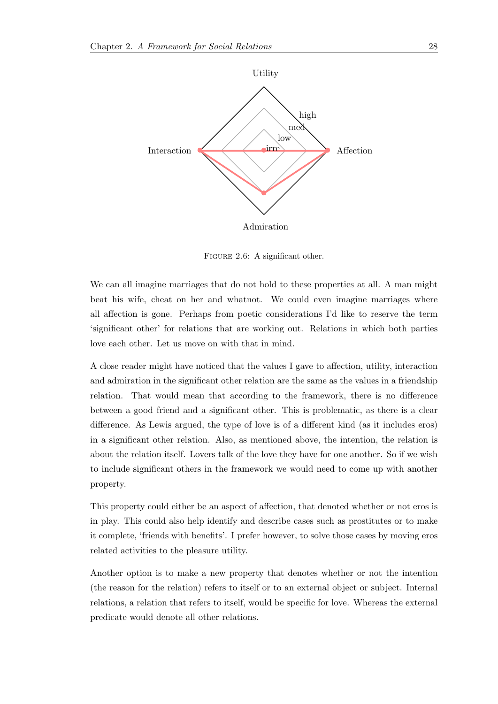

FIGURE 2.6: A significant other.

We can all imagine marriages that do not hold to these properties at all. A man might beat his wife, cheat on her and whatnot. We could even imagine marriages where all affection is gone. Perhaps from poetic considerations I'd like to reserve the term 'significant other' for relations that are working out. Relations in which both parties love each other. Let us move on with that in mind.

A close reader might have noticed that the values I gave to affection, utility, interaction and admiration in the significant other relation are the same as the values in a friendship relation. That would mean that according to the framework, there is no difference between a good friend and a significant other. This is problematic, as there is a clear difference. As Lewis argued, the type of love is of a different kind (as it includes eros) in a significant other relation. Also, as mentioned above, the intention, the relation is about the relation itself. Lovers talk of the love they have for one another. So if we wish to include significant others in the framework we would need to come up with another property.

This property could either be an aspect of affection, that denoted whether or not eros is in play. This could also help identify and describe cases such as prostitutes or to make it complete, 'friends with benefits'. I prefer however, to solve those cases by moving eros related activities to the pleasure utility.

Another option is to make a new property that denotes whether or not the intention (the reason for the relation) refers to itself or to an external object or subject. Internal relations, a relation that refers to itself, would be specific for love. Whereas the external predicate would denote all other relations.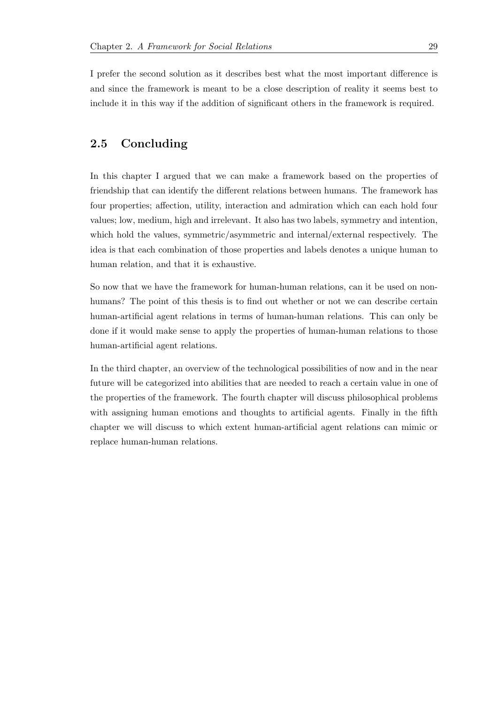I prefer the second solution as it describes best what the most important difference is and since the framework is meant to be a close description of reality it seems best to include it in this way if the addition of significant others in the framework is required.

### <span id="page-33-0"></span>**2.5 Concluding**

In this chapter I argued that we can make a framework based on the properties of friendship that can identify the different relations between humans. The framework has four properties; affection, utility, interaction and admiration which can each hold four values; low, medium, high and irrelevant. It also has two labels, symmetry and intention, which hold the values, symmetric/asymmetric and internal/external respectively. The idea is that each combination of those properties and labels denotes a unique human to human relation, and that it is exhaustive.

So now that we have the framework for human-human relations, can it be used on nonhumans? The point of this thesis is to find out whether or not we can describe certain human-artificial agent relations in terms of human-human relations. This can only be done if it would make sense to apply the properties of human-human relations to those human-artificial agent relations.

In the third chapter, an overview of the technological possibilities of now and in the near future will be categorized into abilities that are needed to reach a certain value in one of the properties of the framework. The fourth chapter will discuss philosophical problems with assigning human emotions and thoughts to artificial agents. Finally in the fifth chapter we will discuss to which extent human-artificial agent relations can mimic or replace human-human relations.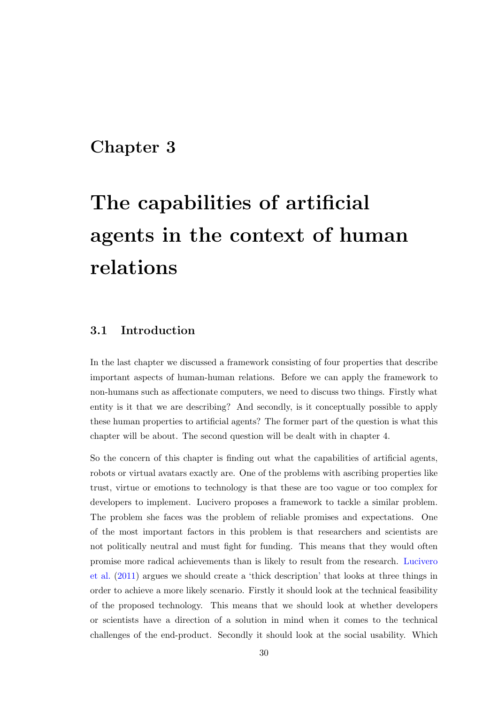## <span id="page-34-0"></span>**Chapter 3**

# **The capabilities of artificial agents in the context of human relations**

### **3.1 Introduction**

<span id="page-34-1"></span>In the last chapter we discussed a framework consisting of four properties that describe important aspects of human-human relations. Before we can apply the framework to non-humans such as affectionate computers, we need to discuss two things. Firstly what entity is it that we are describing? And secondly, is it conceptually possible to apply these human properties to artificial agents? The former part of the question is what this chapter will be about. The second question will be dealt with in chapter 4.

So the concern of this chapter is finding out what the capabilities of artificial agents, robots or virtual avatars exactly are. One of the problems with ascribing properties like trust, virtue or emotions to technology is that these are too vague or too complex for developers to implement. Lucivero proposes a framework to tackle a similar problem. The problem she faces was the problem of reliable promises and expectations. One of the most important factors in this problem is that researchers and scientists are not politically neutral and must fight for funding. This means that they would often promise more radical achievements than is likely to result from the research. Lucivero et al. (2011) argues we should create a 'thick description' that looks at three things in order to achieve a more likely scenario. Firstly it should look at the technical feasibility of the proposed technology. This means that we should look at whether d[evelopers](#page-91-2) [or sci](#page-91-2)e[ntists](#page-91-2) have a direction of a solution in mind when it comes to the technical challenges of the end-product. Secondly it should look at the social usability. Which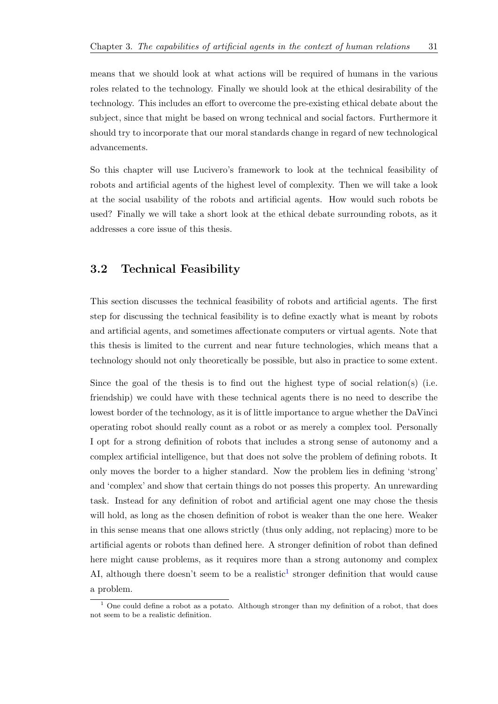means that we should look at what actions will be required of humans in the various roles related to the technology. Finally we should look at the ethical desirability of the technology. This includes an effort to overcome the pre-existing ethical debate about the subject, since that might be based on wrong technical and social factors. Furthermore it should try to incorporate that our moral standards change in regard of new technological advancements.

So this chapter will use Lucivero's framework to look at the technical feasibility of robots and artificial agents of the highest level of complexity. Then we will take a look at the social usability of the robots and artificial agents. How would such robots be used? Finally we will take a short look at the ethical debate surrounding robots, as it addresses a core issue of this thesis.

## **3.2 Technical Feasibility**

<span id="page-35-0"></span>This section discusses the technical feasibility of robots and artificial agents. The first step for discussing the technical feasibility is to define exactly what is meant by robots and artificial agents, and sometimes affectionate computers or virtual agents. Note that this thesis is limited to the current and near future technologies, which means that a technology should not only theoretically be possible, but also in practice to some extent.

Since the goal of the thesis is to find out the highest type of social relation(s) (i.e. friendship) we could have with these technical agents there is no need to describe the lowest border of the technology, as it is of little importance to argue whether the DaVinci operating robot should really count as a robot or as merely a complex tool. Personally I opt for a strong definition of robots that includes a strong sense of autonomy and a complex artificial intelligence, but that does not solve the problem of defining robots. It only moves the border to a higher standard. Now the problem lies in defining 'strong' and 'complex' and show that certain things do not posses this property. An unrewarding task. Instead for any definition of robot and artificial agent one may chose the thesis will hold, as long as the chosen definition of robot is weaker than the one here. Weaker in this sense means that one allows strictly (thus only adding, not replacing) more to be artificial agents or robots than defined here. A stronger definition of robot than defined here might cause problems, as it requires more than a strong autonomy and complex AI, although there doesn't seem to be a realistic<sup>1</sup> stronger definition that would cause a problem.

<sup>&</sup>lt;sup>1</sup> One could define a robot as a potato. Although stronger than my definition of a robot, that does not seem to be a realistic definition.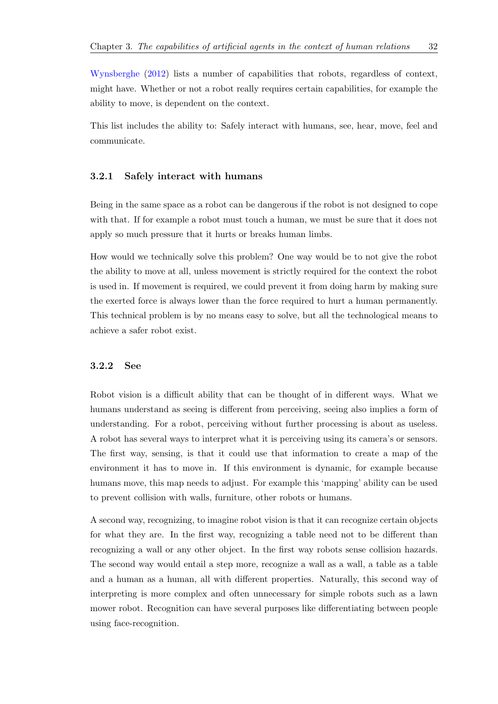Wynsberghe (2012) lists a number of capabilities that robots, regardless of context, might have. Whether or not a robot really requires certain capabilities, for example the ability to move, is dependent on the context.

This list includes the ability to: Safely interact with humans, see, hear, move, feel and communicate.

## **3.2.1 Safely interact with humans**

Being in the same space as a robot can be dangerous if the robot is not designed to cope with that. If for example a robot must touch a human, we must be sure that it does not apply so much pressure that it hurts or breaks human limbs.

How would we technically solve this problem? One way would be to not give the robot the ability to move at all, unless movement is strictly required for the context the robot is used in. If movement is required, we could prevent it from doing harm by making sure the exerted force is always lower than the force required to hurt a human permanently. This technical problem is by no means easy to solve, but all the technological means to achieve a safer robot exist.

#### **3.2.2 See**

Robot vision is a difficult ability that can be thought of in different ways. What we humans understand as seeing is different from perceiving, seeing also implies a form of understanding. For a robot, perceiving without further processing is about as useless. A robot has several ways to interpret what it is perceiving using its camera's or sensors. The first way, sensing, is that it could use that information to create a map of the environment it has to move in. If this environment is dynamic, for example because humans move, this map needs to adjust. For example this 'mapping' ability can be used to prevent collision with walls, furniture, other robots or humans.

A second way, recognizing, to imagine robot vision is that it can recognize certain objects for what they are. In the first way, recognizing a table need not to be different than recognizing a wall or any other object. In the first way robots sense collision hazards. The second way would entail a step more, recognize a wall as a wall, a table as a table and a human as a human, all with different properties. Naturally, this second way of interpreting is more complex and often unnecessary for simple robots such as a lawn mower robot. Recognition can have several purposes like differentiating between people using face-recognition.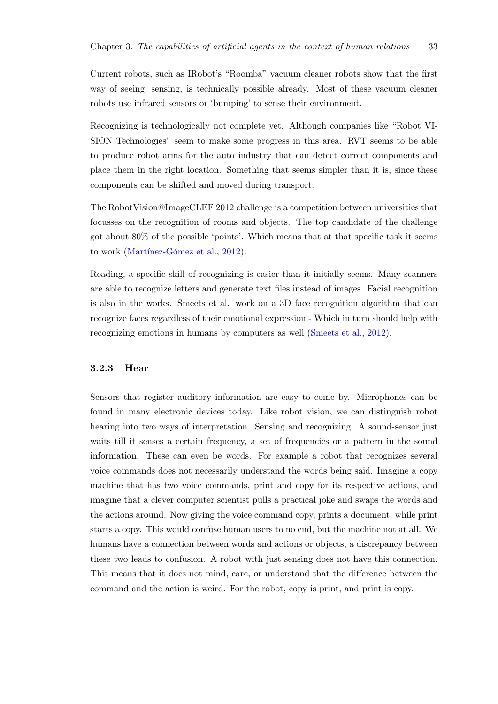Current robots, such as IRobot's "Roomba" vacuum cleaner robots show that the first way of seeing, sensing, is technically possible already. Most of these vacuum cleaner robots use infrared sensors or 'bumping' to sense their environment.

Recognizing is technologically not complete yet. Although companies like "Robot VI-SION Technologies" seem to make some progress in this area. RVT seems to be able to produce robot arms for the auto industry that can detect correct components and place them in the right location. Something that seems simpler than it is, since these components can be shifted and moved during transport.

The RobotVision@ImageCLEF 2012 challenge is a competition between universities that focusses on the recognition of rooms and objects. The top candidate of the challenge got about 80% of the possible 'points'. Which means that at that specific task it seems to work (Martínez-Gómez et al., 2012).

Reading, a specific skill of recognizing is easier than it initially seems. Many scanners are able [to recognize letters and](#page-92-0) [gener](#page-92-0)ate text files instead of images. Facial recognition is also in the works. Smeets et al. work on a 3D face recognition algorithm that can recognize faces regardless of their emotional expression - Which in turn should help with recognizing emotions in humans by computers as well (Smeets et al., 2012).

## **3.2.3 Hear**

Sensors that register auditory information are easy to come by. Microphones can be found in many electronic devices today. Like robot vision, we can distinguish robot hearing into two ways of interpretation. Sensing and recognizing. A sound-sensor just waits till it senses a certain frequency, a set of frequencies or a pattern in the sound information. These can even be words. For example a robot that recognizes several voice commands does not necessarily understand the words being said. Imagine a copy machine that has two voice commands, print and copy for its respective actions, and imagine that a clever computer scientist pulls a practical joke and swaps the words and the actions around. Now giving the voice command copy, prints a document, while print starts a copy. This would confuse human users to no end, but the machine not at all. We humans have a connection between words and actions or objects, a discrepancy between these two leads to confusion. A robot with just sensing does not have this connection. This means that it does not mind, care, or understand that the difference between the command and the action is weird. For the robot, copy is print, and print is copy.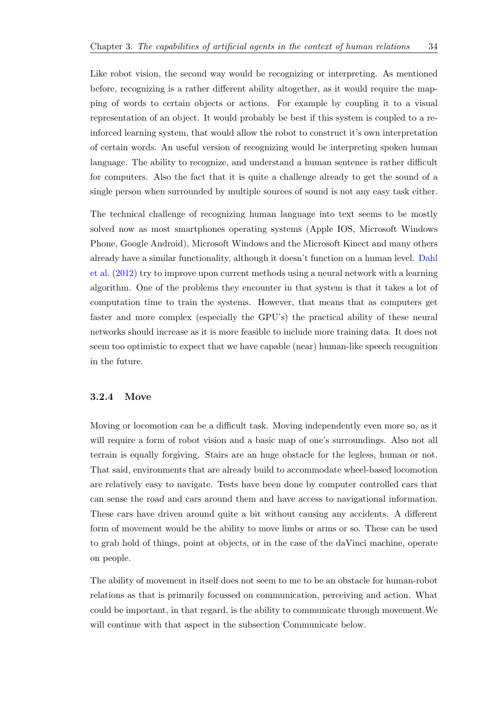Like robot vision, the second way would be recognizing or interpreting. As mentioned before, recognizing is a rather different ability altogether, as it would require the mapping of words to certain objects or actions. For example by coupling it to a visual representation of an object. It would probably be best if this system is coupled to a reinforced learning system, that would allow the robot to construct it's own interpretation of certain words. An useful version of recognizing would be interpreting spoken human language. The ability to recognize, and understand a human sentence is rather difficult for computers. Also the fact that it is quite a challenge already to get the sound of a single person when surrounded by multiple sources of sound is not any easy task either.

The technical challenge of recognizing human language into text seems to be mostly solved now as most smartphones operating systems (Apple IOS, Microsoft Windows Phone, Google Android), Microsoft Windows and the Microsoft Kinect and many others already have a similar functionality, although it doesn't function on a human level. Dahl et al. (2012) try to improve upon current methods using a neural network with a learning algorithm. One of the problems they encounter in that system is that it takes a lot of computation time to train the systems. However, that means that as computer[s get](#page-90-0) [faster and](#page-90-0) more complex (especially the GPU's) the practical ability of these neural networks should increase as it is more feasible to include more training data. It does not seem too optimistic to expect that we have capable (near) human-like speech recognition in the future.

## **3.2.4 Move**

Moving or locomotion can be a difficult task. Moving independently even more so, as it will require a form of robot vision and a basic map of one's surroundings. Also not all terrain is equally forgiving. Stairs are an huge obstacle for the legless, human or not. That said, environments that are already build to accommodate wheel-based locomotion are relatively easy to navigate. Tests have been done by computer controlled cars that can sense the road and cars around them and have access to navigational information. These cars have driven around quite a bit without causing any accidents. A different form of movement would be the ability to move limbs or arms or so. These can be used to grab hold of things, point at objects, or in the case of the daVinci machine, operate on people.

The ability of movement in itself does not seem to me to be an obstacle for human-robot relations as that is primarily focussed on communication, perceiving and action. What could be important, in that regard, is the ability to communicate through movement.We will continue with that aspect in the subsection Communicate below.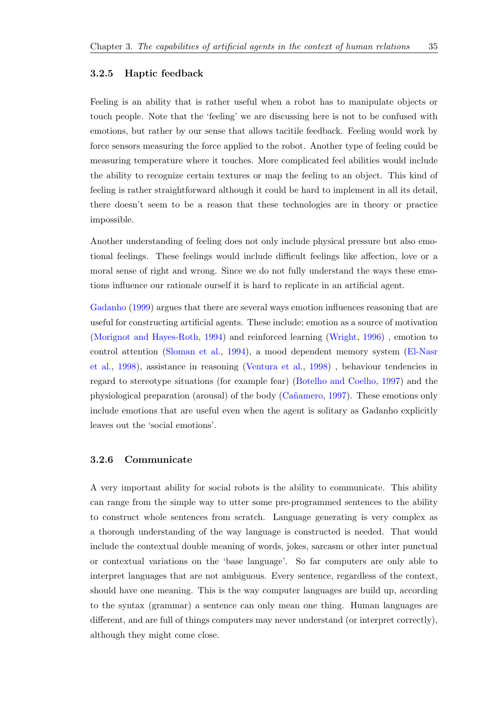## **3.2.5 Haptic feedback**

Feeling is an ability that is rather useful when a robot has to manipulate objects or touch people. Note that the 'feeling' we are discussing here is not to be confused with emotions, but rather by our sense that allows tacitile feedback. Feeling would work by force sensors measuring the force applied to the robot. Another type of feeling could be measuring temperature where it touches. More complicated feel abilities would include the ability to recognize certain textures or map the feeling to an object. This kind of feeling is rather straightforward although it could be hard to implement in all its detail, there doesn't seem to be a reason that these technologies are in theory or practice impossible.

Another understanding of feeling does not only include physical pressure but also emotional feelings. These feelings would include difficult feelings like affection, love or a moral sense of right and wrong. Since we do not fully understand the ways these emotions influence our rationale ourself it is hard to replicate in an artificial agent.

Gadanho (1999) argues that there are several ways emotion influences reasoning that are useful for constructing artificial agents. These include; emotion as a source of motivation (Morignot and Hayes-Roth, 1994) and reinforced learning (Wright, 1996) , emotion to [control a](#page-90-1)t[tentio](#page-90-1)n (Sloman et al., 1994), a mood dependent memory system (El-Nasr et al., 1998), assistance in reasoning (Ventura et al., 1998) , behaviour tendencies in [regard to stereotype situati](#page-92-1)o[ns \(f](#page-92-1)or example fear) (Botelho [and Coelho,](#page-93-0) 1997) and the physiological prepa[ration \(arousa](#page-93-1)l[\) of th](#page-93-1)e body (Ca˜namero, 1997). These emoti[ons only](#page-90-2) [include emo](#page-90-2)tions that are useful even [when the agent](#page-93-2) [is sol](#page-93-2)itary as Gadanho explicitly leaves out the 'social emotions'.

#### **3.2.6 Communicate**

A very important ability for social robots is the ability to communicate. This ability can range from the simple way to utter some pre-programmed sentences to the ability to construct whole sentences from scratch. Language generating is very complex as a thorough understanding of the way language is constructed is needed. That would include the contextual double meaning of words, jokes, sarcasm or other inter punctual or contextual variations on the 'base language'. So far computers are only able to interpret languages that are not ambiguous. Every sentence, regardless of the context, should have one meaning. This is the way computer languages are build up, according to the syntax (grammar) a sentence can only mean one thing. Human languages are different, and are full of things computers may never understand (or interpret correctly), although they might come close.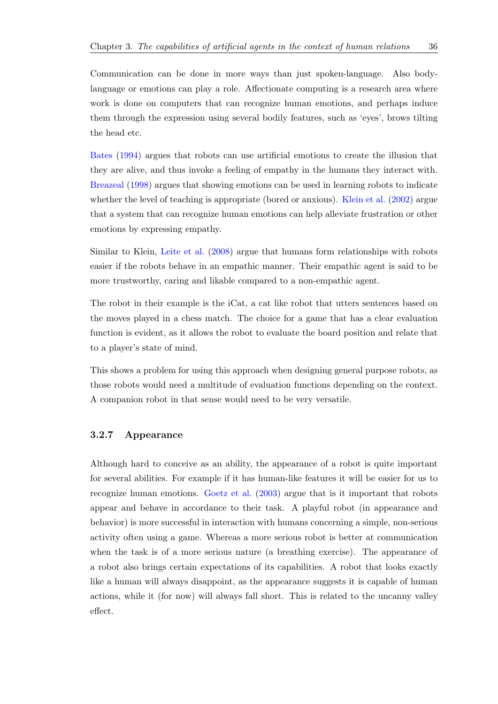Bates (1994) argues that robots can use artificial emotions to create the illusion that they are alive, and thus invoke a feeling of empathy in the humans they interact with. Breazeal (1998) argues that showing emotions can be used in learning robots to indicate [wheth](#page-89-0)e[r the](#page-89-0) level of teaching is appropriate (bored or anxious). Klein et al. (2002) argue that a system that can recognize human emotions can help alleviate frustration or other [emotions](#page-89-1) [by ex](#page-89-1)pressing empathy.

Similar to Klein, Leite et al. (2008) argue that humans form relationships with robots easier if the robots behave in an empathic manner. Their empathic agent is said to be more trustworthy, caring and likable compared to a non-empathic agent.

The robot in their example is the iCat, a cat like robot that utters sentences based on the moves played in a chess match. The choice for a game that has a clear evaluation function is evident, as it allows the robot to evaluate the board position and relate that to a player's state of mind.

This shows a problem for using this approach when designing general purpose robots, as those robots would need a multitude of evaluation functions depending on the context. A companion robot in that sense would need to be very versatile.

#### **3.2.7 Appearance**

Although hard to conceive as an ability, the appearance of a robot is quite important for several abilities. For example if it has human-like features it will be easier for us to recognize human emotions. Goetz et al. (2003) argue that is it important that robots appear and behave in accordance to their task. A playful robot (in appearance and behavior) is more successful in interaction with humans concerning a simple, non-serious activity often using a game. [Whereas a more s](#page-91-0)erious robot is better at communication when the task is of a more serious nature (a breathing exercise). The appearance of a robot also brings certain expectations of its capabilities. A robot that looks exactly like a human will always disappoint, as the appearance suggests it is capable of human actions, while it (for now) will always fall short. This is related to the uncanny valley effect.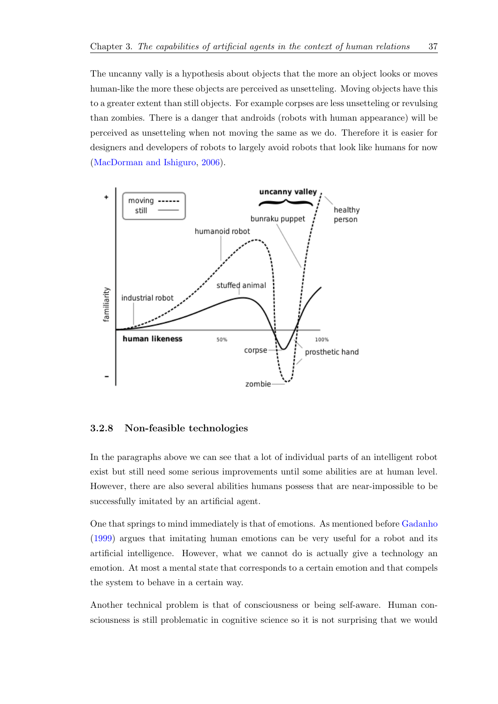The uncanny vally is a hypothesis about objects that the more an object looks or moves human-like the more these objects are perceived as unsetteling. Moving objects have this to a greater extent than still objects. For example corpses are less unsetteling or revulsing than zombies. There is a danger that androids (robots with human appearance) will be perceived as unsetteling when not moving the same as we do. Therefore it is easier for designers and developers of robots to largely avoid robots that look like humans for now (MacDorman and Ishiguro, 2006).



### **3.2.8 Non-feasible technologies**

In the paragraphs above we can see that a lot of individual parts of an intelligent robot exist but still need some serious improvements until some abilities are at human level. However, there are also several abilities humans possess that are near-impossible to be successfully imitated by an artificial agent.

One that springs to mind immediately is that of emotions. As mentioned before Gadanho (1999) argues that imitating human emotions can be very useful for a robot and its artificial intelligence. However, what we cannot do is actually give a technology an emotion. At most a mental state that corresponds to a certain emotion and tha[t compels](#page-90-1) [the sy](#page-90-1)stem to behave in a certain way.

Another technical problem is that of consciousness or being self-aware. Human consciousness is still problematic in cognitive science so it is not surprising that we would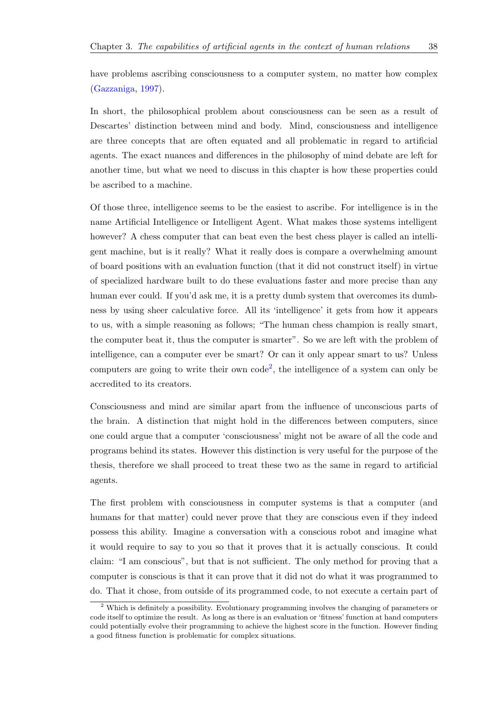have problems ascribing consciousness to a computer system, no matter how complex (Gazzaniga, 1997).

In short, the philosophical problem about consciousness can be seen as a result of [Descartes'](#page-90-3) d[istinc](#page-90-3)tion between mind and body. Mind, consciousness and intelligence are three concepts that are often equated and all problematic in regard to artificial agents. The exact nuances and differences in the philosophy of mind debate are left for another time, but what we need to discuss in this chapter is how these properties could be ascribed to a machine.

Of those three, intelligence seems to be the easiest to ascribe. For intelligence is in the name Artificial Intelligence or Intelligent Agent. What makes those systems intelligent however? A chess computer that can beat even the best chess player is called an intelligent machine, but is it really? What it really does is compare a overwhelming amount of board positions with an evaluation function (that it did not construct itself) in virtue of specialized hardware built to do these evaluations faster and more precise than any human ever could. If you'd ask me, it is a pretty dumb system that overcomes its dumbness by using sheer calculative force. All its 'intelligence' it gets from how it appears to us, with a simple reasoning as follows; "The human chess champion is really smart, the computer beat it, thus the computer is smarter". So we are left with the problem of intelligence, can a computer ever be smart? Or can it only appear smart to us? Unless computers are going to write their own  $\text{code}^2$ , the intelligence of a system can only be accredited to its creators.

Consciousness and mind are similar apart f[ro](#page-42-0)m the influence of unconscious parts of the brain. A distinction that might hold in the differences between computers, since one could argue that a computer 'consciousness' might not be aware of all the code and programs behind its states. However this distinction is very useful for the purpose of the thesis, therefore we shall proceed to treat these two as the same in regard to artificial agents.

The first problem with consciousness in computer systems is that a computer (and humans for that matter) could never prove that they are conscious even if they indeed possess this ability. Imagine a conversation with a conscious robot and imagine what it would require to say to you so that it proves that it is actually conscious. It could claim: "I am conscious", but that is not sufficient. The only method for proving that a computer is conscious is that it can prove that it did not do what it was programmed to do. That it chose, from outside of its programmed code, to not execute a certain part of

<span id="page-42-0"></span><sup>2</sup> Which is definitely a possibility. Evolutionary programming involves the changing of parameters or code itself to optimize the result. As long as there is an evaluation or 'fitness' function at hand computers could potentially evolve their programming to achieve the highest score in the function. However finding a good fitness function is problematic for complex situations.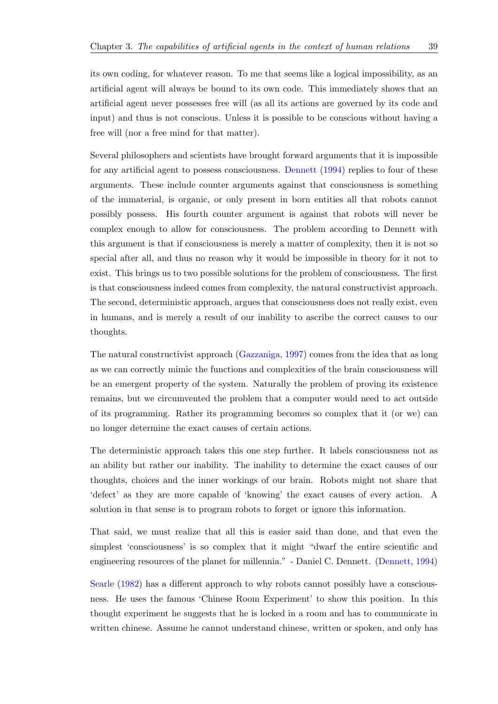its own coding, for whatever reason. To me that seems like a logical impossibility, as an artificial agent will always be bound to its own code. This immediately shows that an artificial agent never possesses free will (as all its actions are governed by its code and input) and thus is not conscious. Unless it is possible to be conscious without having a free will (nor a free mind for that matter).

Several philosophers and scientists have brought forward arguments that it is impossible for any artificial agent to possess consciousness. Dennett (1994) replies to four of these arguments. These include counter arguments against that consciousness is something of the immaterial, is organic, or only present in born entities all that robots cannot possibly possess. His fourth counter argument [is against tha](#page-90-4)t robots will never be complex enough to allow for consciousness. The problem according to Dennett with this argument is that if consciousness is merely a matter of complexity, then it is not so special after all, and thus no reason why it would be impossible in theory for it not to exist. This brings us to two possible solutions for the problem of consciousness. The first is that consciousness indeed comes from complexity, the natural constructivist approach. The second, deterministic approach, argues that consciousness does not really exist, even in humans, and is merely a result of our inability to ascribe the correct causes to our thoughts.

The natural constructivist approach (Gazzaniga, 1997) comes from the idea that as long as we can correctly mimic the functions and complexities of the brain consciousness will be an emergent property of the system. Naturally the problem of proving its existence remains, but we circumvented the pr[oblem that a com](#page-90-3)puter would need to act outside of its programming. Rather its programming becomes so complex that it (or we) can no longer determine the exact causes of certain actions.

The deterministic approach takes this one step further. It labels consciousness not as an ability but rather our inability. The inability to determine the exact causes of our thoughts, choices and the inner workings of our brain. Robots might not share that 'defect' as they are more capable of 'knowing' the exact causes of every action. A solution in that sense is to program robots to forget or ignore this information.

That said, we must realize that all this is easier said than done, and that even the simplest 'consciousness' is so complex that it might "dwarf the entire scientific and engineering resources of the planet for millennia." - Daniel C. Dennett. (Dennett, 1994)

Searle (1982) has a different approach to why robots cannot possibly have a consciousness. He uses the famous 'Chinese Room Experiment' to show this p[osition. In this](#page-90-4) thought experiment he suggests that he is locked in a room and has to communicate in [written chine](#page-92-2)se. Assume he cannot understand chinese, written or spoken, and only has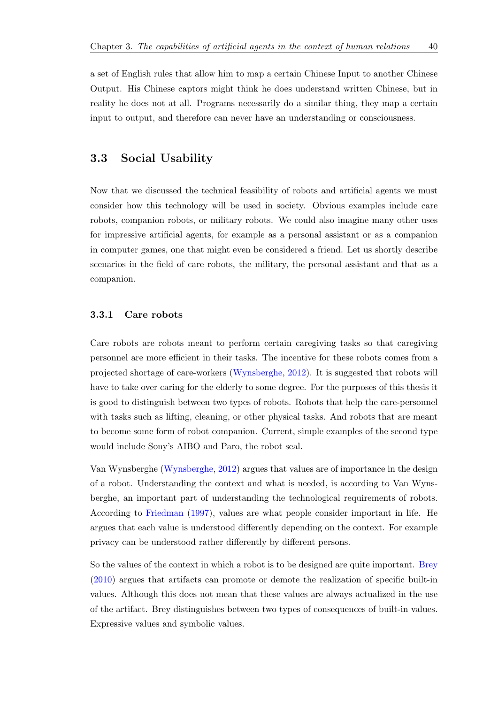a set of English rules that allow him to map a certain Chinese Input to another Chinese Output. His Chinese captors might think he does understand written Chinese, but in reality he does not at all. Programs necessarily do a similar thing, they map a certain input to output, and therefore can never have an understanding or consciousness.

## **3.3 Social Usability**

Now that we discussed the technical feasibility of robots and artificial agents we must consider how this technology will be used in society. Obvious examples include care robots, companion robots, or military robots. We could also imagine many other uses for impressive artificial agents, for example as a personal assistant or as a companion in computer games, one that might even be considered a friend. Let us shortly describe scenarios in the field of care robots, the military, the personal assistant and that as a companion.

## **3.3.1 Care robots**

Care robots are robots meant to perform certain caregiving tasks so that caregiving personnel are more efficient in their tasks. The incentive for these robots comes from a projected shortage of care-workers (Wynsberghe, 2012). It is suggested that robots will have to take over caring for the elderly to some degree. For the purposes of this thesis it is good to distinguish between two types of robots. Robots that help the care-personnel with tasks such as lifting, cleaning, [or other phy](#page-93-3)s[ical t](#page-93-3)asks. And robots that are meant to become some form of robot companion. Current, simple examples of the second type would include Sony's AIBO and Paro, the robot seal.

Van Wynsberghe (Wynsberghe, 2012) argues that values are of importance in the design of a robot. Understanding the context and what is needed, is according to Van Wynsberghe, an important part of understanding the technological requirements of robots. According to Friedman [\(1997\), value](#page-93-3)s are what people consider important in life. He argues that each value is understood differently depending on the context. For example privacy can be understood rather differently by different persons.

So the values of the context in which a robot is to be designed are quite important. Brey (2010) argues that artifacts can promote or demote the realization of specific built-in values. Although this does not mean that these values are always actualized in the use of the artifact. Brey distinguishes between two types of consequences of built-in v[alues.](#page-89-2) [Expre](#page-89-2)ssive values and symbolic values.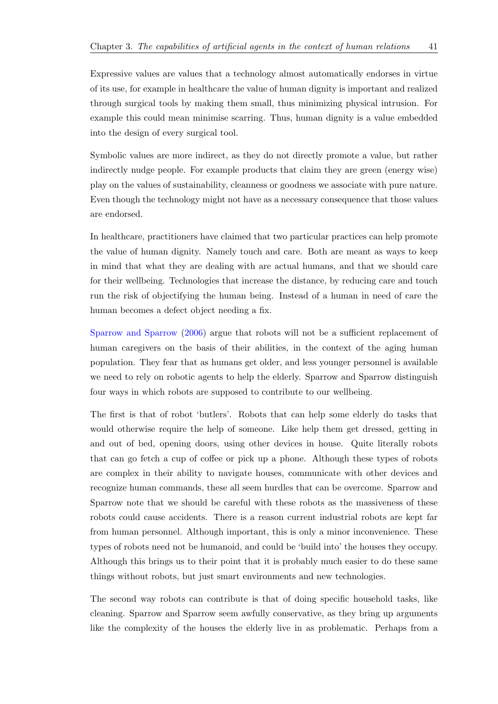Expressive values are values that a technology almost automatically endorses in virtue of its use, for example in healthcare the value of human dignity is important and realized through surgical tools by making them small, thus minimizing physical intrusion. For example this could mean minimise scarring. Thus, human dignity is a value embedded into the design of every surgical tool.

Symbolic values are more indirect, as they do not directly promote a value, but rather indirectly nudge people. For example products that claim they are green (energy wise) play on the values of sustainability, cleanness or goodness we associate with pure nature. Even though the technology might not have as a necessary consequence that those values are endorsed.

In healthcare, practitioners have claimed that two particular practices can help promote the value of human dignity. Namely touch and care. Both are meant as ways to keep in mind that what they are dealing with are actual humans, and that we should care for their wellbeing. Technologies that increase the distance, by reducing care and touch run the risk of objectifying the human being. Instead of a human in need of care the human becomes a defect object needing a fix.

Sparrow and Sparrow (2006) argue that robots will not be a sufficient replacement of human caregivers on the basis of their abilities, in the context of the aging human population. They fear that as humans get older, and less younger personnel is available [we need to rely on robotic ag](#page-93-4)ents to help the elderly. Sparrow and Sparrow distinguish four ways in which robots are supposed to contribute to our wellbeing.

The first is that of robot 'butlers'. Robots that can help some elderly do tasks that would otherwise require the help of someone. Like help them get dressed, getting in and out of bed, opening doors, using other devices in house. Quite literally robots that can go fetch a cup of coffee or pick up a phone. Although these types of robots are complex in their ability to navigate houses, communicate with other devices and recognize human commands, these all seem hurdles that can be overcome. Sparrow and Sparrow note that we should be careful with these robots as the massiveness of these robots could cause accidents. There is a reason current industrial robots are kept far from human personnel. Although important, this is only a minor inconvenience. These types of robots need not be humanoid, and could be 'build into' the houses they occupy. Although this brings us to their point that it is probably much easier to do these same things without robots, but just smart environments and new technologies.

The second way robots can contribute is that of doing specific household tasks, like cleaning. Sparrow and Sparrow seem awfully conservative, as they bring up arguments like the complexity of the houses the elderly live in as problematic. Perhaps from a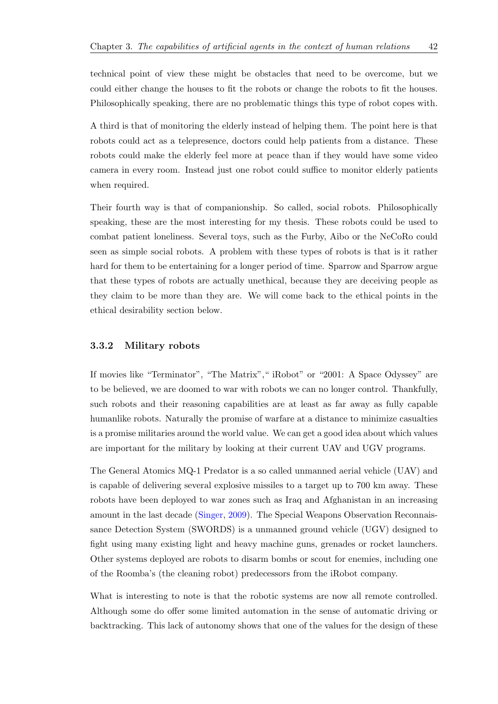technical point of view these might be obstacles that need to be overcome, but we could either change the houses to fit the robots or change the robots to fit the houses. Philosophically speaking, there are no problematic things this type of robot copes with.

A third is that of monitoring the elderly instead of helping them. The point here is that robots could act as a telepresence, doctors could help patients from a distance. These robots could make the elderly feel more at peace than if they would have some video camera in every room. Instead just one robot could suffice to monitor elderly patients when required.

Their fourth way is that of companionship. So called, social robots. Philosophically speaking, these are the most interesting for my thesis. These robots could be used to combat patient loneliness. Several toys, such as the Furby, Aibo or the NeCoRo could seen as simple social robots. A problem with these types of robots is that is it rather hard for them to be entertaining for a longer period of time. Sparrow and Sparrow argue that these types of robots are actually unethical, because they are deceiving people as they claim to be more than they are. We will come back to the ethical points in the ethical desirability section below.

#### **3.3.2 Military robots**

If movies like "Terminator", "The Matrix"," iRobot" or "2001: A Space Odyssey" are to be believed, we are doomed to war with robots we can no longer control. Thankfully, such robots and their reasoning capabilities are at least as far away as fully capable humanlike robots. Naturally the promise of warfare at a distance to minimize casualties is a promise militaries around the world value. We can get a good idea about which values are important for the military by looking at their current UAV and UGV programs.

The General Atomics MQ-1 Predator is a so called unmanned aerial vehicle (UAV) and is capable of delivering several explosive missiles to a target up to 700 km away. These robots have been deployed to war zones such as Iraq and Afghanistan in an increasing amount in the last decade (Singer, 2009). The Special Weapons Observation Reconnaissance Detection System (SWORDS) is a unmanned ground vehicle (UGV) designed to fight using many existing light and heavy machine guns, grenades or rocket launchers. Other systems deployed ar[e robot](#page-93-5)s [to di](#page-93-5)sarm bombs or scout for enemies, including one of the Roomba's (the cleaning robot) predecessors from the iRobot company.

What is interesting to note is that the robotic systems are now all remote controlled. Although some do offer some limited automation in the sense of automatic driving or backtracking. This lack of autonomy shows that one of the values for the design of these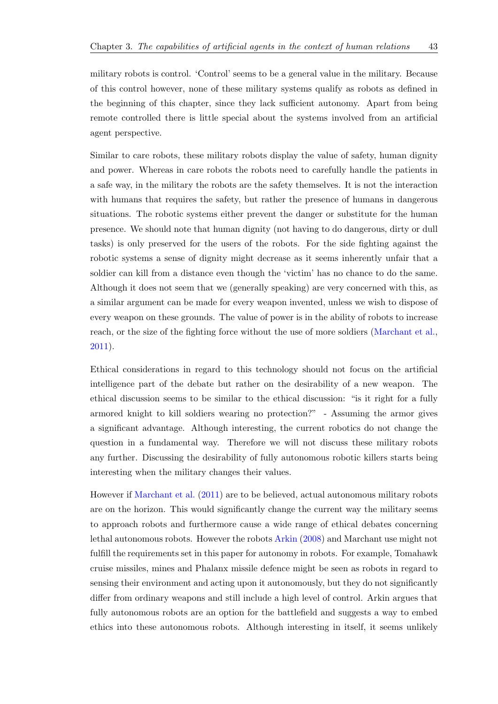military robots is control. 'Control' seems to be a general value in the military. Because of this control however, none of these military systems qualify as robots as defined in the beginning of this chapter, since they lack sufficient autonomy. Apart from being remote controlled there is little special about the systems involved from an artificial agent perspective.

Similar to care robots, these military robots display the value of safety, human dignity and power. Whereas in care robots the robots need to carefully handle the patients in a safe way, in the military the robots are the safety themselves. It is not the interaction with humans that requires the safety, but rather the presence of humans in dangerous situations. The robotic systems either prevent the danger or substitute for the human presence. We should note that human dignity (not having to do dangerous, dirty or dull tasks) is only preserved for the users of the robots. For the side fighting against the robotic systems a sense of dignity might decrease as it seems inherently unfair that a soldier can kill from a distance even though the 'victim' has no chance to do the same. Although it does not seem that we (generally speaking) are very concerned with this, as a similar argument can be made for every weapon invented, unless we wish to dispose of every weapon on these grounds. The value of power is in the ability of robots to increase reach, or the size of the fighting force without the use of more soldiers (Marchant et al., 2011).

Ethical considerations in regard to this technology should not focus [on the artificial](#page-91-1) [intell](#page-91-1)igence part of the debate but rather on the desirability of a new weapon. The ethical discussion seems to be similar to the ethical discussion: "is it right for a fully armored knight to kill soldiers wearing no protection?" - Assuming the armor gives a significant advantage. Although interesting, the current robotics do not change the question in a fundamental way. Therefore we will not discuss these military robots any further. Discussing the desirability of fully autonomous robotic killers starts being interesting when the military changes their values.

However if Marchant et al. (2011) are to be believed, actual autonomous military robots are on the horizon. This would significantly change the current way the military seems to approach robots and furthermore cause a wide range of ethical debates concerning lethal auto[nomous robots.](#page-91-1) [Howev](#page-91-1)er the robots Arkin (2008) and Marchant use might not fulfill the requirements set in this paper for autonomy in robots. For example, Tomahawk cruise missiles, mines and Phalanx missile defence might be seen as robots in regard to sensing their environment and acting upon it a[utonomously](#page-89-3), but they do not significantly differ from ordinary weapons and still include a high level of control. Arkin argues that fully autonomous robots are an option for the battlefield and suggests a way to embed ethics into these autonomous robots. Although interesting in itself, it seems unlikely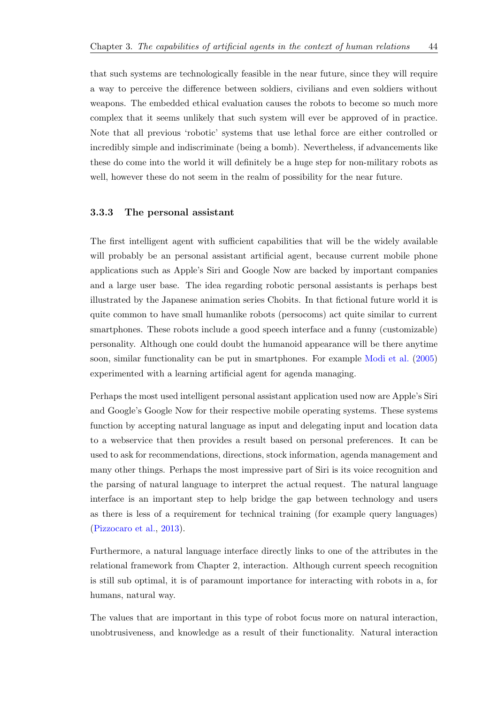that such systems are technologically feasible in the near future, since they will require a way to perceive the difference between soldiers, civilians and even soldiers without weapons. The embedded ethical evaluation causes the robots to become so much more complex that it seems unlikely that such system will ever be approved of in practice. Note that all previous 'robotic' systems that use lethal force are either controlled or incredibly simple and indiscriminate (being a bomb). Nevertheless, if advancements like these do come into the world it will definitely be a huge step for non-military robots as well, however these do not seem in the realm of possibility for the near future.

## **3.3.3 The personal assistant**

The first intelligent agent with sufficient capabilities that will be the widely available will probably be an personal assistant artificial agent, because current mobile phone applications such as Apple's Siri and Google Now are backed by important companies and a large user base. The idea regarding robotic personal assistants is perhaps best illustrated by the Japanese animation series Chobits. In that fictional future world it is quite common to have small humanlike robots (persocoms) act quite similar to current smartphones. These robots include a good speech interface and a funny (customizable) personality. Although one could doubt the humanoid appearance will be there anytime soon, similar functionality can be put in smartphones. For example Modi et al. (2005) experimented with a learning artificial agent for agenda managing.

Perhaps the most used intelligent personal assistant application used n[ow are Appl](#page-92-3)e['s Sir](#page-92-3)i and Google's Google Now for their respective mobile operating systems. These systems function by accepting natural language as input and delegating input and location data to a webservice that then provides a result based on personal preferences. It can be used to ask for recommendations, directions, stock information, agenda management and many other things. Perhaps the most impressive part of Siri is its voice recognition and the parsing of natural language to interpret the actual request. The natural language interface is an important step to help bridge the gap between technology and users as there is less of a requirement for technical training (for example query languages) (Pizzocaro et al., 2013).

Furthermore, a natural language interface directly links to one of the attributes in the [relational framework fr](#page-92-4)om Chapter 2, interaction. Although current speech recognition is still sub optimal, it is of paramount importance for interacting with robots in a, for humans, natural way.

The values that are important in this type of robot focus more on natural interaction, unobtrusiveness, and knowledge as a result of their functionality. Natural interaction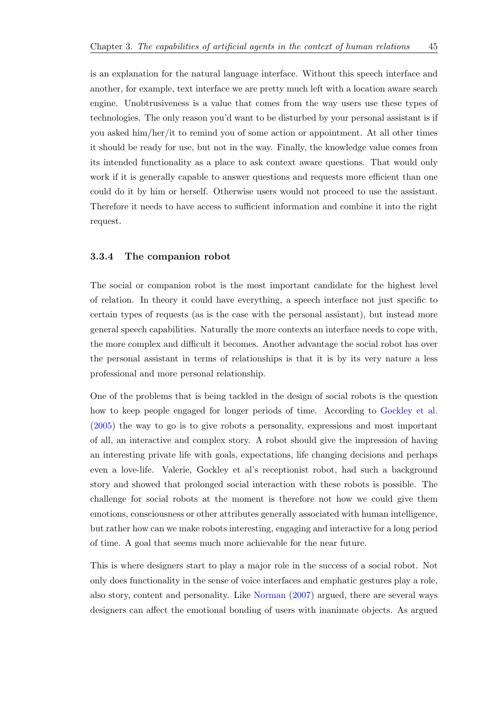another, for example, text interface we are pretty much left with a location aware search engine. Unobtrusiveness is a value that comes from the way users use these types of technologies. The only reason you'd want to be disturbed by your personal assistant is if you asked him/her/it to remind you of some action or appointment. At all other times it should be ready for use, but not in the way. Finally, the knowledge value comes from its intended functionality as a place to ask context aware questions. That would only work if it is generally capable to answer questions and requests more efficient than one could do it by him or herself. Otherwise users would not proceed to use the assistant. Therefore it needs to have access to sufficient information and combine it into the right request.

#### **3.3.4 The companion robot**

The social or companion robot is the most important candidate for the highest level of relation. In theory it could have everything, a speech interface not just specific to certain types of requests (as is the case with the personal assistant), but instead more general speech capabilities. Naturally the more contexts an interface needs to cope with, the more complex and difficult it becomes. Another advantage the social robot has over the personal assistant in terms of relationships is that it is by its very nature a less professional and more personal relationship.

One of the problems that is being tackled in the design of social robots is the question how to keep people engaged for longer periods of time. According to Gockley et al. (2005) the way to go is to give robots a personality, expressions and most important of all, an interactive and complex story. A robot should give the impression of having an interesting private life with goals, expectations, life changing decisio[ns and perhaps](#page-91-2) [even](#page-91-2) a love-life. Valerie, Gockley et al's receptionist robot, had such a background story and showed that prolonged social interaction with these robots is possible. The challenge for social robots at the moment is therefore not how we could give them emotions, consciousness or other attributes generally associated with human intelligence, but rather how can we make robots interesting, engaging and interactive for a long period of time. A goal that seems much more achievable for the near future.

This is where designers start to play a major role in the success of a social robot. Not only does functionality in the sense of voice interfaces and emphatic gestures play a role, also story, content and personality. Like Norman (2007) argued, there are several ways designers can affect the emotional bonding of users with inanimate objects. As argued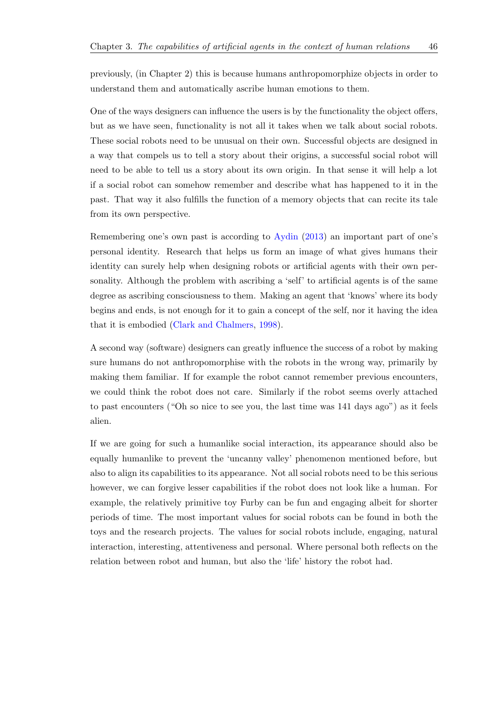previously, (in Chapter 2) this is because humans anthropomorphize objects in order to understand them and automatically ascribe human emotions to them.

One of the ways designers can influence the users is by the functionality the object offers, but as we have seen, functionality is not all it takes when we talk about social robots. These social robots need to be unusual on their own. Successful objects are designed in a way that compels us to tell a story about their origins, a successful social robot will need to be able to tell us a story about its own origin. In that sense it will help a lot if a social robot can somehow remember and describe what has happened to it in the past. That way it also fulfills the function of a memory objects that can recite its tale from its own perspective.

Remembering one's own past is according to Aydin (2013) an important part of one's personal identity. Research that helps us form an image of what gives humans their identity can surely help when designing robots or artificial agents with their own personality. Although the problem with ascribin[g a 'self](#page-89-4)' [to ar](#page-89-4)tificial agents is of the same degree as ascribing consciousness to them. Making an agent that 'knows' where its body begins and ends, is not enough for it to gain a concept of the self, nor it having the idea that it is embodied (Clark and Chalmers, 1998).

A second way (software) designers can greatly influence the success of a robot by making sure humans do not [anthropomorphise w](#page-89-5)i[th th](#page-89-5)e robots in the wrong way, primarily by making them familiar. If for example the robot cannot remember previous encounters, we could think the robot does not care. Similarly if the robot seems overly attached to past encounters ("Oh so nice to see you, the last time was 141 days ago") as it feels alien.

If we are going for such a humanlike social interaction, its appearance should also be equally humanlike to prevent the 'uncanny valley' phenomenon mentioned before, but also to align its capabilities to its appearance. Not all social robots need to be this serious however, we can forgive lesser capabilities if the robot does not look like a human. For example, the relatively primitive toy Furby can be fun and engaging albeit for shorter periods of time. The most important values for social robots can be found in both the toys and the research projects. The values for social robots include, engaging, natural interaction, interesting, attentiveness and personal. Where personal both reflects on the relation between robot and human, but also the 'life' history the robot had.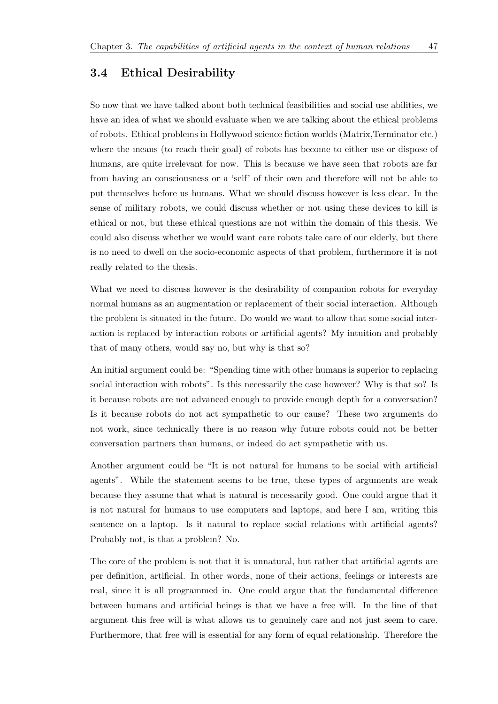## **3.4 Ethical Desirability**

So now that we have talked about both technical feasibilities and social use abilities, we have an idea of what we should evaluate when we are talking about the ethical problems of robots. Ethical problems in Hollywood science fiction worlds (Matrix,Terminator etc.) where the means (to reach their goal) of robots has become to either use or dispose of humans, are quite irrelevant for now. This is because we have seen that robots are far from having an consciousness or a 'self' of their own and therefore will not be able to put themselves before us humans. What we should discuss however is less clear. In the sense of military robots, we could discuss whether or not using these devices to kill is ethical or not, but these ethical questions are not within the domain of this thesis. We could also discuss whether we would want care robots take care of our elderly, but there is no need to dwell on the socio-economic aspects of that problem, furthermore it is not really related to the thesis.

What we need to discuss however is the desirability of companion robots for everyday normal humans as an augmentation or replacement of their social interaction. Although the problem is situated in the future. Do would we want to allow that some social interaction is replaced by interaction robots or artificial agents? My intuition and probably that of many others, would say no, but why is that so?

An initial argument could be: "Spending time with other humans is superior to replacing social interaction with robots". Is this necessarily the case however? Why is that so? Is it because robots are not advanced enough to provide enough depth for a conversation? Is it because robots do not act sympathetic to our cause? These two arguments do not work, since technically there is no reason why future robots could not be better conversation partners than humans, or indeed do act sympathetic with us.

Another argument could be "It is not natural for humans to be social with artificial agents". While the statement seems to be true, these types of arguments are weak because they assume that what is natural is necessarily good. One could argue that it is not natural for humans to use computers and laptops, and here I am, writing this sentence on a laptop. Is it natural to replace social relations with artificial agents? Probably not, is that a problem? No.

The core of the problem is not that it is unnatural, but rather that artificial agents are per definition, artificial. In other words, none of their actions, feelings or interests are real, since it is all programmed in. One could argue that the fundamental difference between humans and artificial beings is that we have a free will. In the line of that argument this free will is what allows us to genuinely care and not just seem to care. Furthermore, that free will is essential for any form of equal relationship. Therefore the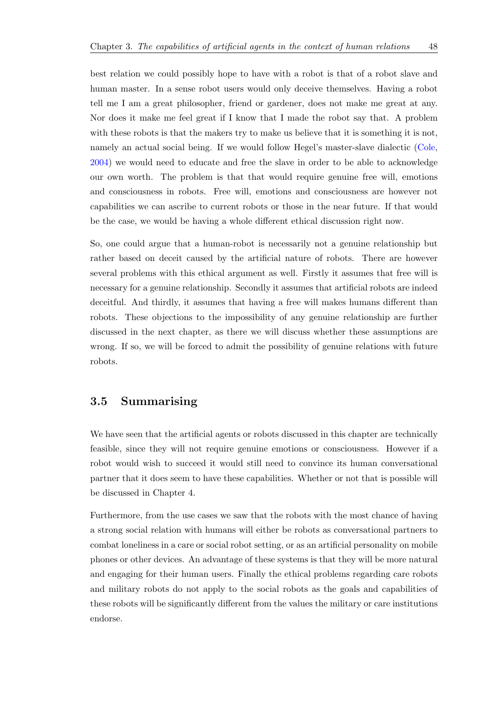best relation we could possibly hope to have with a robot is that of a robot slave and human master. In a sense robot users would only deceive themselves. Having a robot tell me I am a great philosopher, friend or gardener, does not make me great at any. Nor does it make me feel great if I know that I made the robot say that. A problem with these robots is that the makers try to make us believe that it is something it is not, namely an actual social being. If we would follow Hegel's master-slave dialectic (Cole, 2004) we would need to educate and free the slave in order to be able to acknowledge our own worth. The problem is that that would require genuine free will, emotions

and consciousness in robots. Free will, emotions and consciousness are howeve[r not](#page-90-5) [capab](#page-90-5)ilities we can ascribe to current robots or those in the near future. If that would be the case, we would be having a whole different ethical discussion right now.

So, one could argue that a human-robot is necessarily not a genuine relationship but rather based on deceit caused by the artificial nature of robots. There are however several problems with this ethical argument as well. Firstly it assumes that free will is necessary for a genuine relationship. Secondly it assumes that artificial robots are indeed deceitful. And thirdly, it assumes that having a free will makes humans different than robots. These objections to the impossibility of any genuine relationship are further discussed in the next chapter, as there we will discuss whether these assumptions are wrong. If so, we will be forced to admit the possibility of genuine relations with future robots.

## **3.5 Summarising**

We have seen that the artificial agents or robots discussed in this chapter are technically feasible, since they will not require genuine emotions or consciousness. However if a robot would wish to succeed it would still need to convince its human conversational partner that it does seem to have these capabilities. Whether or not that is possible will be discussed in Chapter 4.

Furthermore, from the use cases we saw that the robots with the most chance of having a strong social relation with humans will either be robots as conversational partners to combat loneliness in a care or social robot setting, or as an artificial personality on mobile phones or other devices. An advantage of these systems is that they will be more natural and engaging for their human users. Finally the ethical problems regarding care robots and military robots do not apply to the social robots as the goals and capabilities of these robots will be significantly different from the values the military or care institutions endorse.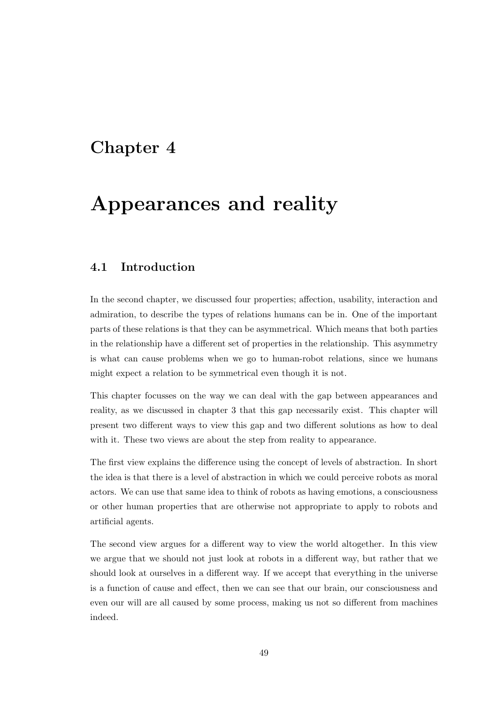## **Chapter 4**

# **Appearances and reality**

## **4.1 Introduction**

In the second chapter, we discussed four properties; affection, usability, interaction and admiration, to describe the types of relations humans can be in. One of the important parts of these relations is that they can be asymmetrical. Which means that both parties in the relationship have a different set of properties in the relationship. This asymmetry is what can cause problems when we go to human-robot relations, since we humans might expect a relation to be symmetrical even though it is not.

This chapter focusses on the way we can deal with the gap between appearances and reality, as we discussed in chapter 3 that this gap necessarily exist. This chapter will present two different ways to view this gap and two different solutions as how to deal with it. These two views are about the step from reality to appearance.

The first view explains the difference using the concept of levels of abstraction. In short the idea is that there is a level of abstraction in which we could perceive robots as moral actors. We can use that same idea to think of robots as having emotions, a consciousness or other human properties that are otherwise not appropriate to apply to robots and artificial agents.

The second view argues for a different way to view the world altogether. In this view we argue that we should not just look at robots in a different way, but rather that we should look at ourselves in a different way. If we accept that everything in the universe is a function of cause and effect, then we can see that our brain, our consciousness and even our will are all caused by some process, making us not so different from machines indeed.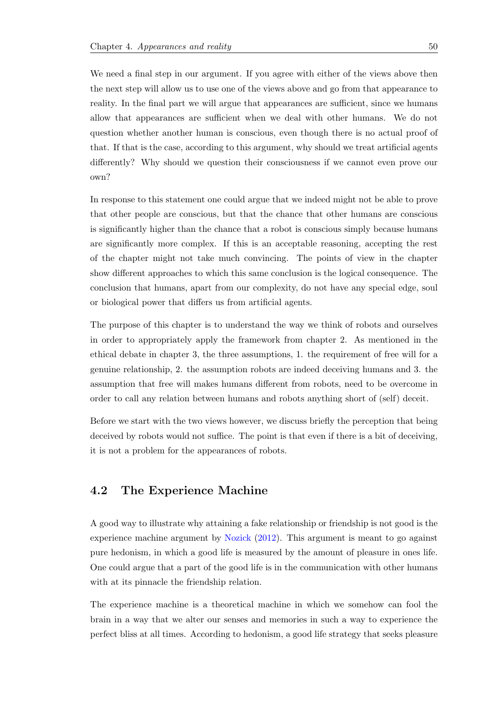We need a final step in our argument. If you agree with either of the views above then the next step will allow us to use one of the views above and go from that appearance to reality. In the final part we will argue that appearances are sufficient, since we humans allow that appearances are sufficient when we deal with other humans. We do not question whether another human is conscious, even though there is no actual proof of that. If that is the case, according to this argument, why should we treat artificial agents differently? Why should we question their consciousness if we cannot even prove our own?

In response to this statement one could argue that we indeed might not be able to prove that other people are conscious, but that the chance that other humans are conscious is significantly higher than the chance that a robot is conscious simply because humans are significantly more complex. If this is an acceptable reasoning, accepting the rest of the chapter might not take much convincing. The points of view in the chapter show different approaches to which this same conclusion is the logical consequence. The conclusion that humans, apart from our complexity, do not have any special edge, soul or biological power that differs us from artificial agents.

The purpose of this chapter is to understand the way we think of robots and ourselves in order to appropriately apply the framework from chapter 2. As mentioned in the ethical debate in chapter 3, the three assumptions, 1. the requirement of free will for a genuine relationship, 2. the assumption robots are indeed deceiving humans and 3. the assumption that free will makes humans different from robots, need to be overcome in order to call any relation between humans and robots anything short of (self) deceit.

Before we start with the two views however, we discuss briefly the perception that being deceived by robots would not suffice. The point is that even if there is a bit of deceiving, it is not a problem for the appearances of robots.

## **4.2 The Experience Machine**

A good way to illustrate why attaining a fake relationship or friendship is not good is the experience machine argument by Nozick (2012). This argument is meant to go against pure hedonism, in which a good life is measured by the amount of pleasure in ones life. One could argue that a part of the good life is in the communication with other humans with at its pinnacle the friendshi[p relation.](#page-92-5)

The experience machine is a theoretical machine in which we somehow can fool the brain in a way that we alter our senses and memories in such a way to experience the perfect bliss at all times. According to hedonism, a good life strategy that seeks pleasure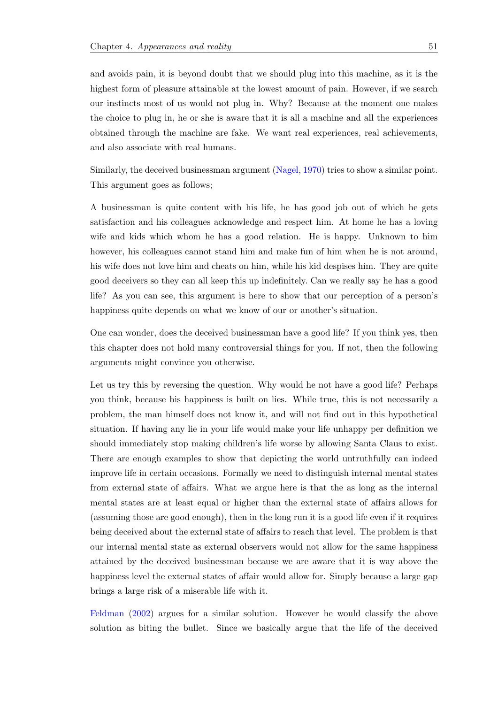and avoids pain, it is beyond doubt that we should plug into this machine, as it is the highest form of pleasure attainable at the lowest amount of pain. However, if we search our instincts most of us would not plug in. Why? Because at the moment one makes the choice to plug in, he or she is aware that it is all a machine and all the experiences obtained through the machine are fake. We want real experiences, real achievements, and also associate with real humans.

Similarly, the deceived businessman argument (Nagel, 1970) tries to show a similar point. This argument goes as follows;

A businessman is quite content with his life[, he has goo](#page-92-6)d job out of which he gets satisfaction and his colleagues acknowledge and respect him. At home he has a loving wife and kids which whom he has a good relation. He is happy. Unknown to him however, his colleagues cannot stand him and make fun of him when he is not around, his wife does not love him and cheats on him, while his kid despises him. They are quite good deceivers so they can all keep this up indefinitely. Can we really say he has a good life? As you can see, this argument is here to show that our perception of a person's happiness quite depends on what we know of our or another's situation.

One can wonder, does the deceived businessman have a good life? If you think yes, then this chapter does not hold many controversial things for you. If not, then the following arguments might convince you otherwise.

Let us try this by reversing the question. Why would he not have a good life? Perhaps you think, because his happiness is built on lies. While true, this is not necessarily a problem, the man himself does not know it, and will not find out in this hypothetical situation. If having any lie in your life would make your life unhappy per definition we should immediately stop making children's life worse by allowing Santa Claus to exist. There are enough examples to show that depicting the world untruthfully can indeed improve life in certain occasions. Formally we need to distinguish internal mental states from external state of affairs. What we argue here is that the as long as the internal mental states are at least equal or higher than the external state of affairs allows for (assuming those are good enough), then in the long run it is a good life even if it requires being deceived about the external state of affairs to reach that level. The problem is that our internal mental state as external observers would not allow for the same happiness attained by the deceived businessman because we are aware that it is way above the happiness level the external states of affair would allow for. Simply because a large gap brings a large risk of a miserable life with it.

Feldman (2002) argues for a similar solution. However he would classify the above solution as biting the bullet. Since we basically argue that the life of the deceived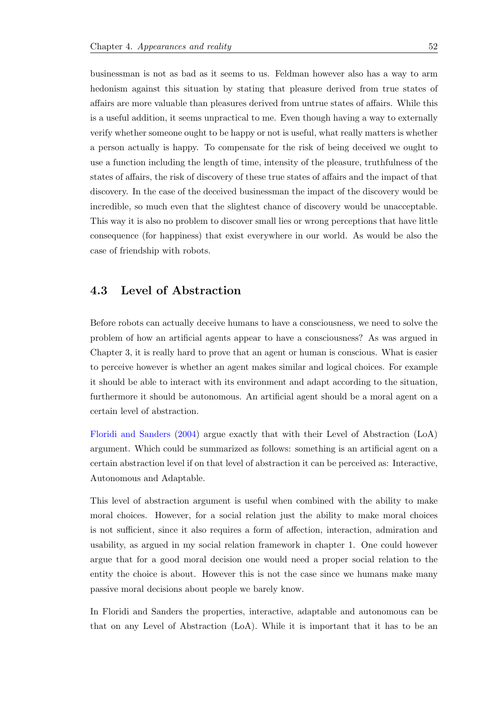businessman is not as bad as it seems to us. Feldman however also has a way to arm hedonism against this situation by stating that pleasure derived from true states of affairs are more valuable than pleasures derived from untrue states of affairs. While this is a useful addition, it seems unpractical to me. Even though having a way to externally verify whether someone ought to be happy or not is useful, what really matters is whether a person actually is happy. To compensate for the risk of being deceived we ought to use a function including the length of time, intensity of the pleasure, truthfulness of the states of affairs, the risk of discovery of these true states of affairs and the impact of that discovery. In the case of the deceived businessman the impact of the discovery would be incredible, so much even that the slightest chance of discovery would be unacceptable. This way it is also no problem to discover small lies or wrong perceptions that have little consequence (for happiness) that exist everywhere in our world. As would be also the case of friendship with robots.

## **4.3 Level of Abstraction**

Before robots can actually deceive humans to have a consciousness, we need to solve the problem of how an artificial agents appear to have a consciousness? As was argued in Chapter 3, it is really hard to prove that an agent or human is conscious. What is easier to perceive however is whether an agent makes similar and logical choices. For example it should be able to interact with its environment and adapt according to the situation, furthermore it should be autonomous. An artificial agent should be a moral agent on a certain level of abstraction.

Floridi and Sanders (2004) argue exactly that with their Level of Abstraction (LoA) argument. Which could be summarized as follows: something is an artificial agent on a certain abstraction level if on that level of abstraction it can be perceived as: Interactive, [Autonomous and Ad](#page-90-6)a[ptabl](#page-90-6)e.

This level of abstraction argument is useful when combined with the ability to make moral choices. However, for a social relation just the ability to make moral choices is not sufficient, since it also requires a form of affection, interaction, admiration and usability, as argued in my social relation framework in chapter 1. One could however argue that for a good moral decision one would need a proper social relation to the entity the choice is about. However this is not the case since we humans make many passive moral decisions about people we barely know.

In Floridi and Sanders the properties, interactive, adaptable and autonomous can be that on any Level of Abstraction (LoA). While it is important that it has to be an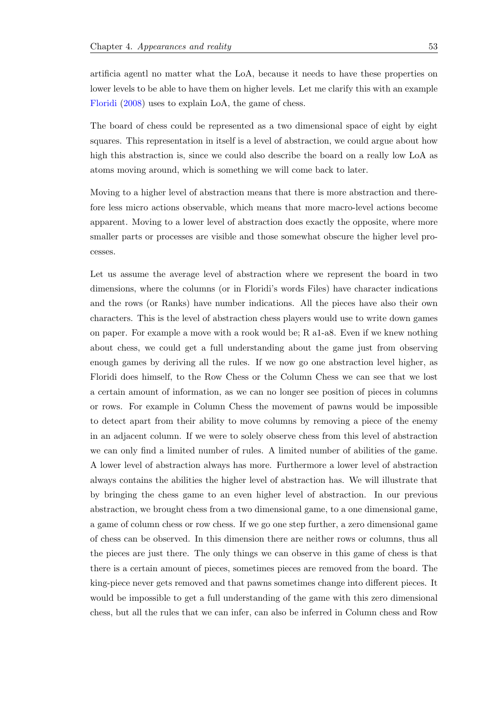artificia agentl no matter what the LoA, because it needs to have these properties on lower levels to be able to have them on higher levels. Let me clarify this with an example Floridi (2008) uses to explain LoA, the game of chess.

The board of chess could be represented as a two dimensional space of eight by eight [squares](#page-90-7). [This](#page-90-7) representation in itself is a level of abstraction, we could argue about how high this abstraction is, since we could also describe the board on a really low LoA as atoms moving around, which is something we will come back to later.

Moving to a higher level of abstraction means that there is more abstraction and therefore less micro actions observable, which means that more macro-level actions become apparent. Moving to a lower level of abstraction does exactly the opposite, where more smaller parts or processes are visible and those somewhat obscure the higher level processes.

Let us assume the average level of abstraction where we represent the board in two dimensions, where the columns (or in Floridi's words Files) have character indications and the rows (or Ranks) have number indications. All the pieces have also their own characters. This is the level of abstraction chess players would use to write down games on paper. For example a move with a rook would be; R a1-a8. Even if we knew nothing about chess, we could get a full understanding about the game just from observing enough games by deriving all the rules. If we now go one abstraction level higher, as Floridi does himself, to the Row Chess or the Column Chess we can see that we lost a certain amount of information, as we can no longer see position of pieces in columns or rows. For example in Column Chess the movement of pawns would be impossible to detect apart from their ability to move columns by removing a piece of the enemy in an adjacent column. If we were to solely observe chess from this level of abstraction we can only find a limited number of rules. A limited number of abilities of the game. A lower level of abstraction always has more. Furthermore a lower level of abstraction always contains the abilities the higher level of abstraction has. We will illustrate that by bringing the chess game to an even higher level of abstraction. In our previous abstraction, we brought chess from a two dimensional game, to a one dimensional game, a game of column chess or row chess. If we go one step further, a zero dimensional game of chess can be observed. In this dimension there are neither rows or columns, thus all the pieces are just there. The only things we can observe in this game of chess is that there is a certain amount of pieces, sometimes pieces are removed from the board. The king-piece never gets removed and that pawns sometimes change into different pieces. It would be impossible to get a full understanding of the game with this zero dimensional chess, but all the rules that we can infer, can also be inferred in Column chess and Row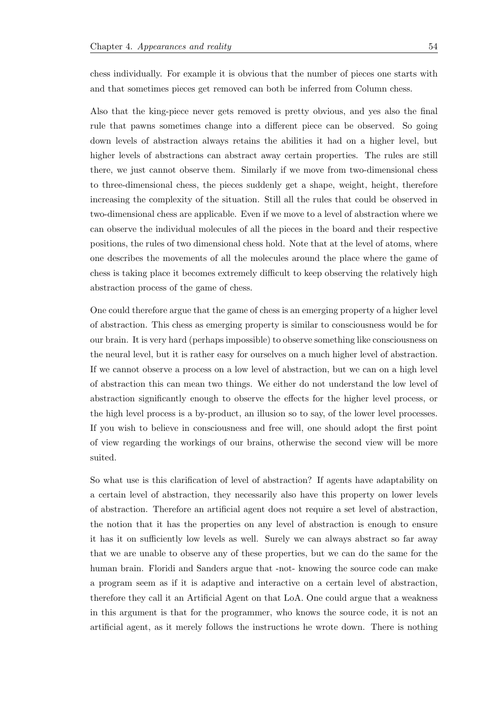chess individually. For example it is obvious that the number of pieces one starts with and that sometimes pieces get removed can both be inferred from Column chess.

Also that the king-piece never gets removed is pretty obvious, and yes also the final rule that pawns sometimes change into a different piece can be observed. So going down levels of abstraction always retains the abilities it had on a higher level, but higher levels of abstractions can abstract away certain properties. The rules are still there, we just cannot observe them. Similarly if we move from two-dimensional chess to three-dimensional chess, the pieces suddenly get a shape, weight, height, therefore increasing the complexity of the situation. Still all the rules that could be observed in two-dimensional chess are applicable. Even if we move to a level of abstraction where we can observe the individual molecules of all the pieces in the board and their respective positions, the rules of two dimensional chess hold. Note that at the level of atoms, where one describes the movements of all the molecules around the place where the game of chess is taking place it becomes extremely difficult to keep observing the relatively high abstraction process of the game of chess.

One could therefore argue that the game of chess is an emerging property of a higher level of abstraction. This chess as emerging property is similar to consciousness would be for our brain. It is very hard (perhaps impossible) to observe something like consciousness on the neural level, but it is rather easy for ourselves on a much higher level of abstraction. If we cannot observe a process on a low level of abstraction, but we can on a high level of abstraction this can mean two things. We either do not understand the low level of abstraction significantly enough to observe the effects for the higher level process, or the high level process is a by-product, an illusion so to say, of the lower level processes. If you wish to believe in consciousness and free will, one should adopt the first point of view regarding the workings of our brains, otherwise the second view will be more suited.

So what use is this clarification of level of abstraction? If agents have adaptability on a certain level of abstraction, they necessarily also have this property on lower levels of abstraction. Therefore an artificial agent does not require a set level of abstraction, the notion that it has the properties on any level of abstraction is enough to ensure it has it on sufficiently low levels as well. Surely we can always abstract so far away that we are unable to observe any of these properties, but we can do the same for the human brain. Floridi and Sanders argue that -not- knowing the source code can make a program seem as if it is adaptive and interactive on a certain level of abstraction, therefore they call it an Artificial Agent on that LoA. One could argue that a weakness in this argument is that for the programmer, who knows the source code, it is not an artificial agent, as it merely follows the instructions he wrote down. There is nothing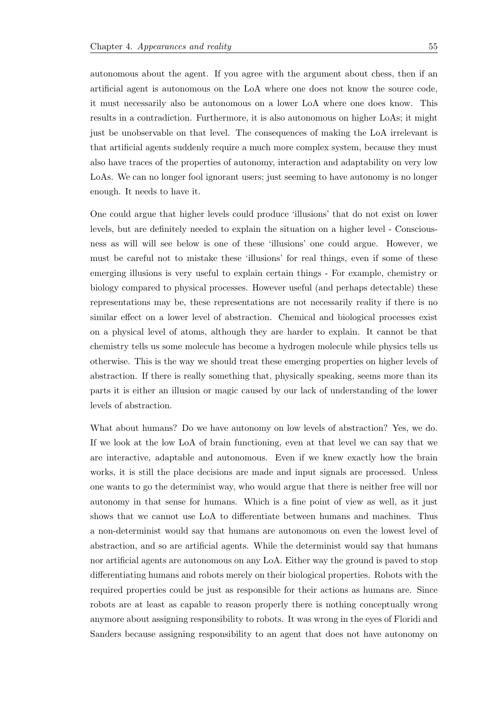autonomous about the agent. If you agree with the argument about chess, then if an artificial agent is autonomous on the LoA where one does not know the source code, it must necessarily also be autonomous on a lower LoA where one does know. This results in a contradiction. Furthermore, it is also autonomous on higher LoAs; it might just be unobservable on that level. The consequences of making the LoA irrelevant is that artificial agents suddenly require a much more complex system, because they must also have traces of the properties of autonomy, interaction and adaptability on very low LoAs. We can no longer fool ignorant users; just seeming to have autonomy is no longer enough. It needs to have it.

One could argue that higher levels could produce 'illusions' that do not exist on lower levels, but are definitely needed to explain the situation on a higher level - Consciousness as will will see below is one of these 'illusions' one could argue. However, we must be careful not to mistake these 'illusions' for real things, even if some of these emerging illusions is very useful to explain certain things - For example, chemistry or biology compared to physical processes. However useful (and perhaps detectable) these representations may be, these representations are not necessarily reality if there is no similar effect on a lower level of abstraction. Chemical and biological processes exist on a physical level of atoms, although they are harder to explain. It cannot be that chemistry tells us some molecule has become a hydrogen molecule while physics tells us otherwise. This is the way we should treat these emerging properties on higher levels of abstraction. If there is really something that, physically speaking, seems more than its parts it is either an illusion or magic caused by our lack of understanding of the lower levels of abstraction.

What about humans? Do we have autonomy on low levels of abstraction? Yes, we do. If we look at the low LoA of brain functioning, even at that level we can say that we are interactive, adaptable and autonomous. Even if we knew exactly how the brain works, it is still the place decisions are made and input signals are processed. Unless one wants to go the determinist way, who would argue that there is neither free will nor autonomy in that sense for humans. Which is a fine point of view as well, as it just shows that we cannot use LoA to differentiate between humans and machines. Thus a non-determinist would say that humans are autonomous on even the lowest level of abstraction, and so are artificial agents. While the determinist would say that humans nor artificial agents are autonomous on any LoA. Either way the ground is paved to stop differentiating humans and robots merely on their biological properties. Robots with the required properties could be just as responsible for their actions as humans are. Since robots are at least as capable to reason properly there is nothing conceptually wrong anymore about assigning responsibility to robots. It was wrong in the eyes of Floridi and Sanders because assigning responsibility to an agent that does not have autonomy on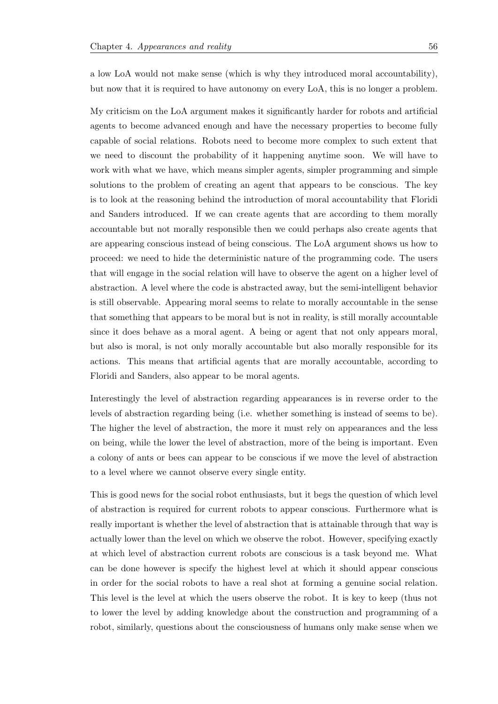a low LoA would not make sense (which is why they introduced moral accountability), but now that it is required to have autonomy on every LoA, this is no longer a problem.

My criticism on the LoA argument makes it significantly harder for robots and artificial agents to become advanced enough and have the necessary properties to become fully capable of social relations. Robots need to become more complex to such extent that we need to discount the probability of it happening anytime soon. We will have to work with what we have, which means simpler agents, simpler programming and simple solutions to the problem of creating an agent that appears to be conscious. The key is to look at the reasoning behind the introduction of moral accountability that Floridi and Sanders introduced. If we can create agents that are according to them morally accountable but not morally responsible then we could perhaps also create agents that are appearing conscious instead of being conscious. The LoA argument shows us how to proceed: we need to hide the deterministic nature of the programming code. The users that will engage in the social relation will have to observe the agent on a higher level of abstraction. A level where the code is abstracted away, but the semi-intelligent behavior is still observable. Appearing moral seems to relate to morally accountable in the sense that something that appears to be moral but is not in reality, is still morally accountable since it does behave as a moral agent. A being or agent that not only appears moral, but also is moral, is not only morally accountable but also morally responsible for its actions. This means that artificial agents that are morally accountable, according to Floridi and Sanders, also appear to be moral agents.

Interestingly the level of abstraction regarding appearances is in reverse order to the levels of abstraction regarding being (i.e. whether something is instead of seems to be). The higher the level of abstraction, the more it must rely on appearances and the less on being, while the lower the level of abstraction, more of the being is important. Even a colony of ants or bees can appear to be conscious if we move the level of abstraction to a level where we cannot observe every single entity.

This is good news for the social robot enthusiasts, but it begs the question of which level of abstraction is required for current robots to appear conscious. Furthermore what is really important is whether the level of abstraction that is attainable through that way is actually lower than the level on which we observe the robot. However, specifying exactly at which level of abstraction current robots are conscious is a task beyond me. What can be done however is specify the highest level at which it should appear conscious in order for the social robots to have a real shot at forming a genuine social relation. This level is the level at which the users observe the robot. It is key to keep (thus not to lower the level by adding knowledge about the construction and programming of a robot, similarly, questions about the consciousness of humans only make sense when we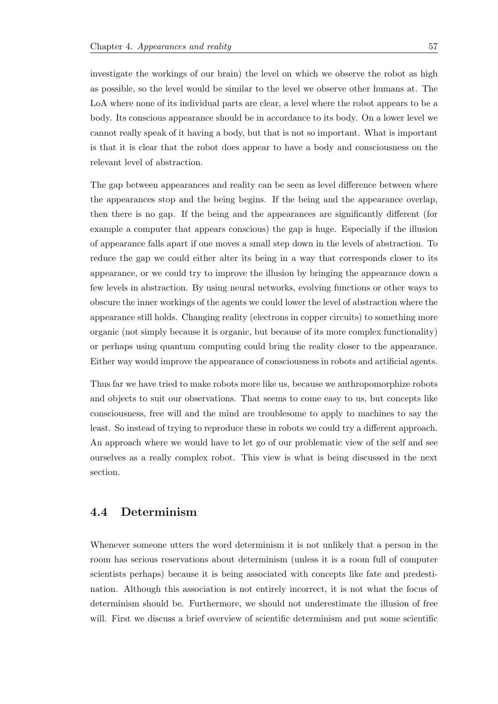investigate the workings of our brain) the level on which we observe the robot as high as possible, so the level would be similar to the level we observe other humans at. The LoA where none of its individual parts are clear, a level where the robot appears to be a body. Its conscious appearance should be in accordance to its body. On a lower level we cannot really speak of it having a body, but that is not so important. What is important is that it is clear that the robot does appear to have a body and consciousness on the relevant level of abstraction.

The gap between appearances and reality can be seen as level difference between where the appearances stop and the being begins. If the being and the appearance overlap, then there is no gap. If the being and the appearances are significantly different (for example a computer that appears conscious) the gap is huge. Especially if the illusion of appearance falls apart if one moves a small step down in the levels of abstraction. To reduce the gap we could either alter its being in a way that corresponds closer to its appearance, or we could try to improve the illusion by bringing the appearance down a few levels in abstraction. By using neural networks, evolving functions or other ways to obscure the inner workings of the agents we could lower the level of abstraction where the appearance still holds. Changing reality (electrons in copper circuits) to something more organic (not simply because it is organic, but because of its more complex functionality) or perhaps using quantum computing could bring the reality closer to the appearance. Either way would improve the appearance of consciousness in robots and artificial agents.

Thus far we have tried to make robots more like us, because we anthropomorphize robots and objects to suit our observations. That seems to come easy to us, but concepts like consciousness, free will and the mind are troublesome to apply to machines to say the least. So instead of trying to reproduce these in robots we could try a different approach. An approach where we would have to let go of our problematic view of the self and see ourselves as a really complex robot. This view is what is being discussed in the next section.

## **4.4 Determinism**

Whenever someone utters the word determinism it is not unlikely that a person in the room has serious reservations about determinism (unless it is a room full of computer scientists perhaps) because it is being associated with concepts like fate and predestination. Although this association is not entirely incorrect, it is not what the focus of determinism should be. Furthermore, we should not underestimate the illusion of free will. First we discuss a brief overview of scientific determinism and put some scientific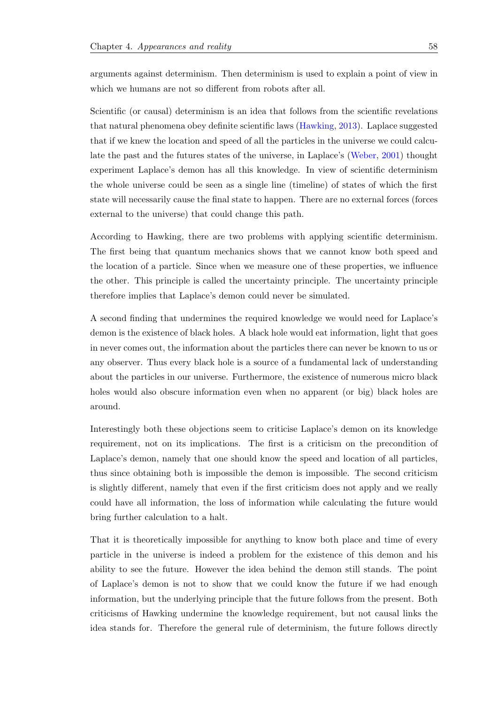arguments against determinism. Then determinism is used to explain a point of view in which we humans are not so different from robots after all.

Scientific (or causal) determinism is an idea that follows from the scientific revelations that natural phenomena obey definite scientific laws (Hawking, 2013). Laplace suggested that if we knew the location and speed of all the particles in the universe we could calculate the past and the futures states of the universe, in Laplace's (Weber, 2001) thought experiment Laplace's demon has all this knowledge[. In view of sc](#page-91-3)ientific determinism the whole universe could be seen as a single line (timeline) of states of which the first state will necessarily cause the final state to happen. There are no [extern](#page-93-6)a[l forc](#page-93-6)es (forces external to the universe) that could change this path.

According to Hawking, there are two problems with applying scientific determinism. The first being that quantum mechanics shows that we cannot know both speed and the location of a particle. Since when we measure one of these properties, we influence the other. This principle is called the uncertainty principle. The uncertainty principle therefore implies that Laplace's demon could never be simulated.

A second finding that undermines the required knowledge we would need for Laplace's demon is the existence of black holes. A black hole would eat information, light that goes in never comes out, the information about the particles there can never be known to us or any observer. Thus every black hole is a source of a fundamental lack of understanding about the particles in our universe. Furthermore, the existence of numerous micro black holes would also obscure information even when no apparent (or big) black holes are around.

Interestingly both these objections seem to criticise Laplace's demon on its knowledge requirement, not on its implications. The first is a criticism on the precondition of Laplace's demon, namely that one should know the speed and location of all particles, thus since obtaining both is impossible the demon is impossible. The second criticism is slightly different, namely that even if the first criticism does not apply and we really could have all information, the loss of information while calculating the future would bring further calculation to a halt.

That it is theoretically impossible for anything to know both place and time of every particle in the universe is indeed a problem for the existence of this demon and his ability to see the future. However the idea behind the demon still stands. The point of Laplace's demon is not to show that we could know the future if we had enough information, but the underlying principle that the future follows from the present. Both criticisms of Hawking undermine the knowledge requirement, but not causal links the idea stands for. Therefore the general rule of determinism, the future follows directly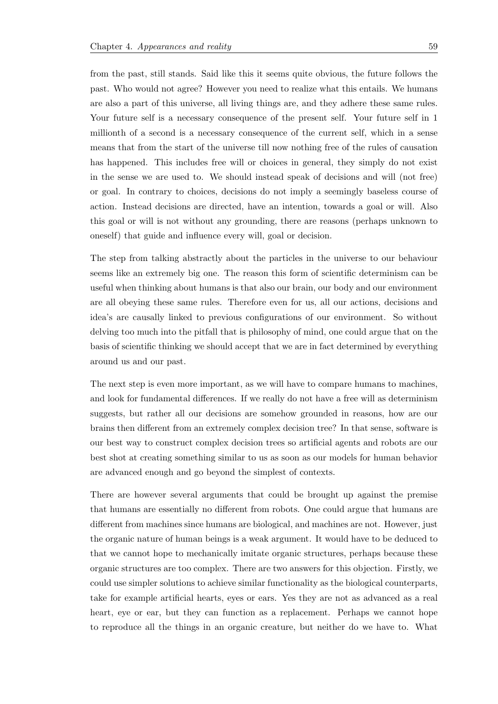from the past, still stands. Said like this it seems quite obvious, the future follows the past. Who would not agree? However you need to realize what this entails. We humans are also a part of this universe, all living things are, and they adhere these same rules. Your future self is a necessary consequence of the present self. Your future self in 1 millionth of a second is a necessary consequence of the current self, which in a sense means that from the start of the universe till now nothing free of the rules of causation has happened. This includes free will or choices in general, they simply do not exist in the sense we are used to. We should instead speak of decisions and will (not free) or goal. In contrary to choices, decisions do not imply a seemingly baseless course of action. Instead decisions are directed, have an intention, towards a goal or will. Also this goal or will is not without any grounding, there are reasons (perhaps unknown to oneself) that guide and influence every will, goal or decision.

The step from talking abstractly about the particles in the universe to our behaviour seems like an extremely big one. The reason this form of scientific determinism can be useful when thinking about humans is that also our brain, our body and our environment are all obeying these same rules. Therefore even for us, all our actions, decisions and idea's are causally linked to previous configurations of our environment. So without delving too much into the pitfall that is philosophy of mind, one could argue that on the basis of scientific thinking we should accept that we are in fact determined by everything around us and our past.

The next step is even more important, as we will have to compare humans to machines, and look for fundamental differences. If we really do not have a free will as determinism suggests, but rather all our decisions are somehow grounded in reasons, how are our brains then different from an extremely complex decision tree? In that sense, software is our best way to construct complex decision trees so artificial agents and robots are our best shot at creating something similar to us as soon as our models for human behavior are advanced enough and go beyond the simplest of contexts.

There are however several arguments that could be brought up against the premise that humans are essentially no different from robots. One could argue that humans are different from machines since humans are biological, and machines are not. However, just the organic nature of human beings is a weak argument. It would have to be deduced to that we cannot hope to mechanically imitate organic structures, perhaps because these organic structures are too complex. There are two answers for this objection. Firstly, we could use simpler solutions to achieve similar functionality as the biological counterparts, take for example artificial hearts, eyes or ears. Yes they are not as advanced as a real heart, eye or ear, but they can function as a replacement. Perhaps we cannot hope to reproduce all the things in an organic creature, but neither do we have to. What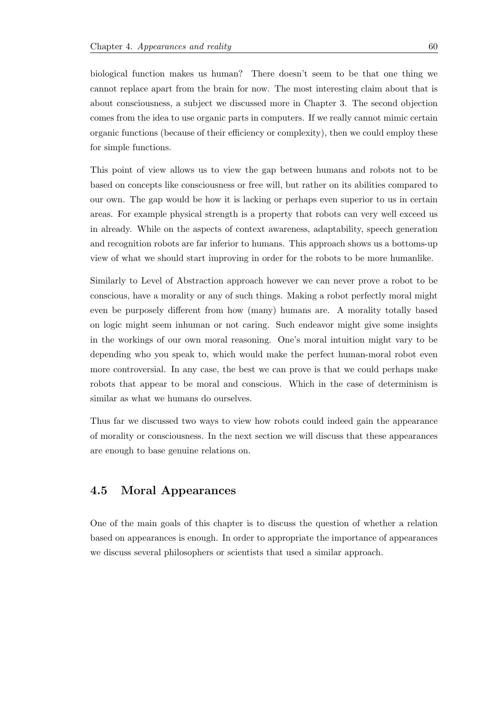biological function makes us human? There doesn't seem to be that one thing we cannot replace apart from the brain for now. The most interesting claim about that is about consciousness, a subject we discussed more in Chapter 3. The second objection comes from the idea to use organic parts in computers. If we really cannot mimic certain organic functions (because of their efficiency or complexity), then we could employ these for simple functions.

This point of view allows us to view the gap between humans and robots not to be based on concepts like consciousness or free will, but rather on its abilities compared to our own. The gap would be how it is lacking or perhaps even superior to us in certain areas. For example physical strength is a property that robots can very well exceed us in already. While on the aspects of context awareness, adaptability, speech generation and recognition robots are far inferior to humans. This approach shows us a bottoms-up view of what we should start improving in order for the robots to be more humanlike.

Similarly to Level of Abstraction approach however we can never prove a robot to be conscious, have a morality or any of such things. Making a robot perfectly moral might even be purposely different from how (many) humans are. A morality totally based on logic might seem inhuman or not caring. Such endeavor might give some insights in the workings of our own moral reasoning. One's moral intuition might vary to be depending who you speak to, which would make the perfect human-moral robot even more controversial. In any case, the best we can prove is that we could perhaps make robots that appear to be moral and conscious. Which in the case of determinism is similar as what we humans do ourselves.

Thus far we discussed two ways to view how robots could indeed gain the appearance of morality or consciousness. In the next section we will discuss that these appearances are enough to base genuine relations on.

## **4.5 Moral Appearances**

One of the main goals of this chapter is to discuss the question of whether a relation based on appearances is enough. In order to appropriate the importance of appearances we discuss several philosophers or scientists that used a similar approach.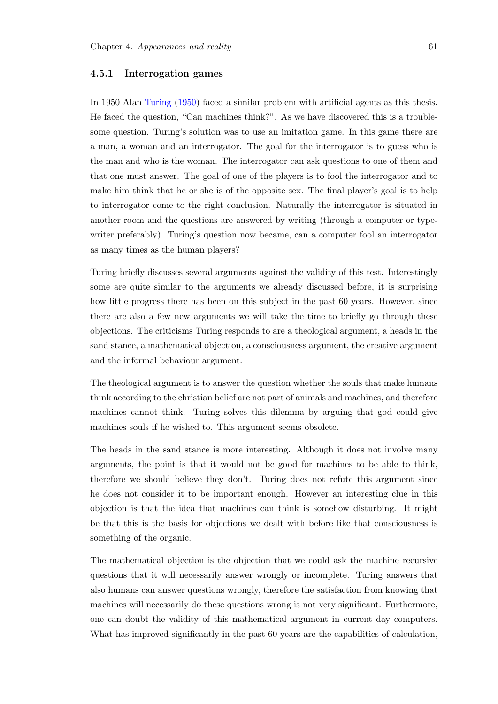#### **4.5.1 Interrogation games**

In 1950 Alan Turing (1950) faced a similar problem with artificial agents as this thesis. He faced the question, "Can machines think?". As we have discovered this is a troublesome question. Turing's solution was to use an imitation game. In this game there are a man, a wo[man and an in](#page-93-7)terrogator. The goal for the interrogator is to guess who is the man and who is the woman. The interrogator can ask questions to one of them and that one must answer. The goal of one of the players is to fool the interrogator and to make him think that he or she is of the opposite sex. The final player's goal is to help to interrogator come to the right conclusion. Naturally the interrogator is situated in another room and the questions are answered by writing (through a computer or typewriter preferably). Turing's question now became, can a computer fool an interrogator as many times as the human players?

Turing briefly discusses several arguments against the validity of this test. Interestingly some are quite similar to the arguments we already discussed before, it is surprising how little progress there has been on this subject in the past 60 years. However, since there are also a few new arguments we will take the time to briefly go through these objections. The criticisms Turing responds to are a theological argument, a heads in the sand stance, a mathematical objection, a consciousness argument, the creative argument and the informal behaviour argument.

The theological argument is to answer the question whether the souls that make humans think according to the christian belief are not part of animals and machines, and therefore machines cannot think. Turing solves this dilemma by arguing that god could give machines souls if he wished to. This argument seems obsolete.

The heads in the sand stance is more interesting. Although it does not involve many arguments, the point is that it would not be good for machines to be able to think, therefore we should believe they don't. Turing does not refute this argument since he does not consider it to be important enough. However an interesting clue in this objection is that the idea that machines can think is somehow disturbing. It might be that this is the basis for objections we dealt with before like that consciousness is something of the organic.

The mathematical objection is the objection that we could ask the machine recursive questions that it will necessarily answer wrongly or incomplete. Turing answers that also humans can answer questions wrongly, therefore the satisfaction from knowing that machines will necessarily do these questions wrong is not very significant. Furthermore, one can doubt the validity of this mathematical argument in current day computers. What has improved significantly in the past 60 years are the capabilities of calculation,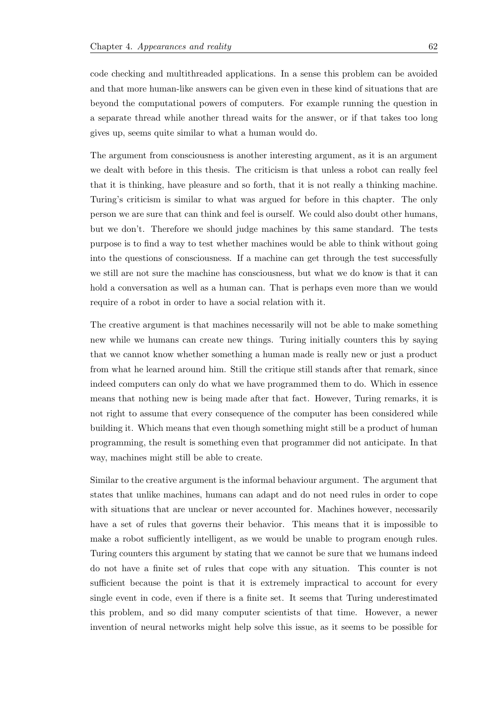code checking and multithreaded applications. In a sense this problem can be avoided and that more human-like answers can be given even in these kind of situations that are beyond the computational powers of computers. For example running the question in a separate thread while another thread waits for the answer, or if that takes too long gives up, seems quite similar to what a human would do.

The argument from consciousness is another interesting argument, as it is an argument we dealt with before in this thesis. The criticism is that unless a robot can really feel that it is thinking, have pleasure and so forth, that it is not really a thinking machine. Turing's criticism is similar to what was argued for before in this chapter. The only person we are sure that can think and feel is ourself. We could also doubt other humans, but we don't. Therefore we should judge machines by this same standard. The tests purpose is to find a way to test whether machines would be able to think without going into the questions of consciousness. If a machine can get through the test successfully we still are not sure the machine has consciousness, but what we do know is that it can hold a conversation as well as a human can. That is perhaps even more than we would require of a robot in order to have a social relation with it.

The creative argument is that machines necessarily will not be able to make something new while we humans can create new things. Turing initially counters this by saying that we cannot know whether something a human made is really new or just a product from what he learned around him. Still the critique still stands after that remark, since indeed computers can only do what we have programmed them to do. Which in essence means that nothing new is being made after that fact. However, Turing remarks, it is not right to assume that every consequence of the computer has been considered while building it. Which means that even though something might still be a product of human programming, the result is something even that programmer did not anticipate. In that way, machines might still be able to create.

Similar to the creative argument is the informal behaviour argument. The argument that states that unlike machines, humans can adapt and do not need rules in order to cope with situations that are unclear or never accounted for. Machines however, necessarily have a set of rules that governs their behavior. This means that it is impossible to make a robot sufficiently intelligent, as we would be unable to program enough rules. Turing counters this argument by stating that we cannot be sure that we humans indeed do not have a finite set of rules that cope with any situation. This counter is not sufficient because the point is that it is extremely impractical to account for every single event in code, even if there is a finite set. It seems that Turing underestimated this problem, and so did many computer scientists of that time. However, a newer invention of neural networks might help solve this issue, as it seems to be possible for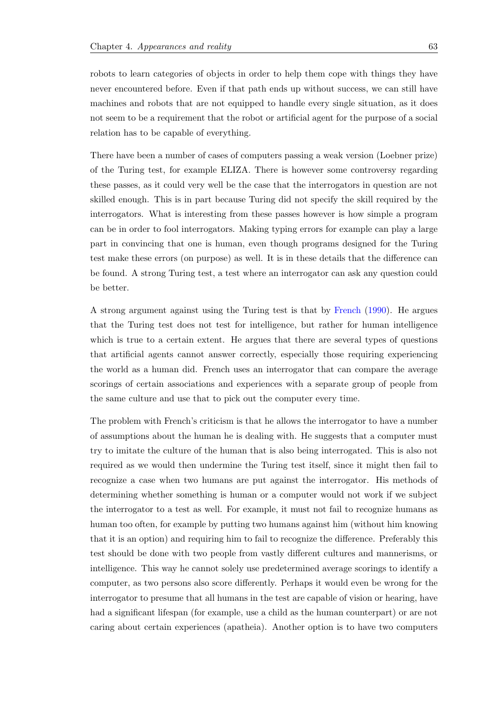robots to learn categories of objects in order to help them cope with things they have never encountered before. Even if that path ends up without success, we can still have machines and robots that are not equipped to handle every single situation, as it does not seem to be a requirement that the robot or artificial agent for the purpose of a social relation has to be capable of everything.

There have been a number of cases of computers passing a weak version (Loebner prize) of the Turing test, for example ELIZA. There is however some controversy regarding these passes, as it could very well be the case that the interrogators in question are not skilled enough. This is in part because Turing did not specify the skill required by the interrogators. What is interesting from these passes however is how simple a program can be in order to fool interrogators. Making typing errors for example can play a large part in convincing that one is human, even though programs designed for the Turing test make these errors (on purpose) as well. It is in these details that the difference can be found. A strong Turing test, a test where an interrogator can ask any question could be better.

A strong argument against using the Turing test is that by French (1990). He argues that the Turing test does not test for intelligence, but rather for human intelligence which is true to a certain extent. He argues that there are several types of questions that artificial agents cannot answer correctly, especially th[ose requ](#page-90-8)i[ring](#page-90-8) experiencing the world as a human did. French uses an interrogator that can compare the average scorings of certain associations and experiences with a separate group of people from the same culture and use that to pick out the computer every time.

The problem with French's criticism is that he allows the interrogator to have a number of assumptions about the human he is dealing with. He suggests that a computer must try to imitate the culture of the human that is also being interrogated. This is also not required as we would then undermine the Turing test itself, since it might then fail to recognize a case when two humans are put against the interrogator. His methods of determining whether something is human or a computer would not work if we subject the interrogator to a test as well. For example, it must not fail to recognize humans as human too often, for example by putting two humans against him (without him knowing that it is an option) and requiring him to fail to recognize the difference. Preferably this test should be done with two people from vastly different cultures and mannerisms, or intelligence. This way he cannot solely use predetermined average scorings to identify a computer, as two persons also score differently. Perhaps it would even be wrong for the interrogator to presume that all humans in the test are capable of vision or hearing, have had a significant lifespan (for example, use a child as the human counterpart) or are not caring about certain experiences (apatheia). Another option is to have two computers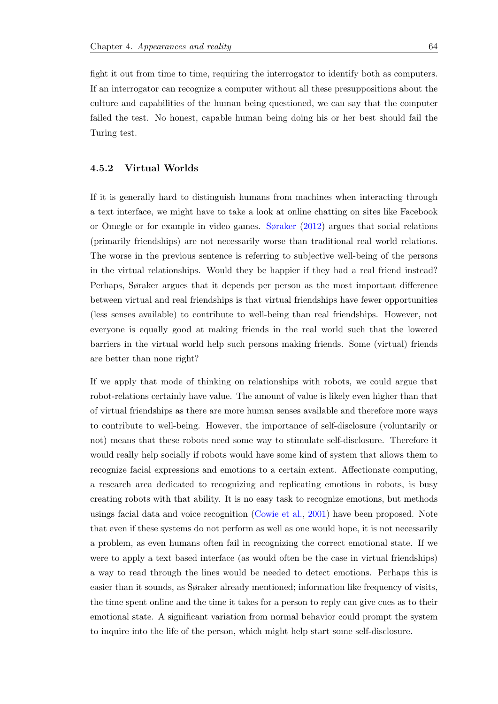fight it out from time to time, requiring the interrogator to identify both as computers. If an interrogator can recognize a computer without all these presuppositions about the culture and capabilities of the human being questioned, we can say that the computer failed the test. No honest, capable human being doing his or her best should fail the Turing test.

#### **4.5.2 Virtual Worlds**

If it is generally hard to distinguish humans from machines when interacting through a text interface, we might have to take a look at online chatting on sites like Facebook or Omegle or for example in video games. Søraker (2012) argues that social relations (primarily friendships) are not necessarily worse than traditional real world relations. The worse in the previous sentence is referring to subjective well-being of the persons in the virtual relationships. Would they be [happier if the](#page-93-8)y had a real friend instead? Perhaps, Søraker argues that it depends per person as the most important difference between virtual and real friendships is that virtual friendships have fewer opportunities (less senses available) to contribute to well-being than real friendships. However, not everyone is equally good at making friends in the real world such that the lowered barriers in the virtual world help such persons making friends. Some (virtual) friends are better than none right?

If we apply that mode of thinking on relationships with robots, we could argue that robot-relations certainly have value. The amount of value is likely even higher than that of virtual friendships as there are more human senses available and therefore more ways to contribute to well-being. However, the importance of self-disclosure (voluntarily or not) means that these robots need some way to stimulate self-disclosure. Therefore it would really help socially if robots would have some kind of system that allows them to recognize facial expressions and emotions to a certain extent. Affectionate computing, a research area dedicated to recognizing and replicating emotions in robots, is busy creating robots with that ability. It is no easy task to recognize emotions, but methods usings facial data and voice recognition (Cowie et al., 2001) have been proposed. Note that even if these systems do not perform as well as one would hope, it is not necessarily a problem, as even humans often fail in recognizing the correct emotional state. If we were to apply a text based interface (as [would often](#page-90-9) b[e the](#page-90-9) case in virtual friendships) a way to read through the lines would be needed to detect emotions. Perhaps this is easier than it sounds, as Søraker already mentioned; information like frequency of visits, the time spent online and the time it takes for a person to reply can give cues as to their emotional state. A significant variation from normal behavior could prompt the system to inquire into the life of the person, which might help start some self-disclosure.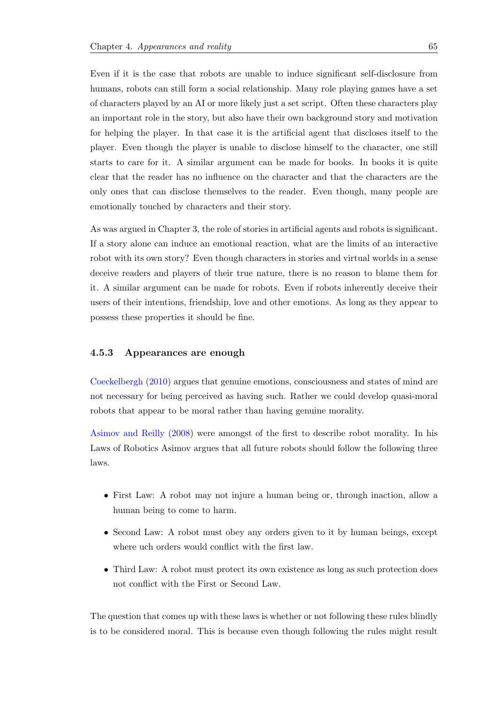Even if it is the case that robots are unable to induce significant self-disclosure from humans, robots can still form a social relationship. Many role playing games have a set of characters played by an AI or more likely just a set script. Often these characters play an important role in the story, but also have their own background story and motivation for helping the player. In that case it is the artificial agent that discloses itself to the player. Even though the player is unable to disclose himself to the character, one still starts to care for it. A similar argument can be made for books. In books it is quite clear that the reader has no influence on the character and that the characters are the only ones that can disclose themselves to the reader. Even though, many people are emotionally touched by characters and their story.

As was argued in Chapter 3, the role of stories in artificial agents and robots is significant. If a story alone can induce an emotional reaction, what are the limits of an interactive robot with its own story? Even though characters in stories and virtual worlds in a sense deceive readers and players of their true nature, there is no reason to blame them for it. A similar argument can be made for robots. Even if robots inherently deceive their users of their intentions, friendship, love and other emotions. As long as they appear to possess these properties it should be fine.

#### **4.5.3 Appearances are enough**

Coeckelbergh (2010) argues that genuine emotions, consciousness and states of mind are not necessary for being perceived as having such. Rather we could develop quasi-moral robots that appear to be moral rather than having genuine morality.

Asimov and Reilly (2008) were amongst of the first to describe robot morality. In his Laws of Robotics Asimov argues that all future robots should follow the following three laws.

- *•* First Law: A robot may not injure a human being or, through inaction, allow a human being to come to harm.
- Second Law: A robot must obey any orders given to it by human beings, except where uch orders would conflict with the first law.
- Third Law: A robot must protect its own existence as long as such protection does not conflict with the First or Second Law.

The question that comes up with these laws is whether or not following these rules blindly is to be considered moral. This is because even though following the rules might result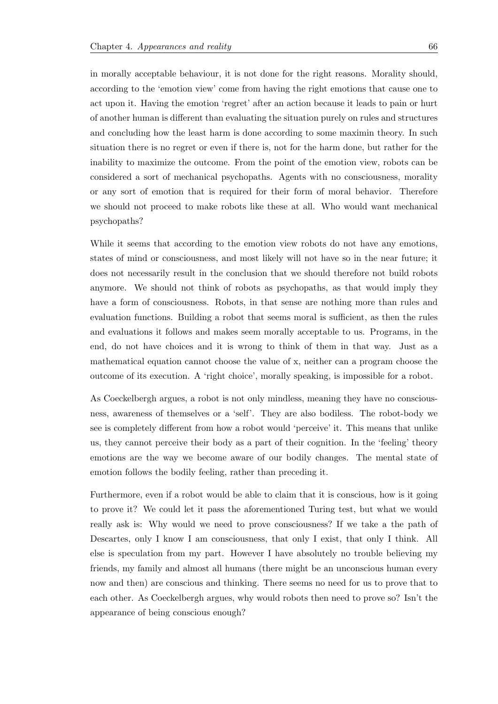in morally acceptable behaviour, it is not done for the right reasons. Morality should, according to the 'emotion view' come from having the right emotions that cause one to act upon it. Having the emotion 'regret' after an action because it leads to pain or hurt of another human is different than evaluating the situation purely on rules and structures and concluding how the least harm is done according to some maximin theory. In such situation there is no regret or even if there is, not for the harm done, but rather for the inability to maximize the outcome. From the point of the emotion view, robots can be considered a sort of mechanical psychopaths. Agents with no consciousness, morality or any sort of emotion that is required for their form of moral behavior. Therefore we should not proceed to make robots like these at all. Who would want mechanical psychopaths?

While it seems that according to the emotion view robots do not have any emotions, states of mind or consciousness, and most likely will not have so in the near future; it does not necessarily result in the conclusion that we should therefore not build robots anymore. We should not think of robots as psychopaths, as that would imply they have a form of consciousness. Robots, in that sense are nothing more than rules and evaluation functions. Building a robot that seems moral is sufficient, as then the rules and evaluations it follows and makes seem morally acceptable to us. Programs, in the end, do not have choices and it is wrong to think of them in that way. Just as a mathematical equation cannot choose the value of x, neither can a program choose the outcome of its execution. A 'right choice', morally speaking, is impossible for a robot.

As Coeckelbergh argues, a robot is not only mindless, meaning they have no consciousness, awareness of themselves or a 'self'. They are also bodiless. The robot-body we see is completely different from how a robot would 'perceive' it. This means that unlike us, they cannot perceive their body as a part of their cognition. In the 'feeling' theory emotions are the way we become aware of our bodily changes. The mental state of emotion follows the bodily feeling, rather than preceding it.

Furthermore, even if a robot would be able to claim that it is conscious, how is it going to prove it? We could let it pass the aforementioned Turing test, but what we would really ask is: Why would we need to prove consciousness? If we take a the path of Descartes, only I know I am consciousness, that only I exist, that only I think. All else is speculation from my part. However I have absolutely no trouble believing my friends, my family and almost all humans (there might be an unconscious human every now and then) are conscious and thinking. There seems no need for us to prove that to each other. As Coeckelbergh argues, why would robots then need to prove so? Isn't the appearance of being conscious enough?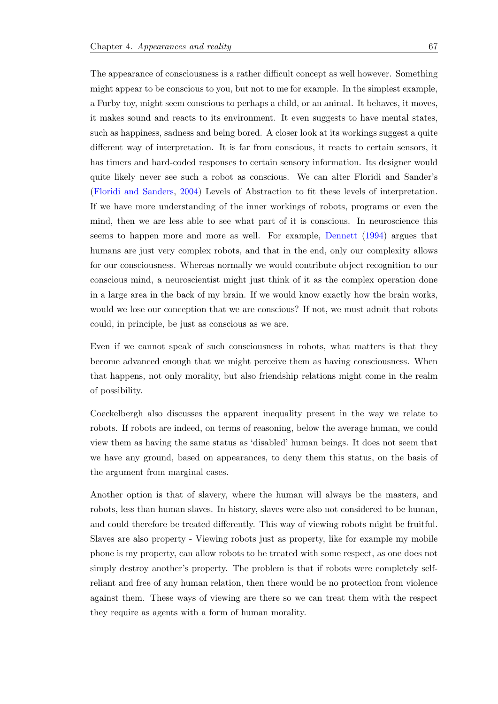The appearance of consciousness is a rather difficult concept as well however. Something might appear to be conscious to you, but not to me for example. In the simplest example, a Furby toy, might seem conscious to perhaps a child, or an animal. It behaves, it moves, it makes sound and reacts to its environment. It even suggests to have mental states, such as happiness, sadness and being bored. A closer look at its workings suggest a quite different way of interpretation. It is far from conscious, it reacts to certain sensors, it has timers and hard-coded responses to certain sensory information. Its designer would quite likely never see such a robot as conscious. We can alter Floridi and Sander's (Floridi and Sanders, 2004) Levels of Abstraction to fit these levels of interpretation. If we have more understanding of the inner workings of robots, programs or even the mind, then we are less able to see what part of it is conscious. In neuroscience this [seems to happen mo](#page-90-6)r[e and](#page-90-6) more as well. For example, Dennett (1994) argues that humans are just very complex robots, and that in the end, only our complexity allows for our consciousness. Whereas normally we would contribute object recognition to our conscious mind, a neuroscientist might just think of it as [the comp](#page-90-4)l[ex op](#page-90-4)eration done in a large area in the back of my brain. If we would know exactly how the brain works, would we lose our conception that we are conscious? If not, we must admit that robots could, in principle, be just as conscious as we are.

Even if we cannot speak of such consciousness in robots, what matters is that they become advanced enough that we might perceive them as having consciousness. When that happens, not only morality, but also friendship relations might come in the realm of possibility.

Coeckelbergh also discusses the apparent inequality present in the way we relate to robots. If robots are indeed, on terms of reasoning, below the average human, we could view them as having the same status as 'disabled' human beings. It does not seem that we have any ground, based on appearances, to deny them this status, on the basis of the argument from marginal cases.

Another option is that of slavery, where the human will always be the masters, and robots, less than human slaves. In history, slaves were also not considered to be human, and could therefore be treated differently. This way of viewing robots might be fruitful. Slaves are also property - Viewing robots just as property, like for example my mobile phone is my property, can allow robots to be treated with some respect, as one does not simply destroy another's property. The problem is that if robots were completely selfreliant and free of any human relation, then there would be no protection from violence against them. These ways of viewing are there so we can treat them with the respect they require as agents with a form of human morality.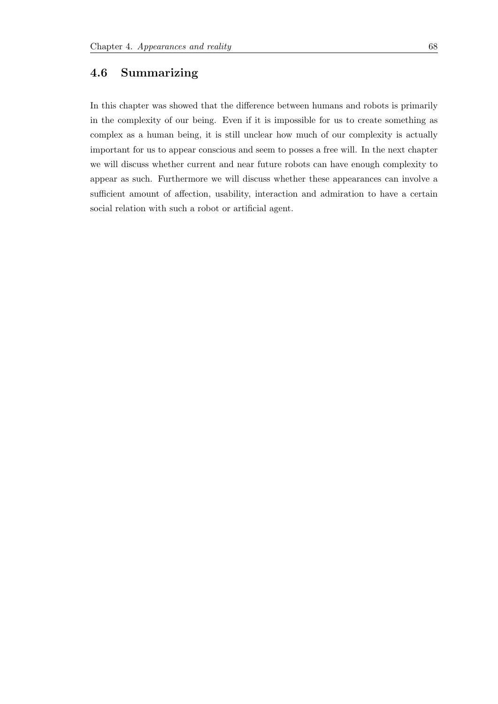## **4.6 Summarizing**

In this chapter was showed that the difference between humans and robots is primarily in the complexity of our being. Even if it is impossible for us to create something as complex as a human being, it is still unclear how much of our complexity is actually important for us to appear conscious and seem to posses a free will. In the next chapter we will discuss whether current and near future robots can have enough complexity to appear as such. Furthermore we will discuss whether these appearances can involve a sufficient amount of affection, usability, interaction and admiration to have a certain social relation with such a robot or artificial agent.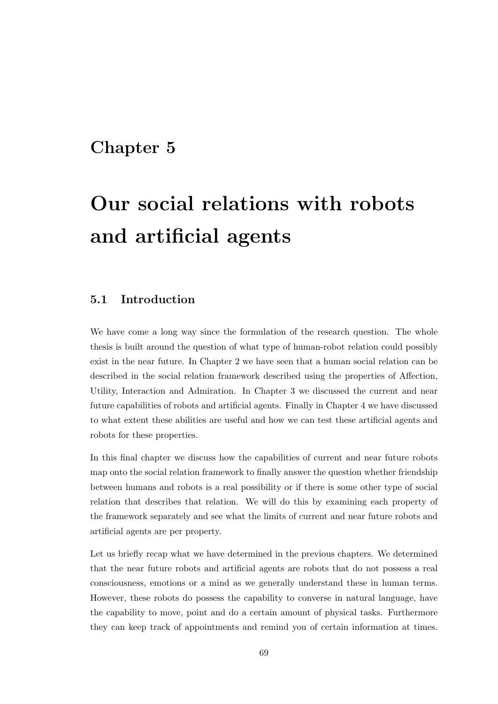# **Chapter 5**

# **Our social relations with robots and artificial agents**

### **5.1 Introduction**

We have come a long way since the formulation of the research question. The whole thesis is built around the question of what type of human-robot relation could possibly exist in the near future. In Chapter 2 we have seen that a human social relation can be described in the social relation framework described using the properties of Affection, Utility, Interaction and Admiration. In Chapter 3 we discussed the current and near future capabilities of robots and artificial agents. Finally in Chapter 4 we have discussed to what extent these abilities are useful and how we can test these artificial agents and robots for these properties.

In this final chapter we discuss how the capabilities of current and near future robots map onto the social relation framework to finally answer the question whether friendship between humans and robots is a real possibility or if there is some other type of social relation that describes that relation. We will do this by examining each property of the framework separately and see what the limits of current and near future robots and artificial agents are per property.

Let us briefly recap what we have determined in the previous chapters. We determined that the near future robots and artificial agents are robots that do not possess a real consciousness, emotions or a mind as we generally understand these in human terms. However, these robots do possess the capability to converse in natural language, have the capability to move, point and do a certain amount of physical tasks. Furthermore they can keep track of appointments and remind you of certain information at times.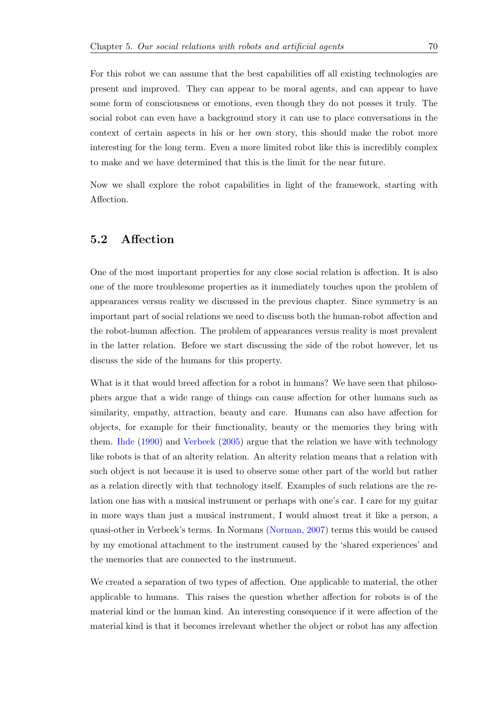For this robot we can assume that the best capabilities off all existing technologies are present and improved. They can appear to be moral agents, and can appear to have some form of consciousness or emotions, even though they do not posses it truly. The social robot can even have a background story it can use to place conversations in the context of certain aspects in his or her own story, this should make the robot more interesting for the long term. Even a more limited robot like this is incredibly complex to make and we have determined that this is the limit for the near future.

Now we shall explore the robot capabilities in light of the framework, starting with Affection.

#### **5.2 Affection**

One of the most important properties for any close social relation is affection. It is also one of the more troublesome properties as it immediately touches upon the problem of appearances versus reality we discussed in the previous chapter. Since symmetry is an important part of social relations we need to discuss both the human-robot affection and the robot-human affection. The problem of appearances versus reality is most prevalent in the latter relation. Before we start discussing the side of the robot however, let us discuss the side of the humans for this property.

What is it that would breed affection for a robot in humans? We have seen that philosophers argue that a wide range of things can cause affection for other humans such as similarity, empathy, attraction, beauty and care. Humans can also have affection for objects, for example for their functionality, beauty or the memories they bring with them. Ihde (1990) and Verbeek (2005) argue that the relation we have with technology like robots is that of an alterity relation. An alterity relation means that a relation with such object is not because it is used to observe some other part of the world but rather as a re[lation direc](#page-91-0)tly w[ith that](#page-93-0) t[echno](#page-93-0)logy itself. Examples of such relations are the relation one has with a musical instrument or perhaps with one's car. I care for my guitar in more ways than just a musical instrument, I would almost treat it like a person, a quasi-other in Verbeek's terms. In Normans (Norman, 2007) terms this would be caused by my emotional attachment to the instrument caused by the 'shared experiences' and the memories that are connected to the instrument.

We created a separation of two types of affection. One applicable to material, the other applicable to humans. This raises the question whether affection for robots is of the material kind or the human kind. An interesting consequence if it were affection of the material kind is that it becomes irrelevant whether the object or robot has any affection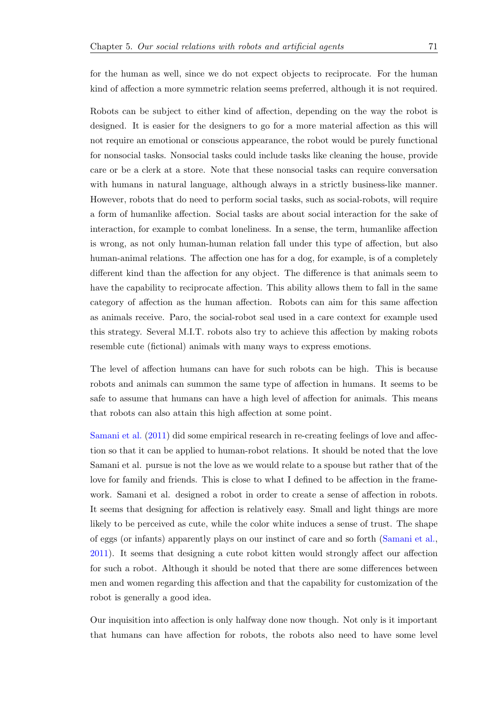for the human as well, since we do not expect objects to reciprocate. For the human kind of affection a more symmetric relation seems preferred, although it is not required.

Robots can be subject to either kind of affection, depending on the way the robot is designed. It is easier for the designers to go for a more material affection as this will not require an emotional or conscious appearance, the robot would be purely functional for nonsocial tasks. Nonsocial tasks could include tasks like cleaning the house, provide care or be a clerk at a store. Note that these nonsocial tasks can require conversation with humans in natural language, although always in a strictly business-like manner. However, robots that do need to perform social tasks, such as social-robots, will require a form of humanlike affection. Social tasks are about social interaction for the sake of interaction, for example to combat loneliness. In a sense, the term, humanlike affection is wrong, as not only human-human relation fall under this type of affection, but also human-animal relations. The affection one has for a dog, for example, is of a completely different kind than the affection for any object. The difference is that animals seem to have the capability to reciprocate affection. This ability allows them to fall in the same category of affection as the human affection. Robots can aim for this same affection as animals receive. Paro, the social-robot seal used in a care context for example used this strategy. Several M.I.T. robots also try to achieve this affection by making robots resemble cute (fictional) animals with many ways to express emotions.

The level of affection humans can have for such robots can be high. This is because robots and animals can summon the same type of affection in humans. It seems to be safe to assume that humans can have a high level of affection for animals. This means that robots can also attain this high affection at some point.

Samani et al. (2011) did some empirical research in re-creating feelings of love and affection so that it can be applied to human-robot relations. It should be noted that the love Samani et al. pursue is not the love as we would relate to a spouse but rather that of the [love for famil](#page-92-0)y [and](#page-92-0) friends. This is close to what I defined to be affection in the framework. Samani et al. designed a robot in order to create a sense of affection in robots. It seems that designing for affection is relatively easy. Small and light things are more likely to be perceived as cute, while the color white induces a sense of trust. The shape of eggs (or infants) apparently plays on our instinct of care and so forth (Samani et al., 2011). It seems that designing a cute robot kitten would strongly affect our affection for such a robot. Although it should be noted that there are some differences between men and women regarding this affection and that the capability for custo[mization of the](#page-92-0) [robot](#page-92-0) is generally a good idea.

Our inquisition into affection is only halfway done now though. Not only is it important that humans can have affection for robots, the robots also need to have some level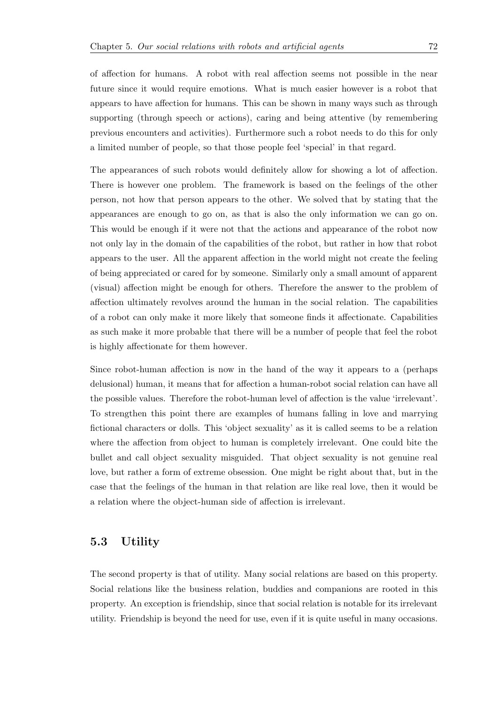of affection for humans. A robot with real affection seems not possible in the near future since it would require emotions. What is much easier however is a robot that appears to have affection for humans. This can be shown in many ways such as through supporting (through speech or actions), caring and being attentive (by remembering previous encounters and activities). Furthermore such a robot needs to do this for only a limited number of people, so that those people feel 'special' in that regard.

The appearances of such robots would definitely allow for showing a lot of affection. There is however one problem. The framework is based on the feelings of the other person, not how that person appears to the other. We solved that by stating that the appearances are enough to go on, as that is also the only information we can go on. This would be enough if it were not that the actions and appearance of the robot now not only lay in the domain of the capabilities of the robot, but rather in how that robot appears to the user. All the apparent affection in the world might not create the feeling of being appreciated or cared for by someone. Similarly only a small amount of apparent (visual) affection might be enough for others. Therefore the answer to the problem of affection ultimately revolves around the human in the social relation. The capabilities of a robot can only make it more likely that someone finds it affectionate. Capabilities as such make it more probable that there will be a number of people that feel the robot is highly affectionate for them however.

Since robot-human affection is now in the hand of the way it appears to a (perhaps delusional) human, it means that for affection a human-robot social relation can have all the possible values. Therefore the robot-human level of affection is the value 'irrelevant'. To strengthen this point there are examples of humans falling in love and marrying fictional characters or dolls. This 'object sexuality' as it is called seems to be a relation where the affection from object to human is completely irrelevant. One could bite the bullet and call object sexuality misguided. That object sexuality is not genuine real love, but rather a form of extreme obsession. One might be right about that, but in the case that the feelings of the human in that relation are like real love, then it would be a relation where the object-human side of affection is irrelevant.

#### **5.3 Utility**

The second property is that of utility. Many social relations are based on this property. Social relations like the business relation, buddies and companions are rooted in this property. An exception is friendship, since that social relation is notable for its irrelevant utility. Friendship is beyond the need for use, even if it is quite useful in many occasions.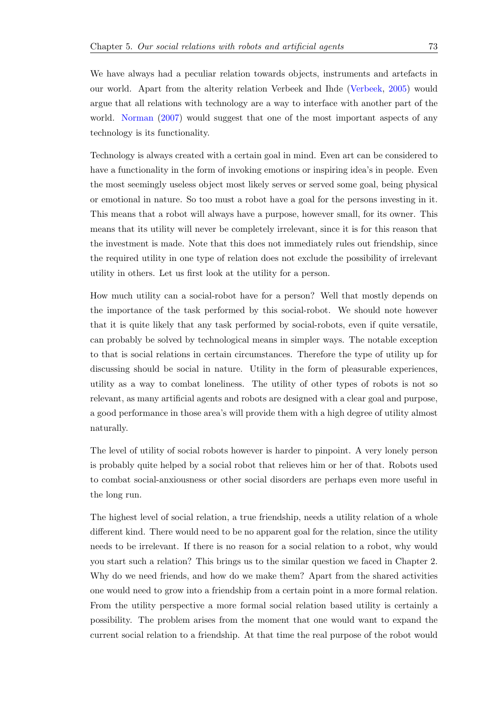We have always had a peculiar relation towards objects, instruments and artefacts in our world. Apart from the alterity relation Verbeek and Ihde (Verbeek, 2005) would argue that all relations with technology are a way to interface with another part of the world. Norman (2007) would suggest that one of the most important aspects of any technology is its functionality.

Technol[ogy is always c](#page-92-1)reated with a certain goal in mind. Even art can be considered to have a functionality in the form of invoking emotions or inspiring idea's in people. Even the most seemingly useless object most likely serves or served some goal, being physical or emotional in nature. So too must a robot have a goal for the persons investing in it. This means that a robot will always have a purpose, however small, for its owner. This means that its utility will never be completely irrelevant, since it is for this reason that the investment is made. Note that this does not immediately rules out friendship, since the required utility in one type of relation does not exclude the possibility of irrelevant utility in others. Let us first look at the utility for a person.

How much utility can a social-robot have for a person? Well that mostly depends on the importance of the task performed by this social-robot. We should note however that it is quite likely that any task performed by social-robots, even if quite versatile, can probably be solved by technological means in simpler ways. The notable exception to that is social relations in certain circumstances. Therefore the type of utility up for discussing should be social in nature. Utility in the form of pleasurable experiences, utility as a way to combat loneliness. The utility of other types of robots is not so relevant, as many artificial agents and robots are designed with a clear goal and purpose, a good performance in those area's will provide them with a high degree of utility almost naturally.

The level of utility of social robots however is harder to pinpoint. A very lonely person is probably quite helped by a social robot that relieves him or her of that. Robots used to combat social-anxiousness or other social disorders are perhaps even more useful in the long run.

The highest level of social relation, a true friendship, needs a utility relation of a whole different kind. There would need to be no apparent goal for the relation, since the utility needs to be irrelevant. If there is no reason for a social relation to a robot, why would you start such a relation? This brings us to the similar question we faced in Chapter 2. Why do we need friends, and how do we make them? Apart from the shared activities one would need to grow into a friendship from a certain point in a more formal relation. From the utility perspective a more formal social relation based utility is certainly a possibility. The problem arises from the moment that one would want to expand the current social relation to a friendship. At that time the real purpose of the robot would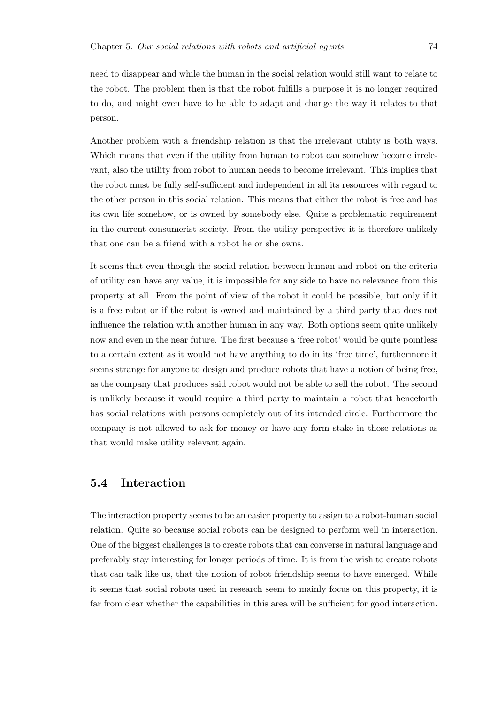need to disappear and while the human in the social relation would still want to relate to the robot. The problem then is that the robot fulfills a purpose it is no longer required to do, and might even have to be able to adapt and change the way it relates to that person.

Another problem with a friendship relation is that the irrelevant utility is both ways. Which means that even if the utility from human to robot can somehow become irrelevant, also the utility from robot to human needs to become irrelevant. This implies that the robot must be fully self-sufficient and independent in all its resources with regard to the other person in this social relation. This means that either the robot is free and has its own life somehow, or is owned by somebody else. Quite a problematic requirement in the current consumerist society. From the utility perspective it is therefore unlikely that one can be a friend with a robot he or she owns.

It seems that even though the social relation between human and robot on the criteria of utility can have any value, it is impossible for any side to have no relevance from this property at all. From the point of view of the robot it could be possible, but only if it is a free robot or if the robot is owned and maintained by a third party that does not influence the relation with another human in any way. Both options seem quite unlikely now and even in the near future. The first because a 'free robot' would be quite pointless to a certain extent as it would not have anything to do in its 'free time', furthermore it seems strange for anyone to design and produce robots that have a notion of being free, as the company that produces said robot would not be able to sell the robot. The second is unlikely because it would require a third party to maintain a robot that henceforth has social relations with persons completely out of its intended circle. Furthermore the company is not allowed to ask for money or have any form stake in those relations as that would make utility relevant again.

#### **5.4 Interaction**

The interaction property seems to be an easier property to assign to a robot-human social relation. Quite so because social robots can be designed to perform well in interaction. One of the biggest challenges is to create robots that can converse in natural language and preferably stay interesting for longer periods of time. It is from the wish to create robots that can talk like us, that the notion of robot friendship seems to have emerged. While it seems that social robots used in research seem to mainly focus on this property, it is far from clear whether the capabilities in this area will be sufficient for good interaction.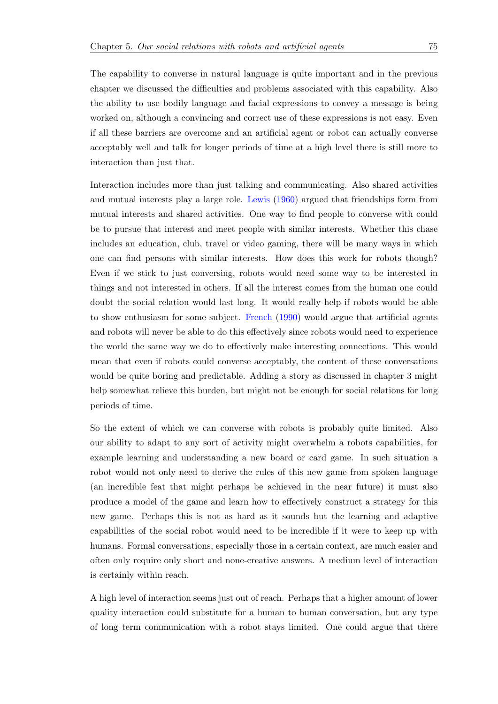The capability to converse in natural language is quite important and in the previous chapter we discussed the difficulties and problems associated with this capability. Also the ability to use bodily language and facial expressions to convey a message is being worked on, although a convincing and correct use of these expressions is not easy. Even if all these barriers are overcome and an artificial agent or robot can actually converse acceptably well and talk for longer periods of time at a high level there is still more to interaction than just that.

Interaction includes more than just talking and communicating. Also shared activities and mutual interests play a large role. Lewis (1960) argued that friendships form from mutual interests and shared activities. One way to find people to converse with could be to pursue that interest and meet people with similar interests. Whether this chase includes an education, club, travel or [video g](#page-91-1)a[ming](#page-91-1), there will be many ways in which one can find persons with similar interests. How does this work for robots though? Even if we stick to just conversing, robots would need some way to be interested in things and not interested in others. If all the interest comes from the human one could doubt the social relation would last long. It would really help if robots would be able to show enthusiasm for some subject. French (1990) would argue that artificial agents and robots will never be able to do this effectively since robots would need to experience the world the same way we do to effectively make interesting connections. This would mean that even if robots could conver[se acceptably,](#page-90-0) the content of these conversations would be quite boring and predictable. Adding a story as discussed in chapter 3 might help somewhat relieve this burden, but might not be enough for social relations for long periods of time.

So the extent of which we can converse with robots is probably quite limited. Also our ability to adapt to any sort of activity might overwhelm a robots capabilities, for example learning and understanding a new board or card game. In such situation a robot would not only need to derive the rules of this new game from spoken language (an incredible feat that might perhaps be achieved in the near future) it must also produce a model of the game and learn how to effectively construct a strategy for this new game. Perhaps this is not as hard as it sounds but the learning and adaptive capabilities of the social robot would need to be incredible if it were to keep up with humans. Formal conversations, especially those in a certain context, are much easier and often only require only short and none-creative answers. A medium level of interaction is certainly within reach.

A high level of interaction seems just out of reach. Perhaps that a higher amount of lower quality interaction could substitute for a human to human conversation, but any type of long term communication with a robot stays limited. One could argue that there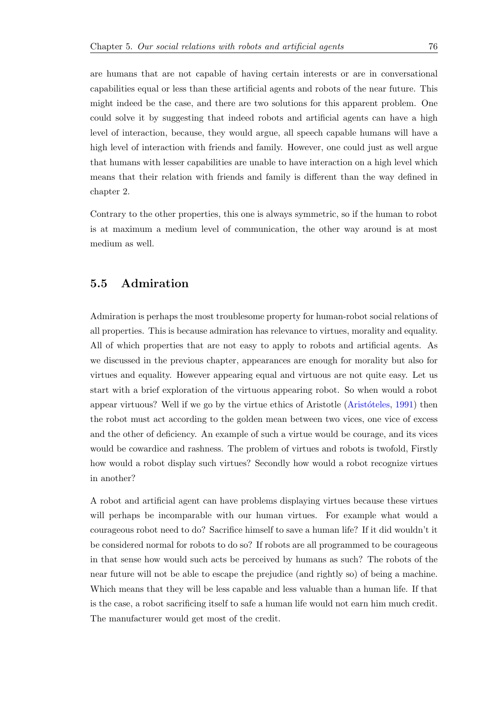are humans that are not capable of having certain interests or are in conversational capabilities equal or less than these artificial agents and robots of the near future. This might indeed be the case, and there are two solutions for this apparent problem. One could solve it by suggesting that indeed robots and artificial agents can have a high level of interaction, because, they would argue, all speech capable humans will have a high level of interaction with friends and family. However, one could just as well argue that humans with lesser capabilities are unable to have interaction on a high level which means that their relation with friends and family is different than the way defined in chapter 2.

Contrary to the other properties, this one is always symmetric, so if the human to robot is at maximum a medium level of communication, the other way around is at most medium as well.

### **5.5 Admiration**

Admiration is perhaps the most troublesome property for human-robot social relations of all properties. This is because admiration has relevance to virtues, morality and equality. All of which properties that are not easy to apply to robots and artificial agents. As we discussed in the previous chapter, appearances are enough for morality but also for virtues and equality. However appearing equal and virtuous are not quite easy. Let us start with a brief exploration of the virtuous appearing robot. So when would a robot appear virtuous? Well if we go by the virtue ethics of Aristotle (Aristóteles,  $1991$ ) then the robot must act according to the golden mean between two vices, one vice of excess and the other of deficiency. An example of such a virtue would be courage, and its vices would be cowardice and rashness. The problem of virtues and ro[bots is two](#page-89-0)f[old, F](#page-89-0)irstly how would a robot display such virtues? Secondly how would a robot recognize virtues in another?

A robot and artificial agent can have problems displaying virtues because these virtues will perhaps be incomparable with our human virtues. For example what would a courageous robot need to do? Sacrifice himself to save a human life? If it did wouldn't it be considered normal for robots to do so? If robots are all programmed to be courageous in that sense how would such acts be perceived by humans as such? The robots of the near future will not be able to escape the prejudice (and rightly so) of being a machine. Which means that they will be less capable and less valuable than a human life. If that is the case, a robot sacrificing itself to safe a human life would not earn him much credit. The manufacturer would get most of the credit.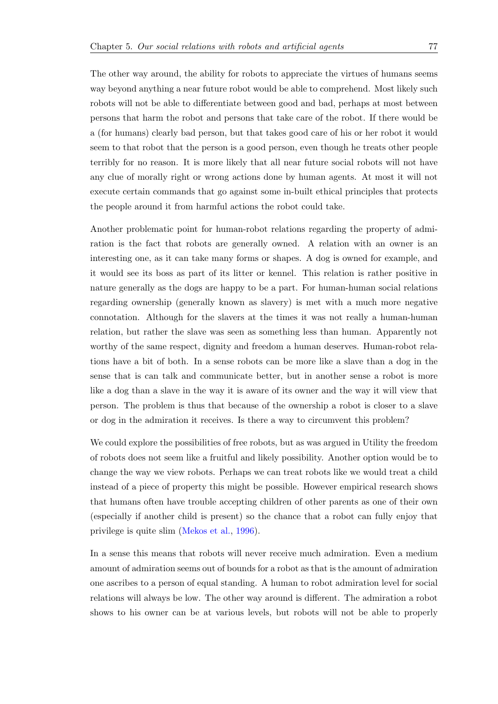The other way around, the ability for robots to appreciate the virtues of humans seems way beyond anything a near future robot would be able to comprehend. Most likely such robots will not be able to differentiate between good and bad, perhaps at most between persons that harm the robot and persons that take care of the robot. If there would be a (for humans) clearly bad person, but that takes good care of his or her robot it would seem to that robot that the person is a good person, even though he treats other people terribly for no reason. It is more likely that all near future social robots will not have any clue of morally right or wrong actions done by human agents. At most it will not execute certain commands that go against some in-built ethical principles that protects the people around it from harmful actions the robot could take.

Another problematic point for human-robot relations regarding the property of admiration is the fact that robots are generally owned. A relation with an owner is an interesting one, as it can take many forms or shapes. A dog is owned for example, and it would see its boss as part of its litter or kennel. This relation is rather positive in nature generally as the dogs are happy to be a part. For human-human social relations regarding ownership (generally known as slavery) is met with a much more negative connotation. Although for the slavers at the times it was not really a human-human relation, but rather the slave was seen as something less than human. Apparently not worthy of the same respect, dignity and freedom a human deserves. Human-robot relations have a bit of both. In a sense robots can be more like a slave than a dog in the sense that is can talk and communicate better, but in another sense a robot is more like a dog than a slave in the way it is aware of its owner and the way it will view that person. The problem is thus that because of the ownership a robot is closer to a slave or dog in the admiration it receives. Is there a way to circumvent this problem?

We could explore the possibilities of free robots, but as was argued in Utility the freedom of robots does not seem like a fruitful and likely possibility. Another option would be to change the way we view robots. Perhaps we can treat robots like we would treat a child instead of a piece of property this might be possible. However empirical research shows that humans often have trouble accepting children of other parents as one of their own (especially if another child is present) so the chance that a robot can fully enjoy that privilege is quite slim (Mekos et al., 1996).

In a sense this means that robots will never receive much admiration. Even a medium amount of admiration s[eems out of bounds](#page-92-2) for a robot as that is the amount of admiration one ascribes to a person of equal standing. A human to robot admiration level for social relations will always be low. The other way around is different. The admiration a robot shows to his owner can be at various levels, but robots will not be able to properly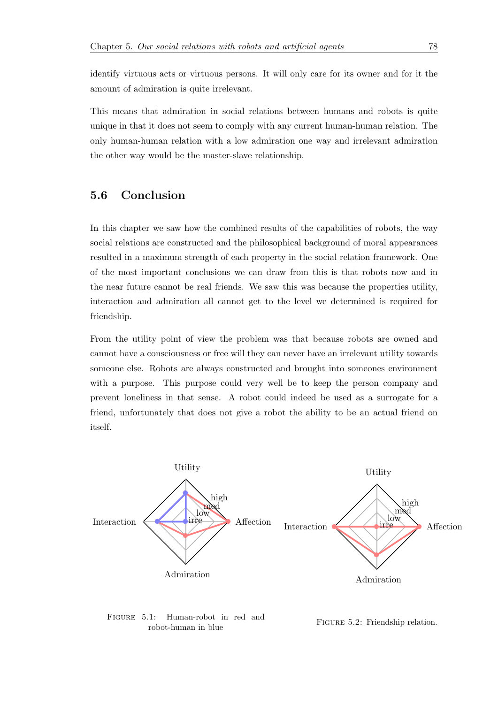identify virtuous acts or virtuous persons. It will only care for its owner and for it the amount of admiration is quite irrelevant.

This means that admiration in social relations between humans and robots is quite unique in that it does not seem to comply with any current human-human relation. The only human-human relation with a low admiration one way and irrelevant admiration the other way would be the master-slave relationship.

## **5.6 Conclusion**

In this chapter we saw how the combined results of the capabilities of robots, the way social relations are constructed and the philosophical background of moral appearances resulted in a maximum strength of each property in the social relation framework. One of the most important conclusions we can draw from this is that robots now and in the near future cannot be real friends. We saw this was because the properties utility, interaction and admiration all cannot get to the level we determined is required for friendship.

From the utility point of view the problem was that because robots are owned and cannot have a consciousness or free will they can never have an irrelevant utility towards someone else. Robots are always constructed and brought into someones environment with a purpose. This purpose could very well be to keep the person company and prevent loneliness in that sense. A robot could indeed be used as a surrogate for a friend, unfortunately that does not give a robot the ability to be an actual friend on itself.



Figure 5.1: Human-robot in red and robot-human in blue

FIGURE 5.2: Friendship relation.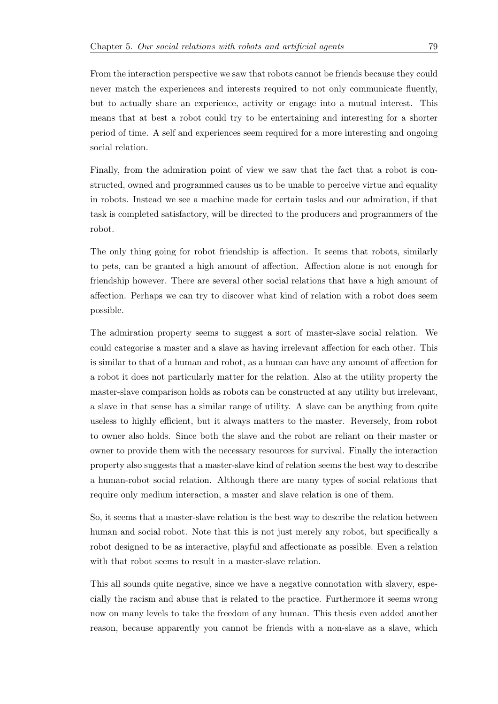From the interaction perspective we saw that robots cannot be friends because they could never match the experiences and interests required to not only communicate fluently, but to actually share an experience, activity or engage into a mutual interest. This means that at best a robot could try to be entertaining and interesting for a shorter period of time. A self and experiences seem required for a more interesting and ongoing social relation.

Finally, from the admiration point of view we saw that the fact that a robot is constructed, owned and programmed causes us to be unable to perceive virtue and equality in robots. Instead we see a machine made for certain tasks and our admiration, if that task is completed satisfactory, will be directed to the producers and programmers of the robot.

The only thing going for robot friendship is affection. It seems that robots, similarly to pets, can be granted a high amount of affection. Affection alone is not enough for friendship however. There are several other social relations that have a high amount of affection. Perhaps we can try to discover what kind of relation with a robot does seem possible.

The admiration property seems to suggest a sort of master-slave social relation. We could categorise a master and a slave as having irrelevant affection for each other. This is similar to that of a human and robot, as a human can have any amount of affection for a robot it does not particularly matter for the relation. Also at the utility property the master-slave comparison holds as robots can be constructed at any utility but irrelevant, a slave in that sense has a similar range of utility. A slave can be anything from quite useless to highly efficient, but it always matters to the master. Reversely, from robot to owner also holds. Since both the slave and the robot are reliant on their master or owner to provide them with the necessary resources for survival. Finally the interaction property also suggests that a master-slave kind of relation seems the best way to describe a human-robot social relation. Although there are many types of social relations that require only medium interaction, a master and slave relation is one of them.

So, it seems that a master-slave relation is the best way to describe the relation between human and social robot. Note that this is not just merely any robot, but specifically a robot designed to be as interactive, playful and affectionate as possible. Even a relation with that robot seems to result in a master-slave relation.

This all sounds quite negative, since we have a negative connotation with slavery, especially the racism and abuse that is related to the practice. Furthermore it seems wrong now on many levels to take the freedom of any human. This thesis even added another reason, because apparently you cannot be friends with a non-slave as a slave, which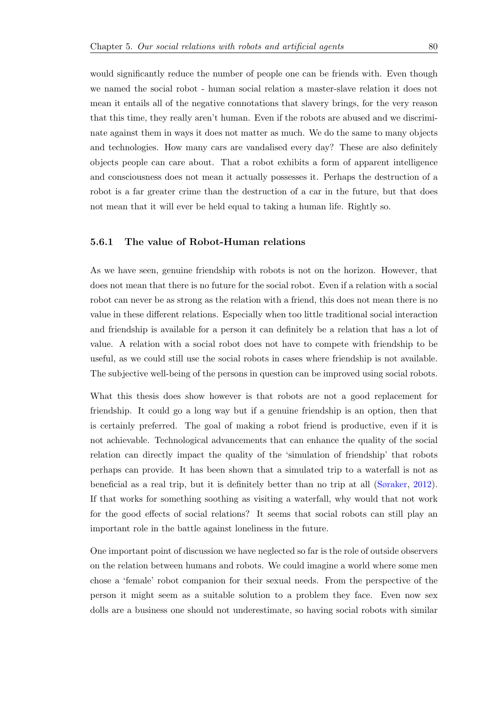would significantly reduce the number of people one can be friends with. Even though we named the social robot - human social relation a master-slave relation it does not mean it entails all of the negative connotations that slavery brings, for the very reason that this time, they really aren't human. Even if the robots are abused and we discriminate against them in ways it does not matter as much. We do the same to many objects and technologies. How many cars are vandalised every day? These are also definitely objects people can care about. That a robot exhibits a form of apparent intelligence and consciousness does not mean it actually possesses it. Perhaps the destruction of a robot is a far greater crime than the destruction of a car in the future, but that does not mean that it will ever be held equal to taking a human life. Rightly so.

#### **5.6.1 The value of Robot-Human relations**

As we have seen, genuine friendship with robots is not on the horizon. However, that does not mean that there is no future for the social robot. Even if a relation with a social robot can never be as strong as the relation with a friend, this does not mean there is no value in these different relations. Especially when too little traditional social interaction and friendship is available for a person it can definitely be a relation that has a lot of value. A relation with a social robot does not have to compete with friendship to be useful, as we could still use the social robots in cases where friendship is not available. The subjective well-being of the persons in question can be improved using social robots.

What this thesis does show however is that robots are not a good replacement for friendship. It could go a long way but if a genuine friendship is an option, then that is certainly preferred. The goal of making a robot friend is productive, even if it is not achievable. Technological advancements that can enhance the quality of the social relation can directly impact the quality of the 'simulation of friendship' that robots perhaps can provide. It has been shown that a simulated trip to a waterfall is not as beneficial as a real trip, but it is definitely better than no trip at all (Søraker, 2012). If that works for something soothing as visiting a waterfall, why would that not work for the good effects of social relations? It seems that social robots can still play an important role in the battle against loneliness in the future.

One important point of discussion we have neglected so far is the role of outside observers on the relation between humans and robots. We could imagine a world where some men chose a 'female' robot companion for their sexual needs. From the perspective of the person it might seem as a suitable solution to a problem they face. Even now sex dolls are a business one should not underestimate, so having social robots with similar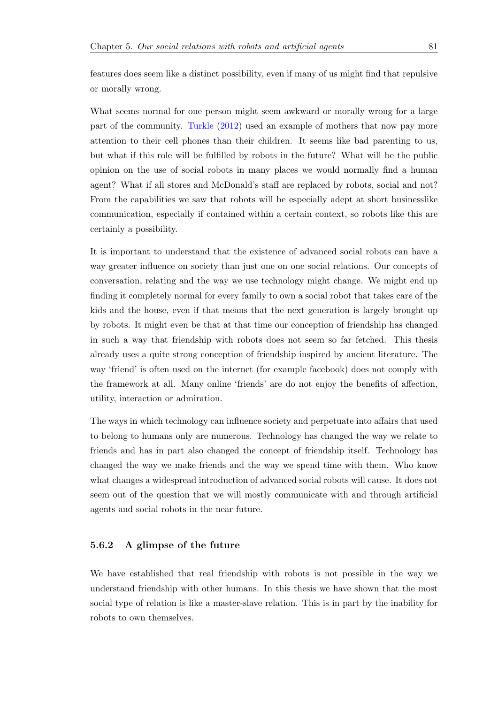features does seem like a distinct possibility, even if many of us might find that repulsive or morally wrong.

What seems normal for one person might seem awkward or morally wrong for a large part of the community. Turkle (2012) used an example of mothers that now pay more attention to their cell phones than their children. It seems like bad parenting to us, but what if this role will be fulfilled by robots in the future? What will be the public opinion on the use of s[ocial robots i](#page-93-1)n many places we would normally find a human agent? What if all stores and McDonald's staff are replaced by robots, social and not? From the capabilities we saw that robots will be especially adept at short businesslike communication, especially if contained within a certain context, so robots like this are certainly a possibility.

It is important to understand that the existence of advanced social robots can have a way greater influence on society than just one on one social relations. Our concepts of conversation, relating and the way we use technology might change. We might end up finding it completely normal for every family to own a social robot that takes care of the kids and the house, even if that means that the next generation is largely brought up by robots. It might even be that at that time our conception of friendship has changed in such a way that friendship with robots does not seem so far fetched. This thesis already uses a quite strong conception of friendship inspired by ancient literature. The way 'friend' is often used on the internet (for example facebook) does not comply with the framework at all. Many online 'friends' are do not enjoy the benefits of affection, utility, interaction or admiration.

The ways in which technology can influence society and perpetuate into affairs that used to belong to humans only are numerous. Technology has changed the way we relate to friends and has in part also changed the concept of friendship itself. Technology has changed the way we make friends and the way we spend time with them. Who know what changes a widespread introduction of advanced social robots will cause. It does not seem out of the question that we will mostly communicate with and through artificial agents and social robots in the near future.

#### **5.6.2 A glimpse of the future**

We have established that real friendship with robots is not possible in the way we understand friendship with other humans. In this thesis we have shown that the most social type of relation is like a master-slave relation. This is in part by the inability for robots to own themselves.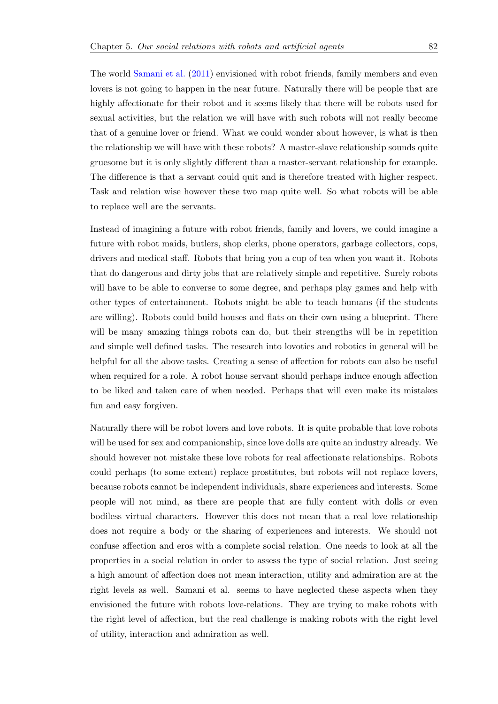The world Samani et al. (2011) envisioned with robot friends, family members and even lovers is not going to happen in the near future. Naturally there will be people that are highly affectionate for their robot and it seems likely that there will be robots used for sexual acti[vities, but the relat](#page-92-0)ion we will have with such robots will not really become that of a genuine lover or friend. What we could wonder about however, is what is then the relationship we will have with these robots? A master-slave relationship sounds quite gruesome but it is only slightly different than a master-servant relationship for example. The difference is that a servant could quit and is therefore treated with higher respect. Task and relation wise however these two map quite well. So what robots will be able to replace well are the servants.

Instead of imagining a future with robot friends, family and lovers, we could imagine a future with robot maids, butlers, shop clerks, phone operators, garbage collectors, cops, drivers and medical staff. Robots that bring you a cup of tea when you want it. Robots that do dangerous and dirty jobs that are relatively simple and repetitive. Surely robots will have to be able to converse to some degree, and perhaps play games and help with other types of entertainment. Robots might be able to teach humans (if the students are willing). Robots could build houses and flats on their own using a blueprint. There will be many amazing things robots can do, but their strengths will be in repetition and simple well defined tasks. The research into lovotics and robotics in general will be helpful for all the above tasks. Creating a sense of affection for robots can also be useful when required for a role. A robot house servant should perhaps induce enough affection to be liked and taken care of when needed. Perhaps that will even make its mistakes fun and easy forgiven.

Naturally there will be robot lovers and love robots. It is quite probable that love robots will be used for sex and companionship, since love dolls are quite an industry already. We should however not mistake these love robots for real affectionate relationships. Robots could perhaps (to some extent) replace prostitutes, but robots will not replace lovers, because robots cannot be independent individuals, share experiences and interests. Some people will not mind, as there are people that are fully content with dolls or even bodiless virtual characters. However this does not mean that a real love relationship does not require a body or the sharing of experiences and interests. We should not confuse affection and eros with a complete social relation. One needs to look at all the properties in a social relation in order to assess the type of social relation. Just seeing a high amount of affection does not mean interaction, utility and admiration are at the right levels as well. Samani et al. seems to have neglected these aspects when they envisioned the future with robots love-relations. They are trying to make robots with the right level of affection, but the real challenge is making robots with the right level of utility, interaction and admiration as well.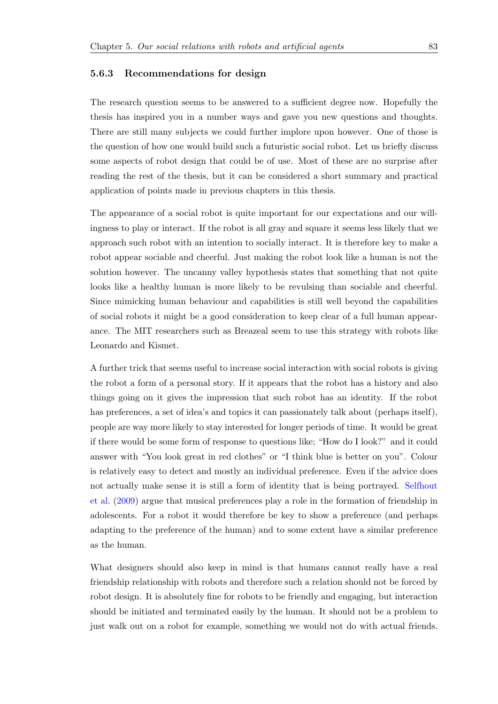#### **5.6.3 Recommendations for design**

The research question seems to be answered to a sufficient degree now. Hopefully the thesis has inspired you in a number ways and gave you new questions and thoughts. There are still many subjects we could further implore upon however. One of those is the question of how one would build such a futuristic social robot. Let us briefly discuss some aspects of robot design that could be of use. Most of these are no surprise after reading the rest of the thesis, but it can be considered a short summary and practical application of points made in previous chapters in this thesis.

The appearance of a social robot is quite important for our expectations and our willingness to play or interact. If the robot is all gray and square it seems less likely that we approach such robot with an intention to socially interact. It is therefore key to make a robot appear sociable and cheerful. Just making the robot look like a human is not the solution however. The uncanny valley hypothesis states that something that not quite looks like a healthy human is more likely to be revulsing than sociable and cheerful. Since mimicking human behaviour and capabilities is still well beyond the capabilities of social robots it might be a good consideration to keep clear of a full human appearance. The MIT researchers such as Breazeal seem to use this strategy with robots like Leonardo and Kismet.

A further trick that seems useful to increase social interaction with social robots is giving the robot a form of a personal story. If it appears that the robot has a history and also things going on it gives the impression that such robot has an identity. If the robot has preferences, a set of idea's and topics it can passionately talk about (perhaps itself), people are way more likely to stay interested for longer periods of time. It would be great if there would be some form of response to questions like; "How do I look?" and it could answer with "You look great in red clothes" or "I think blue is better on you". Colour is relatively easy to detect and mostly an individual preference. Even if the advice does not actually make sense it is still a form of identity that is being portrayed. Selfhout et al. (2009) argue that musical preferences play a role in the formation of friendship in adolescents. For a robot it would therefore be key to show a preference (and perhaps adapting to the preference of the human) and to some extent have a similar p[reference](#page-93-2) [as the huma](#page-93-2)n.

What designers should also keep in mind is that humans cannot really have a real friendship relationship with robots and therefore such a relation should not be forced by robot design. It is absolutely fine for robots to be friendly and engaging, but interaction should be initiated and terminated easily by the human. It should not be a problem to just walk out on a robot for example, something we would not do with actual friends.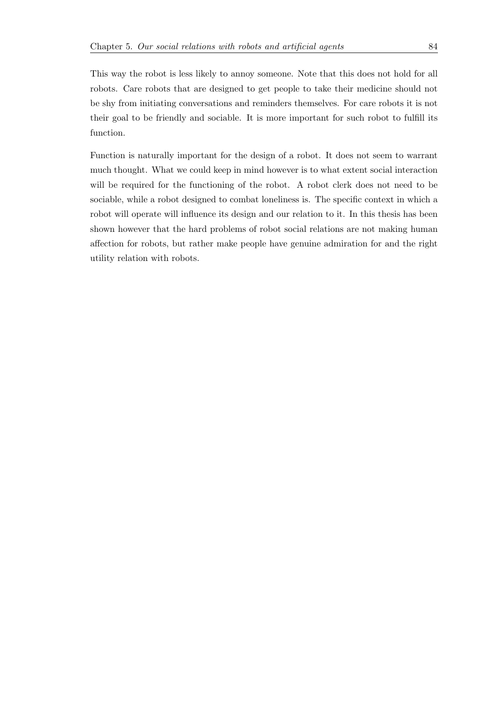This way the robot is less likely to annoy someone. Note that this does not hold for all robots. Care robots that are designed to get people to take their medicine should not be shy from initiating conversations and reminders themselves. For care robots it is not their goal to be friendly and sociable. It is more important for such robot to fulfill its function.

Function is naturally important for the design of a robot. It does not seem to warrant much thought. What we could keep in mind however is to what extent social interaction will be required for the functioning of the robot. A robot clerk does not need to be sociable, while a robot designed to combat loneliness is. The specific context in which a robot will operate will influence its design and our relation to it. In this thesis has been shown however that the hard problems of robot social relations are not making human affection for robots, but rather make people have genuine admiration for and the right utility relation with robots.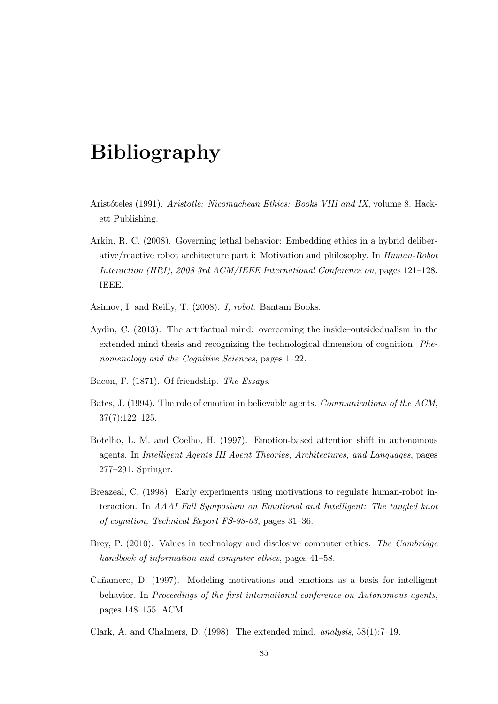# **Bibliography**

- <span id="page-89-0"></span>Arist´oteles (1991). *Aristotle: Nicomachean Ethics: Books VIII and IX*, volume 8. Hackett Publishing.
- Arkin, R. C. (2008). Governing lethal behavior: Embedding ethics in a hybrid deliberative/reactive robot architecture part i: Motivation and philosophy. In *Human-Robot Interaction (HRI), 2008 3rd ACM/IEEE International Conference on*, pages 121–128. IEEE.
- Asimov, I. and Reilly, T. (2008). *I, robot*. Bantam Books.
- Aydin, C. (2013). The artifactual mind: overcoming the inside–outsidedualism in the extended mind thesis and recognizing the technological dimension of cognition. *Phenomenology and the Cognitive Sciences*, pages 1–22.
- Bacon, F. (1871). Of friendship. *The Essays*.
- Bates, J. (1994). The role of emotion in believable agents. *Communications of the ACM*, 37(7):122–125.
- Botelho, L. M. and Coelho, H. (1997). Emotion-based attention shift in autonomous agents. In *Intelligent Agents III Agent Theories, Architectures, and Languages*, pages 277–291. Springer.
- Breazeal, C. (1998). Early experiments using motivations to regulate human-robot interaction. In *AAAI Fall Symposium on Emotional and Intelligent: The tangled knot of cognition, Technical Report FS-98-03*, pages 31–36.
- Brey, P. (2010). Values in technology and disclosive computer ethics. *The Cambridge handbook of information and computer ethics*, pages 41–58.
- Cañamero, D. (1997). Modeling motivations and emotions as a basis for intelligent behavior. In *Proceedings of the first international conference on Autonomous agents*, pages 148–155. ACM.
- Clark, A. and Chalmers, D. (1998). The extended mind. *analysis*, 58(1):7–19.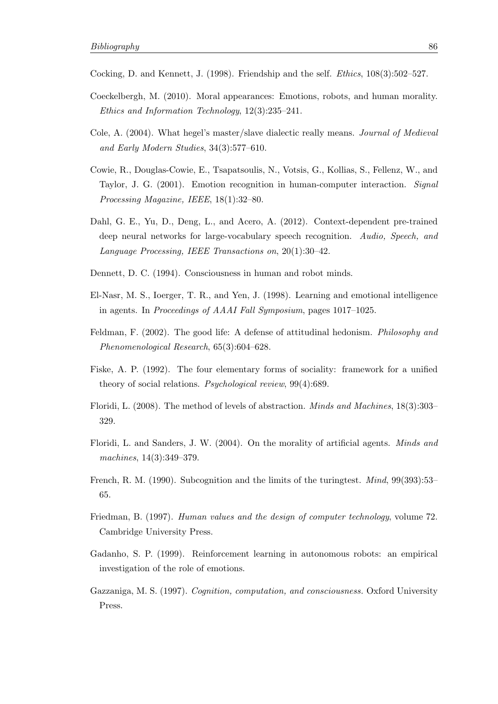Cocking, D. and Kennett, J. (1998). Friendship and the self. *Ethics*, 108(3):502–527.

- Coeckelbergh, M. (2010). Moral appearances: Emotions, robots, and human morality. *Ethics and Information Technology*, 12(3):235–241.
- Cole, A. (2004). What hegel's master/slave dialectic really means. *Journal of Medieval and Early Modern Studies*, 34(3):577–610.
- Cowie, R., Douglas-Cowie, E., Tsapatsoulis, N., Votsis, G., Kollias, S., Fellenz, W., and Taylor, J. G. (2001). Emotion recognition in human-computer interaction. *Signal Processing Magazine, IEEE*, 18(1):32–80.
- Dahl, G. E., Yu, D., Deng, L., and Acero, A. (2012). Context-dependent pre-trained deep neural networks for large-vocabulary speech recognition. *Audio, Speech, and Language Processing, IEEE Transactions on*, 20(1):30–42.
- Dennett, D. C. (1994). Consciousness in human and robot minds.
- El-Nasr, M. S., Ioerger, T. R., and Yen, J. (1998). Learning and emotional intelligence in agents. In *Proceedings of AAAI Fall Symposium*, pages 1017–1025.
- Feldman, F. (2002). The good life: A defense of attitudinal hedonism. *Philosophy and Phenomenological Research*, 65(3):604–628.
- Fiske, A. P. (1992). The four elementary forms of sociality: framework for a unified theory of social relations. *Psychological review*, 99(4):689.
- Floridi, L. (2008). The method of levels of abstraction. *Minds and Machines*, 18(3):303– 329.
- Floridi, L. and Sanders, J. W. (2004). On the morality of artificial agents. *Minds and machines*, 14(3):349–379.
- <span id="page-90-0"></span>French, R. M. (1990). Subcognition and the limits of the turingtest. *Mind*, 99(393):53– 65.
- Friedman, B. (1997). *Human values and the design of computer technology*, volume 72. Cambridge University Press.
- Gadanho, S. P. (1999). Reinforcement learning in autonomous robots: an empirical investigation of the role of emotions.
- Gazzaniga, M. S. (1997). *Cognition, computation, and consciousness.* Oxford University Press.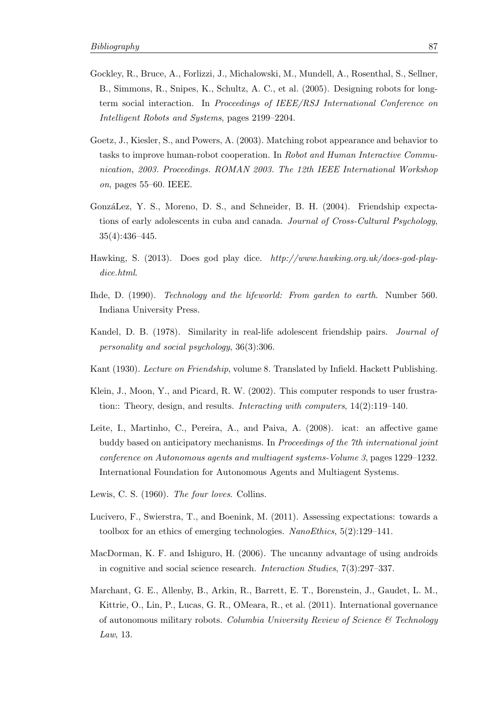- Gockley, R., Bruce, A., Forlizzi, J., Michalowski, M., Mundell, A., Rosenthal, S., Sellner, B., Simmons, R., Snipes, K., Schultz, A. C., et al. (2005). Designing robots for longterm social interaction. In *Proceedings of IEEE/RSJ International Conference on Intelligent Robots and Systems*, pages 2199–2204.
- Goetz, J., Kiesler, S., and Powers, A. (2003). Matching robot appearance and behavior to tasks to improve human-robot cooperation. In *Robot and Human Interactive Communication, 2003. Proceedings. ROMAN 2003. The 12th IEEE International Workshop on*, pages 55–60. IEEE.
- GonzáLez, Y. S., Moreno, D. S., and Schneider, B. H. (2004). Friendship expectations of early adolescents in cuba and canada. *Journal of Cross-Cultural Psychology*, 35(4):436–445.
- Hawking, S. (2013). Does god play dice. *http://www.hawking.org.uk/does-god-playdice.html*.
- <span id="page-91-0"></span>Ihde, D. (1990). *Technology and the lifeworld: From garden to earth*. Number 560. Indiana University Press.
- Kandel, D. B. (1978). Similarity in real-life adolescent friendship pairs. *Journal of personality and social psychology*, 36(3):306.
- Kant (1930). *Lecture on Friendship*, volume 8. Translated by Infield. Hackett Publishing.
- Klein, J., Moon, Y., and Picard, R. W. (2002). This computer responds to user frustration:: Theory, design, and results. *Interacting with computers*, 14(2):119–140.
- Leite, I., Martinho, C., Pereira, A., and Paiva, A. (2008). icat: an affective game buddy based on anticipatory mechanisms. In *Proceedings of the 7th international joint conference on Autonomous agents and multiagent systems-Volume 3*, pages 1229–1232. International Foundation for Autonomous Agents and Multiagent Systems.
- <span id="page-91-1"></span>Lewis, C. S. (1960). *The four loves*. Collins.
- Lucivero, F., Swierstra, T., and Boenink, M. (2011). Assessing expectations: towards a toolbox for an ethics of emerging technologies. *NanoEthics*, 5(2):129–141.
- MacDorman, K. F. and Ishiguro, H. (2006). The uncanny advantage of using androids in cognitive and social science research. *Interaction Studies*, 7(3):297–337.
- Marchant, G. E., Allenby, B., Arkin, R., Barrett, E. T., Borenstein, J., Gaudet, L. M., Kittrie, O., Lin, P., Lucas, G. R., OMeara, R., et al. (2011). International governance of autonomous military robots. *Columbia University Review of Science & Technology Law*, 13.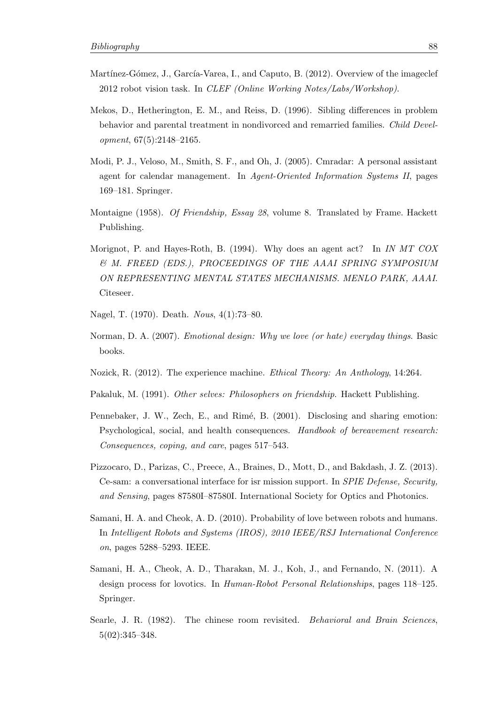- Martínez-Gómez, J., García-Varea, I., and Caputo, B. (2012). Overview of the imageclef 2012 robot vision task. In *CLEF (Online Working Notes/Labs/Workshop)*.
- <span id="page-92-2"></span>Mekos, D., Hetherington, E. M., and Reiss, D. (1996). Sibling differences in problem behavior and parental treatment in nondivorced and remarried families. *Child Development*, 67(5):2148–2165.
- Modi, P. J., Veloso, M., Smith, S. F., and Oh, J. (2005). Cmradar: A personal assistant agent for calendar management. In *Agent-Oriented Information Systems II*, pages 169–181. Springer.
- Montaigne (1958). *Of Friendship, Essay 28*, volume 8. Translated by Frame. Hackett Publishing.
- Morignot, P. and Hayes-Roth, B. (1994). Why does an agent act? In *IN MT COX & M. FREED (EDS.), PROCEEDINGS OF THE AAAI SPRING SYMPOSIUM ON REPRESENTING MENTAL STATES MECHANISMS. MENLO PARK, AAAI*. Citeseer.
- Nagel, T. (1970). Death. *Nous*, 4(1):73–80.
- <span id="page-92-1"></span>Norman, D. A. (2007). *Emotional design: Why we love (or hate) everyday things*. Basic books.
- Nozick, R. (2012). The experience machine. *Ethical Theory: An Anthology*, 14:264.
- Pakaluk, M. (1991). *Other selves: Philosophers on friendship*. Hackett Publishing.
- Pennebaker, J. W., Zech, E., and Rimé, B. (2001). Disclosing and sharing emotion: Psychological, social, and health consequences. *Handbook of bereavement research: Consequences, coping, and care*, pages 517–543.
- Pizzocaro, D., Parizas, C., Preece, A., Braines, D., Mott, D., and Bakdash, J. Z. (2013). Ce-sam: a conversational interface for isr mission support. In *SPIE Defense, Security, and Sensing*, pages 87580I–87580I. International Society for Optics and Photonics.
- Samani, H. A. and Cheok, A. D. (2010). Probability of love between robots and humans. In *Intelligent Robots and Systems (IROS), 2010 IEEE/RSJ International Conference on*, pages 5288–5293. IEEE.
- <span id="page-92-0"></span>Samani, H. A., Cheok, A. D., Tharakan, M. J., Koh, J., and Fernando, N. (2011). A design process for lovotics. In *Human-Robot Personal Relationships*, pages 118–125. Springer.
- Searle, J. R. (1982). The chinese room revisited. *Behavioral and Brain Sciences*, 5(02):345–348.